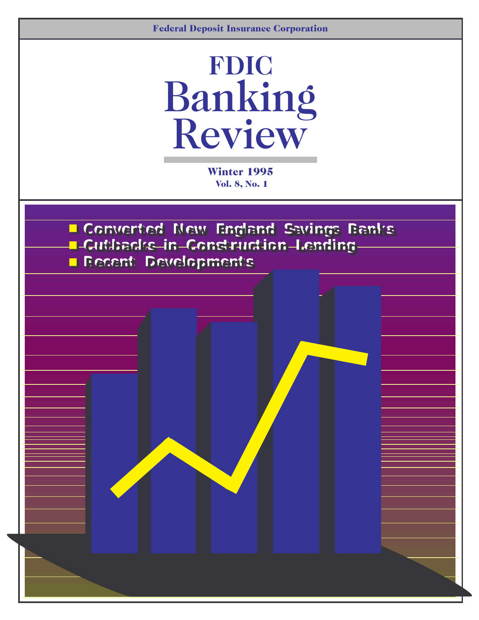

Winter 1995 Vol. 8, No. 1

L Converted New England Savings Banks **Cutbacks in Construction L Cutbacks in Construction Lending ending**  � � **RRecent De ecent Devvelopments elopments**  � �

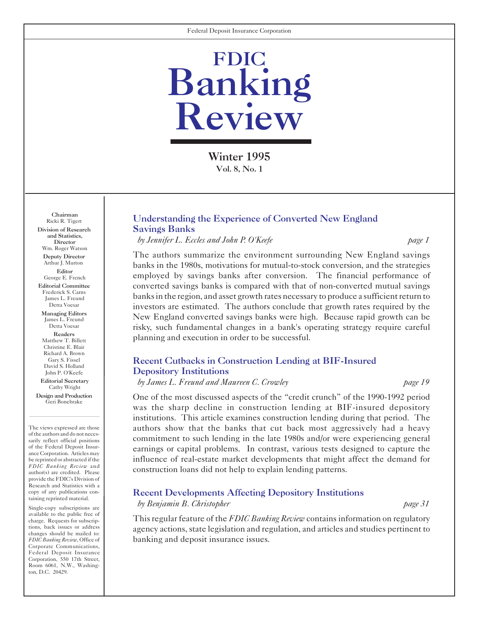

Winter 1995 Vol. 8, No. 1

Chairman Ricki R. Tigert Division of Research and Statistics, Director Wm. Roger Watson Deputy Director Arthur J. Murton **Editor** George E. French Editorial Committee Frederick S. Carns James L. Freund Detta Voesar Managing Editors James L. Freund Detta Voesar Readers Matthew T. Billett Christine E. Blair Richard A. Brown Gary S. Fissel David S. Holland John P. O'Keefe Editorial Secretary

Cathy Wright Design and Production Geri Bonebrake

The views expressed are those of the authors and do not necessarily reflect official positions of the Federal Deposit Insurance Corporation. Articles may be reprinted or abstracted if the *FDIC Banking Review* and author(s) are credited. Please provide the FDIC's Division of Research and Statistics with a copy of any publications containing reprinted material.

Single-copy subscriptions are available to the public free of charge. Requests for subscriptions, back issues or address changes should be mailed to: *FDIC Banking Review*, Office of Corporate Communications, Federal Deposit Insurance Corporation, 550 17th Street, Room 6061, N.W., Washington, D.C. 20429.

#### [Understanding the Experience of Converted New England](#page-2-0)  Savings Banks

*by Jennifer L. Eccles and John P. O'Keefe page 1* 

The authors summarize the environment surrounding New England savings banks in the 1980s, motivations for mutual-to-stock conversion, and the strategies employed by savings banks after conversion. The financial performance of converted savings banks is compared with that of non-converted mutual savings banks in the region, and asset growth rates necessary to produce a sufficient return to investors are estimated. The authors conclude that growth rates required by the New England converted savings banks were high. Because rapid growth can be risky, such fundamental changes in a bank's operating strategy require careful planning and execution in order to be successful.

### [Recent Cutbacks in Construction Lending at BIF-Insured](#page-19-0)  Depository Institutions

*by James L. Freund and Maureen C. Crowley page 19* 

One of the most discussed aspects of the "credit crunch" of the 1990-1992 period was the sharp decline in construction lending at BIF-insured depository institutions. This article examines construction lending during that period. The authors show that the banks that cut back most aggressively had a heavy commitment to such lending in the late 1980s and/or were experiencing general earnings or capital problems. In contrast, various tests designed to capture the influence of real-estate market developments that might affect the demand for construction loans did not help to explain lending patterns.

#### [Recent Developments Affecting Depository Institutions](#page-31-0)

*by Benjamin B. Christopher page 31* 

This regular feature of the *FDIC Banking Review* contains information on regulatory agency actions, state legislation and regulation, and articles and studies pertinent to banking and deposit insurance issues.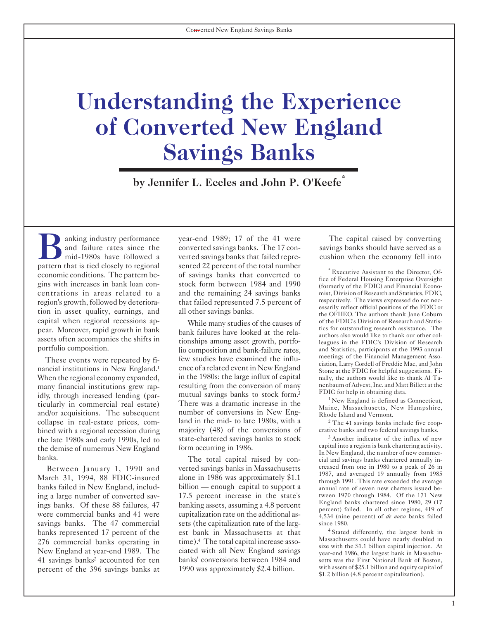## <span id="page-2-0"></span>**Understanding the Experience of Converted New England Savings Banks**

**\* by Jennifer L. Eccles and John P. O'Keefe**

anking industry performance year-end 1989; 17 of the 41 were The capital raised by converting<br>and failure rates since the converted savings banks. The 17 con-<br>mid-1980s have followed a verted savings banks that failed repr centrations in areas related to a and the remaining 24 savings banks mist, Division of Research and Statistics, FDIC, region's growth followed by deteriors that folled represented 7.5 percent of respectively. The views exp region's growth, followed by deteriora-<br>that failed represented 7.5 percent of respectively. The views expressed do not nec-<br>essarily reflect official positions of the FDIC or tion in asset quality, earnings, and all other savings banks.<br>capital when regional recessions ap-<br>while many studies of the causes of of the FDIC's Division of Research and Statiscapital when regional recessions ap-<br>
pear. Moreover, rapid growth in bank<br>
hank failures have looked at the rela-<br>
pear of the SDIC's Division of Research assistance. The

savings banks. The 47 commercial percent of the 396 savings banks at 1990 was approximately \$2.4 billion.

and failure rates since the converted savings banks. The 17 con- savings banks should have served as a mid-1980s have followed a verted savings banks that failed repre- cushion when the economy fell into pattern that is tied closely to regional sented 22 percent of the total number<br>economic conditions. The pattern be-<br>gins with increases in bank loan con-<br>gins with increases in bank loan con-<br>stock form between 1984 and 19

pear. Moreover, rapid growth in bank<br>assets often accompanies the shifts in<br>portfolio composition. lio composition and bank-failure rates,<br>portfolio scheme and Statistics, participants at the 1993 annual These events were repeated by fi-<br>
nancial institutions in New England.<sup>1</sup> ence of a related event in New England<br>
When the regional economy expanded, in the 1980s: the large influx of capital<br>
The authors would like to th When the regional economy expanded, in the 1980s: the large influx of capital nally, the authors would like to thank Al Ta-<br>resulting from the conversion of many nenbaum of Advest, Inc. and Matt Billett at the many financial institutions grew rap-<br>
idly, through increased lending (par-<br>
idly, through increased lending (par-<br>
in commercial real estate)<br>
There was a dramatic increase in the<br>
The same in the state of the state of t ticularly in commercial real estate) There was a dramatic increase in the Maine, Massachusetts, New Hampshire,<br>and/or acquisitions. The subsequent number of conversions in New Eng-<br>collapse in real-estate prices, com-<br>land land in the mid-to late 1980s, with a  $\frac{2 \text{ The } 41 \text{ savings banks include five coop-}$  majority (48) of the conversions of erative banks and two federal savings banks. bined with a regional recession during majority (48) of the conversions of erative banks and two federal savings banks.<br>The late 1980s and early 1990s led to state-chartered savings banks to stock <sup>3</sup> Another indicator of the late 1980s and early 1990s, led to state-chartered savings banks to stock <sup>3</sup> Another indicator of the influx of new<br>the demise of numerous New England form occurring in 1986

Between January 1, 1990 and verted savings banks in Massachusetts creased from one in 1980 to a peak of 26 in January 1, 1994, 88 FDIC-insured alone in 1986 was approximately \$1.1 alone in 1986 was approximately \$1.1  $\frac{1997}{\text{through}}$  1991. This rate exceeded the average in 1995 billion — enough capital to support a banks failed in New England, includ-<br>billion — enough capital to support a annual rate of seven new charters issued being a large number of converted sav-<br>
17.5 percent increase in the state's tween 1970 through 1984. Of the 171 New<br>
England banks chartered since 1980, 29 (17<br>
17.5 percent increase in the state's tween 1970 through 1984. ings banks. Of these 88 failures, 47 banking assets, assuming a 4.8 percent percent) failed. In all other regions, 419 of the percent) failed. In all other regions, 419 of the percent) failed. In all other regions, 419 of capitalization rate on the additional as  $\frac{4}{4}$ ,534 (nine percent) of *de novo* banks failed sets (the capitalization rate of the larg-<br>since 1980. banks represented 17 percent of the est bank in Massachusetts at that <sup>4</sup> Stated differently, the largest bank in 276 commercial banks operating in time) <sup>4</sup> The total capital increase asso. 276 commercial banks operating in time).<sup>4</sup> The total capital increase assometris could have nearly doubled in<br>New England at year-end 1989. The ciated with all New England savings<br>41 savings banks<sup>2</sup> accounted for ten ban banks' conversions between 1984 and setts was the First National Bank of Boston,<br>1990 was approximately \$2.4 billion with assets of \$25.1 billion and equity capital of

the demise of numerous New England form occurring in 1986.<br>In New England, the number of new commerbanks. The total capital raised by con-cial and savings banks chartered annually in-

\$1.2 billion (4.8 percent capitalization).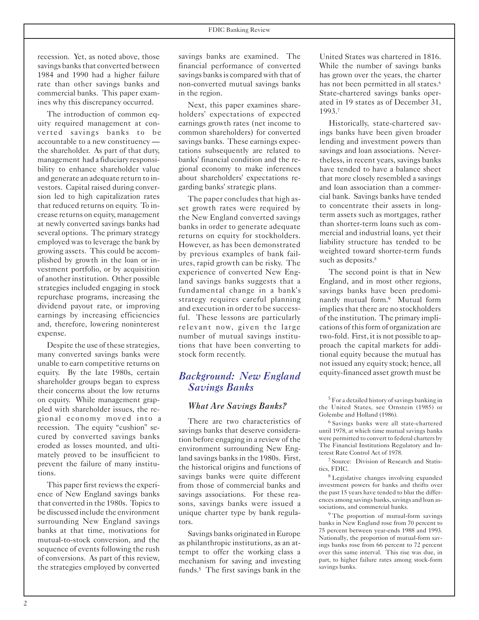recession. Yet, as noted above, those savings banks that converted between 1984 and 1990 had a higher failure rate than other savings banks and commercial banks. This paper examines why this discrepancy occurred.

The introduction of common equity required management at converted savings banks to be accountable to a new constituency the shareholder. As part of that duty, management had a fiduciary responsibility to enhance shareholder value and generate an adequate return to investors. Capital raised during conversion led to high capitalization rates that reduced returns on equity. To increase returns on equity, management at newly converted savings banks had several options. The primary strategy employed was to leverage the bank by growing assets. This could be accomplished by growth in the loan or investment portfolio, or by acquisition of another institution. Other possible strategies included engaging in stock repurchase programs, increasing the dividend payout rate, or improving earnings by increasing efficiencies and, therefore, lowering noninterest expense.

Despite the use of these strategies, many converted savings banks were unable to earn competitive returns on equity. By the late 1980s, certain shareholder groups began to express their concerns about the low returns on equity. While management grappled with shareholder issues, the regional economy moved into a recession. The equity "cushion" secured by converted savings banks eroded as losses mounted, and ultimately proved to be insufficient to prevent the failure of many institutions.

This paper first reviews the experience of New England savings banks that converted in the 1980s. Topics to be discussed include the environment surrounding New England savings banks at that time, motivations for mutual-to-stock conversion, and the sequence of events following the rush of conversions. As part of this review, the strategies employed by converted savings banks are examined. The financial performance of converted savings banks is compared with that of non-converted mutual savings banks in the region.

Next, this paper examines shareholders' expectations of expected earnings growth rates (net income to common shareholders) for converted savings banks. These earnings expectations subsequently are related to banks' financial condition and the regional economy to make inferences about shareholders' expectations regarding banks' strategic plans.

The paper concludes that high asset growth rates were required by the New England converted savings banks in order to generate adequate returns on equity for stockholders. However, as has been demonstrated by previous examples of bank failures, rapid growth can be risky. The experience of converted New England savings banks suggests that a fundamental change in a bank's strategy requires careful planning and execution in order to be successful. These lessons are particularly relevant now, given the large number of mutual savings institutions that have been converting to stock form recently.

#### *Background: New England Savings Banks*

#### *What Are Savings Banks?*

There are two characteristics of savings banks that deserve consideration before engaging in a review of the environment surrounding New England savings banks in the 1980s. First, the historical origins and functions of savings banks were quite different from those of commercial banks and savings associations. For these reasons, savings banks were issued a unique charter type by bank regulators.

Savings banks originated in Europe as philanthropic institutions, as an attempt to offer the working class a mechanism for saving and investing funds.<sup>5</sup> The first savings bank in the United States was chartered in 1816. While the number of savings banks has grown over the years, the charter has not been permitted in all states.<sup>6</sup> State-chartered savings banks operated in 19 states as of December 31, 1993.<sup>7</sup>

Historically, state-chartered savings banks have been given broader lending and investment powers than savings and loan associations. Nevertheless, in recent years, savings banks have tended to have a balance sheet that more closely resembled a savings and loan association than a commercial bank. Savings banks have tended to concentrate their assets in longterm assets such as mortgages, rather than shorter-term loans such as commercial and industrial loans, yet their liability structure has tended to be weighted toward shorter-term funds such as deposits.<sup>8</sup>

The second point is that in New England, and in most other regions, savings banks have been predominantly mutual form.<sup>9</sup> Mutual form implies that there are no stockholders of the institution. The primary implications of this form of organization are two-fold. First, it is not possible to approach the capital markets for additional equity because the mutual has not issued any equity stock; hence, all equity-financed asset growth must be

6 Savings banks were all state-chartered until 1978, at which time mutual savings banks were permitted to convert to federal charters by The Financial Institutions Regulatory and Interest Rate Control Act of 1978.

7 Source: Division of Research and Statistics, FDIC.

8 Legislative changes involving expanded investment powers for banks and thrifts over the past 15 years have tended to blur the differences among savings banks, savings and loan associations, and commercial banks.

<sup>9</sup> The proportion of mutual-form savings banks in New England rose from 70 percent to 75 percent between year-ends 1988 and 1993. Nationally, the proportion of mutual-form savings banks rose from 66 percent to 72 percent over this same interval. This rise was due, in part, to higher failure rates among stock-form savings banks.

<sup>5</sup> For a detailed history of savings banking in the United States, see Ornstein (1985) or Golembe and Holland (1986).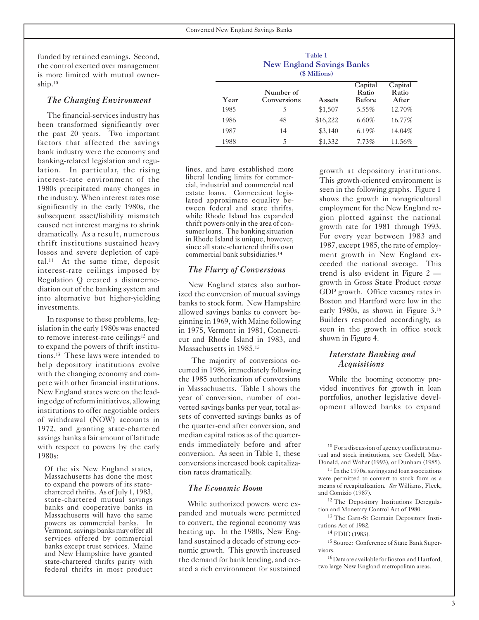funded by retained earnings. Second, the control exerted over management is more limited with mutual ownership.<sup>10</sup>

#### *The Changing Environment*

The financial-services industry has been transformed significantly over the past 20 years. Two important factors that affected the savings bank industry were the economy and banking-related legislation and regulation. In particular, the rising interest-rate environment of the 1980s precipitated many changes in the industry. When interest rates rose significantly in the early 1980s, the subsequent asset/liability mismatch caused net interest margins to shrink dramatically. As a result, numerous thrift institutions sustained heavy losses and severe depletion of capital.<sup>11</sup> At the same time, deposit interest-rate ceilings imposed by Regulation Q created a disintermediation out of the banking system and into alternative but higher-yielding investments.

In response to these problems, legislation in the early 1980s was enacted to remove interest-rate ceilings<sup>12</sup> and to expand the powers of thrift institutions.<sup>13</sup> These laws were intended to help depository institutions evolve with the changing economy and compete with other financial institutions. New England states were on the leading edge ofreform initiatives, allowing institutions to offer negotiable orders of withdrawal (NOW) accounts in 1972, and granting state-chartered savings banks a fair amount of latitude with respect to powers by the early 1980s:

Of the six New England states, Massachusetts has done the most to expand the powers of its statechartered thrifts. As of July 1, 1983, state-chartered mutual savings banks and cooperative banks in Massachusetts will have the same powers as commercial banks. In Vermont, savings banks may offer all services offered by commercial banks except trust services. Maine and New Hampshire have granted state-chartered thrifts parity with federal thrifts in most product

|      | <b>New England Savings Banks</b> | Table 1<br>(\$ Millions) |                                   |                           |
|------|----------------------------------|--------------------------|-----------------------------------|---------------------------|
| Year | Number of<br>Conversions         | Assets                   | Capital<br>Ratio<br><b>Before</b> | Capital<br>Ratio<br>After |
| 1985 | 5                                | \$1,507                  | $5.55\%$                          | 12.70%                    |
| 1986 | 48                               | \$16,222                 | $6.60\%$                          | 16.77%                    |
| 1987 | 14                               | \$3,140                  | 6.19%                             | 14.04%                    |
| 1988 | 5                                | \$1,332                  | 7.73%                             | 11.56%                    |

lines, and have established more liberal lending limits for commercial, industrial and commercial real estate loans. Connecticut legislated approximate equality between federal and state thrifts, while Rhode Island has expanded thrift powers only in the area of consumer loans. The banking situation in Rhode Island is unique, however, since all state-chartered thrifts own commercial bank subsidiaries.<sup>14</sup>

#### *The Flurry of Conversions*

New England states also authorized the conversion of mutual savings banks to stock form. New Hampshire allowed savings banks to convert beginning in 1969, with Maine following in 1975, Vermont in 1981, Connecticut and Rhode Island in 1983, and Massachusetts in 1985.<sup>15</sup>

The majority of conversions occurred in 1986, immediately following the 1985 authorization of conversions in Massachusetts. Table 1 shows the year of conversion, number of converted savings banks per year, total assets of converted savings banks as of the quarter-end after conversion, and median capital ratios as of the quarterends immediately before and after conversion. As seen in Table 1, these conversions increased book capitalization rates dramatically.

#### *The Economic Boom*

While authorized powers were expanded and mutuals were permitted to convert, the regional economy was heating up. In the 1980s, New England sustained a decade of strong economic growth. This growth increased the demand for bank lending, and created a rich environment for sustained growth at depository institutions. This growth-oriented environment is seen in the following graphs. Figure 1 shows the growth in nonagricultural employment for the New England region plotted against the national growth rate for 1981 through 1993. For every year between 1983 and 1987, except 1985, the rate of employment growth in New England exceeded the national average. This trend is also evident in Figure 2 growth in Gross State Product *versus* GDP growth. Office vacancy rates in Boston and Hartford were low in the early 1980s, as shown in Figure 3.<sup>16</sup> Builders responded accordingly, as seen in the growth in office stock shown in Figure 4.

#### *Interstate Banking and Acquisitions*

While the booming economy provided incentives for growth in loan portfolios, another legislative development allowed banks to expand

10 For a discussion of agency conflicts at mutual and stock institutions, see Cordell, Mac-Donald, and Wohar (1993), or Dunham (1985).

<sup>11</sup> In the 1970s, savings and loan associations were permitted to convert to stock form as a means of recapitalization. *See* Williams, Fleck, and Comizio (1987).

<sup>12</sup> The Depository Institutions Deregulation and Monetary Control Act of 1980.

13 The Garn-St Germain Depository Institutions Act of 1982.

14 FDIC (1983).

15 Source: Conference of State Bank Supervisors.

<sup>16</sup> Data are available for Boston and Hartford, two large New England metropolitan areas.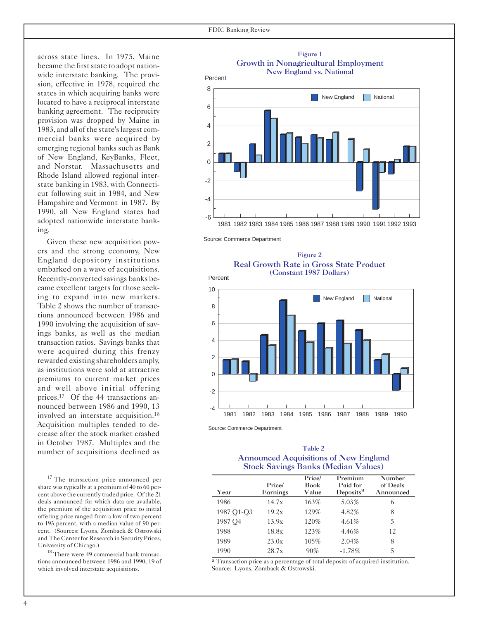wide interstate banking. The provi- Percent sion, effective in 1978, required the  $\frac{8}{8}$ states in which acquiring banks were located to have a reciprocal interstate<br>banking agreement. The reciprocity 6 provision was dropped by Maine in <sup>4</sup>1983, and all ofthe state'slargest commercial banks were acquired by<br>
emerging regional banks such as Bank<br>
<sup>2</sup> of New England, KeyBanks, Fleet,<br>
and Norstar. Massachusetts and <sup>0</sup> Rhode Island allowed regional inter -2 state banking in 1983, with Connecticut following suit in 1984, and New Hampshire and Vermont in 1987. By 1990, all New England states had ing.

Given these new acquisition pow-<br>Source: Commerce Department came excellent targets for those seek- 10 ing to expand into new markets. Table 2 shows the number of transac- 8 tions announced between 1986 and 1990 involving the acquisition of sav- 6 ings banks, as well as the median <sup>4</sup> transaction ratios. Savings banks that were acquired during this frenzy<br>rewarded existing shareholders amply, as institutions were sold at attractive<br>premiums to current market prices 0 and well above initial offering  $\frac{2}{2}$ prices.<sup>17</sup> Of the 44 transactions announced between 1986 and 1990, 13 -4 involved an interstate acquisition.<sup>18</sup> Acquisition multiples tended to decrease after the stock market crashed in October 1987. Multiples and the Table 2<br>number of acquisitions declined as

 $17$  The transaction price announced per share was typically at a premium of 40 to 60 percent above the currently traded price. Of the 21 deals announced for which data are available, the premium of the acquisition price to initial offering price ranged from a low of two percent to 193 percent, with a median value of 90 percent. (Sources: Lyons, Zomback & Ostrowski<br>and The Center for Research in Security Prices,

University of Chicago.)<br><sup>18</sup> There were 49 commercial bank transacwhich involved interstate acquisitions.







Source: Commerce Department

## Announced Acquisitions of New England Stock Savings Banks (Median Values)

| Year                | Price/<br>Earnings | Price/<br><b>Book</b><br>Value | Premium<br>Paid for<br>Deposits <sup>a</sup> | Number<br>of Deals<br>Announced |
|---------------------|--------------------|--------------------------------|----------------------------------------------|---------------------------------|
| 1986                | 14.7x              | 163%                           | 5.03%                                        | 6                               |
| 1987 O1-O3          | 19.2x              | 129%                           | 4.82%                                        | 8                               |
| 1987 O <sub>4</sub> | 13.9x              | 120\%                          | $4.61\%$                                     | 5                               |
| 1988                | 18.8x              | 123%                           | 4.46%                                        | 12                              |
| 1989                | 23.0x              | 105%                           | 2.04%                                        | 8                               |
| 1990                | 28.7x              | 90%                            | $-1.78%$                                     | 5                               |

tions announced between 1986 and 1990, 19 of a Transaction price as a percentage of total deposits of acquired institution.<br>
Source: Lyons, Zomback & Ostrowski.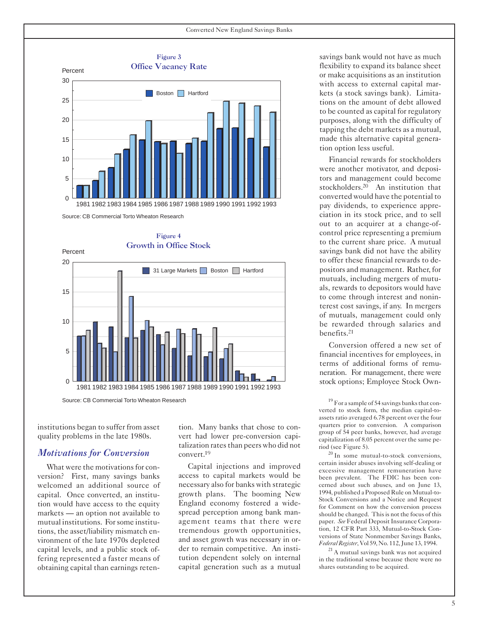



institutions began to suffer from asset quality problems in the late 1980s.

#### *Motivations for Conversion*

What were the motivations for conversion? First, many savings banks welcomed an additional source of capital. Once converted, an institution would have access to the equity markets — an option not available to mutual institutions. Forsome institutions, the asset/liability mismatch environment of the late 1970s depleted capital levels, and a public stock offering represented a faster means of obtaining capital than earnings retention. Many banks that chose to convert had lower pre-conversion capitalization rates than peers who did not convert.<sup>19</sup>

Capital injections and improved access to capital markets would be necessary also for banks with strategic growth plans. The booming New England economy fostered a widespread perception among bank management teams that there were tremendous growth opportunities, and asset growth was necessary in order to remain competitive. An institution dependent solely on internal capital generation such as a mutual savings bank would not have as much flexibility to expand its balance sheet or make acquisitions as an institution with access to external capital markets (a stock savings bank). Limitations on the amount of debt allowed to be counted as capital for regulatory purposes, along with the difficulty of tapping the debt markets as a mutual, made this alternative capital generation option less useful.

Financial rewards for stockholders were another motivator, and depositors and management could become stockholders.<sup>20</sup> An institution that converted would have the potential to pay dividends, to experience appreciation in its stock price, and to sell out to an acquirer at a change-ofcontrol price representing a premium to the current share price. A mutual savings bank did not have the ability to offer these financial rewards to depositors and management. Rather, for mutuals, including mergers of mutuals, rewards to depositors would have to come through interest and noninterest cost savings, if any. In mergers of mutuals, management could only be rewarded through salaries and benefits.<sup>21</sup>

Conversion offered a new set of financial incentives for employees, in terms of additional forms of remuneration. For management, there were stock options; Employee Stock Own-

 $19$  For a sample of 54 savings banks that converted to stock form, the median capital-toassets ratio averaged 6.78 percent over the four quarters prior to conversion. A comparison group of 54 peer banks, however, had average capitalization of 8.05 percent over the same pe-<br>riod (see Figure 5).

 $^{20}$  In some mutual-to-stock conversions, certain insider abuses involving self-dealing or excessive management remuneration have been prevalent. The FDIC has been concerned about such abuses, and on June 13, 1994, published a Proposed Rule on Mutual-to-Stock Conversions and a Notice and Request for Comment on how the conversion process should be changed. This is not the focus of this paper. *See* Federal Deposit Insurance Corporation, 12 CFR Part 333, Mutual-to-Stock Conversions of State Nonmember Savings Banks, Federal Register, Vol 59, No. 112, June 13, 1994.

<sup>21</sup> A mutual savings bank was not acquired in the traditional sense because there were no shares outstanding to be acquired.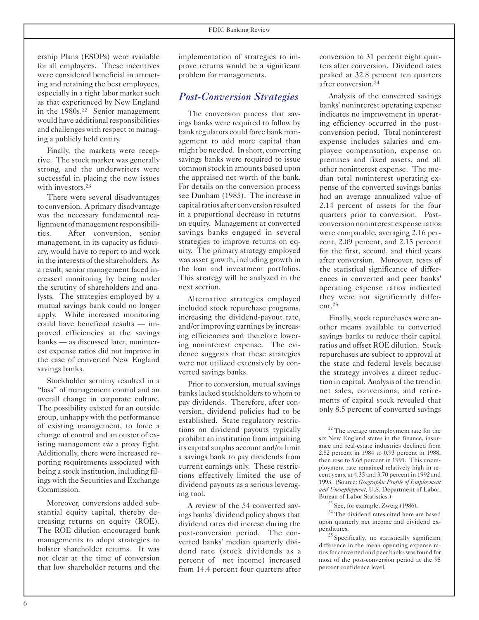ership Plans (ESOPs) were available for all employees. These incentives were considered beneficial in attracting and retaining the best employees, especially in a tight labor market such as that experienced by New England in the 1980s.<sup>22</sup> Senior management would have additional responsibilities and challenges with respect to managing a publicly held entity.

Finally, the markets were receptive. The stock market was generally strong, and the underwriters were successful in placing the new issues with investors.<sup>23</sup>

There were several disadvantages to conversion. A primary disadvantage was the necessary fundamental realignment of management responsibilities. After conversion, senior management, in its capacity as fiduciary, would have to report to and work in the interests of the shareholders. As a result, senior management faced increased monitoring by being under the scrutiny of shareholders and analysts. The strategies employed by a mutual savings bank could no longer apply. While increased monitoring could have beneficial results — improved efficiencies at the savings banks — as discussed later, noninterest expense ratios did not improve in the case of converted New England savings banks.

Stockholder scrutiny resulted in a "loss" of management control and an overall change in corporate culture. The possibility existed for an outside group, unhappy with the performance of existing management, to force a change of control and an ouster of existing management *via* a proxy fight. Additionally, there were increased reporting requirements associated with being a stock institution, including filings with the Securities and Exchange Commission.

Moreover, conversions added substantial equity capital, thereby decreasing returns on equity (ROE). The ROE dilution encouraged bank managements to adopt strategies to bolster shareholder returns. It was not clear at the time of conversion that low shareholder returns and the

implementation of strategies to improve returns would be a significant problem for managements.

#### *Post-Conversion Strategies*

The conversion process that savings banks were required to follow by bank regulators could force bank management to add more capital than might be needed. In short, converting savings banks were required to issue common stock in amounts based upon the appraised net worth of the bank. For details on the conversion process see Dunham (1985). The increase in capital ratios after conversion resulted in a proportional decrease in returns on equity. Management at converted savings banks engaged in several strategies to improve returns on equity. The primary strategy employed was asset growth, including growth in the loan and investment portfolios. This strategy will be analyzed in the next section.

Alternative strategies employed included stock repurchase programs, increasing the dividend-payout rate, and/or improving earnings by increasing efficiencies and therefore lowering noninterest expense. The evidence suggests that these strategies were not utilized extensively by converted savings banks.

Prior to conversion, mutual savings banks lacked stockholders to whom to pay dividends. Therefore, after conversion, dividend policies had to be established. State regulatory restrictions on dividend payouts typically prohibit an institution from impairing its capital surplus account and/or limit a savings bank to pay dividends from current earnings only. These restrictions effectively limited the use of dividend payouts as a serious leveraging tool.

A review of the 54 converted savings banks' dividend policy showsthat dividend rates did increse during the post-conversion period. The converted banks' median quarterly dividend rate (stock dividends as a percent of net income) increased from 14.4 percent four quarters after conversion to 31 percent eight quarters after conversion. Dividend rates peaked at 32.8 percent ten quarters after conversion.<sup>24</sup>

Analysis of the converted savings banks' noninterest operating expense indicates no improvement in operating efficiency occurred in the postconversion period. Total noninterest expense includes salaries and employee compensation, expense on premises and fixed assets, and all other noninterest expense. The median total noninterest operating expense of the converted savings banks had an average annualized value of 2.14 percent of assets for the four quarters prior to conversion. Postconversion noninterest expense ratios were comparable, averaging 2.16 percent, 2.09 percent, and 2.15 percent for the first, second, and third years after conversion. Moreover, tests of the statistical significance of differences in converted and peer banks' operating expense ratios indicated they were not significantly different. $25$ 

Finally, stock repurchases were another means available to converted savings banks to reduce their capital ratios and offset ROE dilution. Stock repurchases are subject to approval at the state and federal levels because the strategy involves a direct reduction in capital. Analysis of the trend in net sales, conversions, and retirements of capital stock revealed that only 8.5 percent of converted savings

Bureau of Labor Statistics.)<br><sup>23</sup> See, for example, Zweig (1986).<br><sup>24</sup> The dividend rates cited here are based upon quarterly net income and dividend expenditures. 25 Specifically, no statistically significant

difference in the mean operating expense ratios for converted and peer banks was found for most of the post-conversion period at the 95 percent confidence level.

<sup>&</sup>lt;sup>22</sup> The average unemployment rate for the six New England states in the finance, insurance and real-estate industries declined from 2.82 percent in 1984 to 0.93 percent in 1988, then rose to 5.68 percent in 1991. This unemployment rate remained relatively high in recent years, at 4.35 and 3.70 percent in 1992 and 1993. (Source: *Geographic Profile of Employment and Unemployment*, U.S. Department of Labor,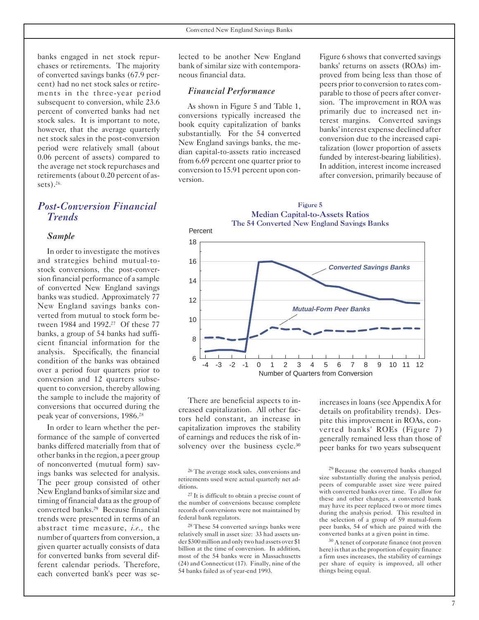banks engaged in net stock repurchases or retirements. The majority of converted savings banks (67.9 percent) had no net stock sales or retirements in the three-year period subsequent to conversion, while 23.6 percent of converted banks had net stock sales. It is important to note, however, that the average quarterly net stock sales in the post-conversion period were relatively small (about 0.06 percent of assets) compared to the average net stock repurchases and retirements (about 0.20 percent of assets). $26$ 

### *Post-Conversion Financial Trends*

#### *Sample*

In order to investigate the motives and strategies behind mutual-tostock conversions, the post-conversion financial performance of a sample of converted New England savings banks was studied. Approximately 77 New England savings banks converted from mutual to stock form between 1984 and 1992.<sup>27</sup> Of these 77 banks, a group of 54 banks had sufficient financial information for the analysis. Specifically, the financial condition of the banks was obtained over a period four quarters prior to conversion and 12 quarters subsequent to conversion, thereby allowing the sample to include the majority of conversions that occurred during the peak year of conversions, 1986.<sup>28</sup>

In order to learn whether the performance of the sample of converted banks differed materially from that of other banksin the region, a peer group of nonconverted (mutual form) savings banks was selected for analysis. The peer group consisted of other New England banks of similar size and timing of financial data asthe group of converted banks.<sup>29</sup> Because financial trends were presented in terms of an abstract time measure, *i.e.,* the number of quarters from conversion, a given quarter actually consists of data for converted banks from several different calendar periods. Therefore, each converted bank's peer was selected to be another New England bank of similar size with contemporaneous financial data.

#### *Financial Performance*

As shown in Figure 5 and Table 1, conversions typically increased the book equity capitalization of banks substantially. For the 54 converted New England savings banks, the median capital-to-assets ratio increased from 6.69 percent one quarter prior to conversion to 15.91 percent upon conversion.

Figure 6 shows that converted savings banks' returns on assets (ROAs) improved from being less than those of peers prior to conversion to rates comparable to those of peers after conversion. The improvement in ROA was primarily due to increased net interest margins. Converted savings banks' interest expense declined after conversion due to the increased capitalization (lower proportion of assets funded by interest-bearing liabilities). In addition, interest income increased after conversion, primarily because of





There are beneficial aspects to increased capitalization. All other factors held constant, an increase in capitalization improves the stability of earnings and reduces the risk of insolvency over the business cycle.<sup>30</sup>

26 The average stock sales, conversions and retirements used were actual quarterly net additions.

27 It is difficult to obtain a precise count of the number of conversions because complete records of conversions were not maintained by federal bank regulators.

28 These 54 converted savings banks were relatively small in asset size: 33 had assets under \$300 million and only two had assets over \$1 billion at the time of conversion. In addition, most of the 54 banks were in Massachusetts (24) and Connecticut (17). Finally, nine of the 54 banks failed as of year-end 1993.

increases in loans (see Appendix A for details on profitability trends). Despite this improvement in ROAs, converted banks' ROEs (Figure 7) generally remained less than those of peer banks for two years subsequent

<sup>29</sup> Because the converted banks changed size substantially during the analysis period, peers of comparable asset size were paired with converted banks over time. To allow for these and other changes, a converted bank may have its peer replaced two or more times during the analysis period. This resulted in the selection of a group of 59 mutual-form peer banks, 54 of which are paired with the converted banks at a given point in time. 30 A tenet of corporate finance (not proven

here) is that as the proportion of equity finance a firm uses increases, the stability of earnings per share of equity is improved, all other things being equal.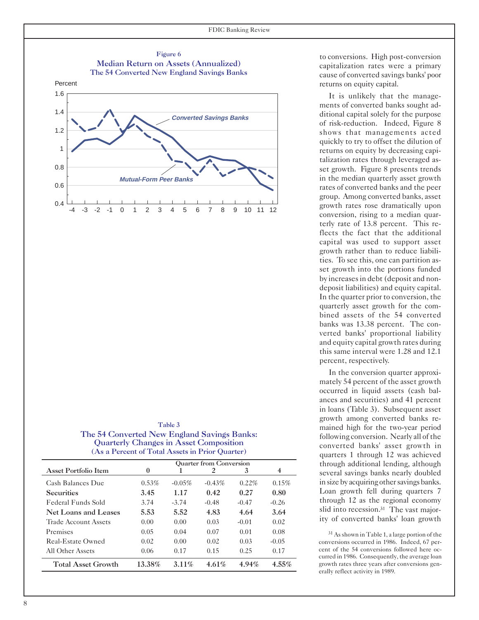

| <b>Lable 5</b>                                  |
|-------------------------------------------------|
| The 54 Converted New England Savings Banks:     |
| <b>Quarterly Changes in Asset Composition</b>   |
| (As a Percent of Total Assets in Prior Ouarter) |

marka 3

|                      |          |           | <b>Ouarter from Conversion</b> |          |          |
|----------------------|----------|-----------|--------------------------------|----------|----------|
| Asset Portfolio Item | $\bf{0}$ |           | 2                              | 3        | 4        |
| Cash Balances Due    | $0.53\%$ | $-0.05\%$ | $-0.43%$                       | $0.22\%$ | 0.15%    |
| <b>Securities</b>    | 3.45     | 1.17      | 0.42                           | 0.27     | 0.80     |
| Federal Funds Sold   | 3.74     | $-3.74$   | $-0.48$                        | $-0.47$  | $-0.26$  |
| Net Loans and Leases | 5.53     | 5.52      | 4.83                           | 4.64     | 3.64     |
| Trade Account Assets | 0.00     | 0.00      | 0.03                           | $-0.01$  | 0.02     |
| Premises             | 0.05     | 0.04      | 0.07                           | 0.01     | 0.08     |
| Real-Estate Owned    | 0.02     | 0.00      | 0.02                           | 0.03     | $-0.05$  |
| All Other Assets     | 0.06     | 0.17      | 0.15                           | 0.25     | 0.17     |
| Total Asset Growth   | 13.38%   | $3.11\%$  | $4.61\%$                       | $4.94\%$ | $4.55\%$ |

to conversions. High post-conversion capitalization rates were a primary cause of converted savings banks' poor returns on equity capital.

It is unlikely that the managements of converted banks sought additional capital solely for the purpose of risk-reduction. Indeed, Figure 8 shows that managements acted quickly to try to offset the dilution of returns on equity by decreasing capitalization rates through leveraged asset growth. Figure 8 presents trends in the median quarterly asset growth rates of converted banks and the peer group. Among converted banks, asset growth rates rose dramatically upon conversion, rising to a median quarterly rate of 13.8 percent. This reflects the fact that the additional capital was used to support asset growth rather than to reduce liabilities. To see this, one can partition asset growth into the portions funded by increasesin debt (deposit and nondeposit liabilities) and equity capital. In the quarter prior to conversion, the quarterly asset growth for the combined assets of the 54 converted banks was 13.38 percent. The converted banks' proportional liability and equity capital growth rates during this same interval were 1.28 and 12.1 percent, respectively.

In the conversion quarter approximately 54 percent of the asset growth occurred in liquid assets (cash balances and securities) and 41 percent in loans (Table 3). Subsequent asset growth among converted banks remained high for the two-year period following conversion. Nearly all of the converted banks' asset growth in quarters 1 through 12 was achieved through additional lending, although several savings banks nearly doubled in size by acquiring other savings banks. Loan growth fell during quarters 7 through 12 as the regional economy slid into recession.<sup>31</sup> The vast majority of converted banks' loan growth

31 As shown in Table 1, a large portion of the conversions occurred in 1986. Indeed, 67 percent of the 54 conversions followed here occurred in 1986. Consequently, the average loan growth rates three years after conversions generally reflect activity in 1989.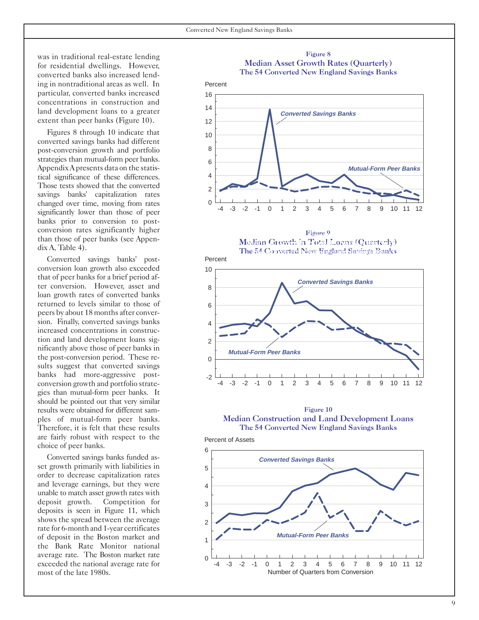was in traditional real-estate lending for residential dwellings. However, converted banks also increased lending in nontraditional areas as well. In Percent particular, converted banks increased 16 concentrations in construction and land development loans to a greater 14 extent than peer banks (Figure 10). 12

Figures 8 through 10 indicate that 10 converted savings banks had different post-conversion growth and portfolio 8 strategies than mutual-form peer banks.  $66$ Appendix A presents data on the statistical significance of these differences. 4 Those tests showed that the converted savings banks' capitalization rates changed over time, moving from rates significantly lower than those of peer banks prior to conversion to postconversion rates significantly higher than those of peer banks (see Appendix A, Table 4).

Therefore, it is felt that these results The 54 Converted New England Savings Banks Converted savings banks' post- Percent conversion loan growth also exceeded 10 that of peer banks for a brief period after conversion. However, asset and 8 loan growth rates of converted banks returned to levels similar to those of 6 peers by about 18 months after conversion. Finally, converted savings banks 4 increased concentrations in construction and land development loans sig-<br>2 nificantly above those of peer banks in the post-conversion period. These re- $\qquad \qquad$  0 sults suggest that converted savings banks had more-aggressive postgies than mutual-form peer banks. It should be pointed out that very similar results were obtained for different sam-<br>ples of mutual-form peer banks. Median Construction and Lan are fairly robust with respect to the Percent of Assets choice of peer banks.

Converted savings banks funded asset growth primarily with liabilities in  $\overline{5}$ order to decrease capitalization rates and leverage earnings, but they were 4 unable to match asset growth rates with deposit growth. Competition for 3 deposits is seen in Figure 11, which shows the spread between the average 2 rate for 6-month and 1-year certificates of deposit in the Boston market and 1 the Bank Rate Monitor national average rate. The Boston market rate  $\theta$ 

#### **Median Asset Growth Rates (Quarterly) Madition Asset Growth Rates (Quarterly) The 54 Converted New England Savings Banks** The 54 Converted New England Savings Banks Figure 8







**Median Construction and Land Development Loans Median Construction and Land Development Loans** 



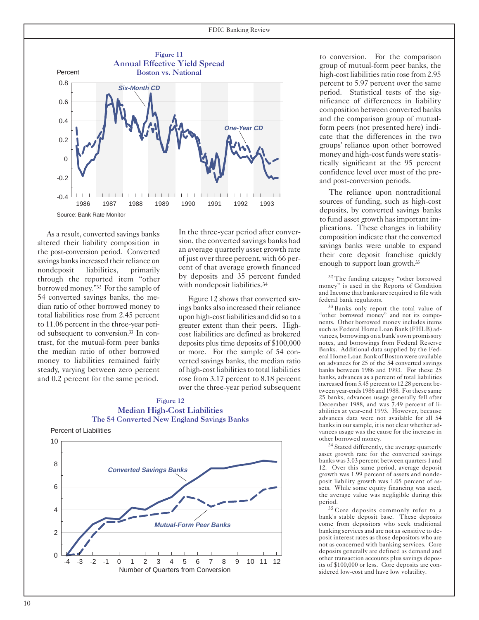

As a result, converted savings banks altered their liability composition in the post-conversion period. Converted savings banks increased their reliance on nondeposit liabilities, primarily through the reported item "other borrowed money."<sup>32</sup> For the sample of 54 converted savings banks, the median ratio of other borrowed money to total liabilities rose from 2.45 percent to 11.06 percent in the three-year period subsequent to conversion.<sup>33</sup> In contrast, for the mutual-form peer banks the median ratio of other borrowed money to liabilities remained fairly steady, varying between zero percent and 0.2 percent for the same period.

In the three-year period after conversion, the converted savings banks had an average quarterly asset growth rate of just over three percent, with 66 percent of that average growth financed by deposits and 35 percent funded with nondeposit liabilities.<sup>34</sup>

Figure 12 shows that converted savings banks also increased their reliance upon high-cost liabilities and did so to a greater extent than their peers. Highcost liabilities are defined as brokered deposits plus time deposits of \$100,000 or more. For the sample of 54 converted savings banks, the median ratio of high-cost liabilities to total liabilities rose from 3.17 percent to 8.18 percent over the three-year period subsequent





to conversion. For the comparison group of mutual-form peer banks, the high-cost liabilities ratio rose from 2.95 percent to 5.97 percent over the same period. Statistical tests of the significance of differences in liability composition between converted banks and the comparison group of mutualform peers (not presented here) indicate that the differences in the two groups' reliance upon other borrowed money and high-cost funds were statistically significant at the 95 percent confidence level over most of the preand post-conversion periods.

The reliance upon nontraditional sources of funding, such as high-cost deposits, by converted savings banks to fund asset growth has important implications. These changes in liability composition indicate that the converted savings banks were unable to expand their core deposit franchise quickly enough to support loan growth.<sup>35</sup>

<sup>32</sup> The funding category "other borrowed money" is used in the Reports of Condition and Income that banks are required to file with federal bank regulators. 33 Banks only report the total value of

"other borrowed money" and not its components. Other borrowed money includes items such as Federal Home Loan Bank (FHLB) advances, borrowings on a bank's own promissory notes, and borrowings from Federal Reserve Banks. Additional data supplied by the Federal Home Loan Bank of Boston were available on advances for 25 of the 54 converted savings banks between 1986 and 1993. For these 25 banks, advances as a percent of total liabilities increased from 5.45 percent to 12.28 percent between year-ends 1986 and 1988. For these same 25 banks, advances usage generally fell after December 1988, and was 7.49 percent of liabilities at year-end 1993. However, because advances data were not available for all 54 banks in our sample, it is not clear whether advances usage was the cause for the increase in

other borrowed money. 34 Stated differently, the average quarterly asset growth rate for the converted savings banks was 3.03 percent between quarters 1 and 12. Over this same period, average deposit growth was 1.99 percent of assets and nondeposit liability growth was 1.05 percent of assets. While some equity financing was used, the average value was negligible during this

<sup>35</sup> Core deposits commonly refer to a bank's stable deposit base. These deposits come from depositors who seek traditional banking services and are not as sensitive to deposit interest rates as those depositors who are not as concerned with banking services. Core deposits generally are defined as demand and other transaction accounts plus savings deposits of \$100,000 or less. Core deposits are considered low-cost and have low volatility.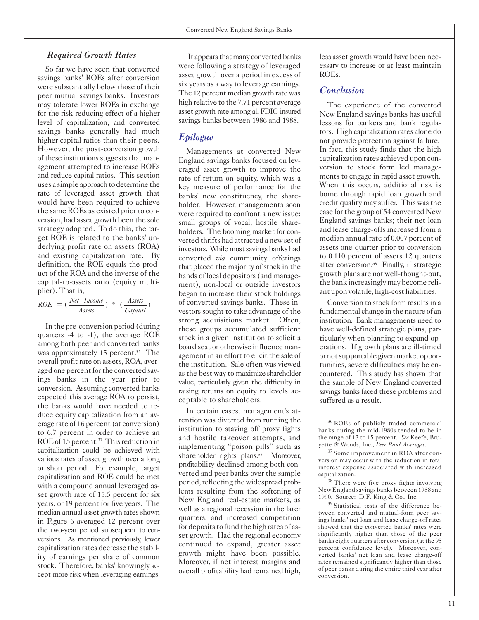#### *Required Growth Rates*

So far we have seen that converted savings banks' ROEs after conversion were substantially below those of their peer mutual savings banks. Investors may tolerate lower ROEs in exchange for the risk-reducing effect of a higher level of capitalization, and converted savings banks generally had much higher capital ratios than their peers. However, the post-conversion growth of these institutions suggests that management attempted to increase ROEs and reduce capital ratios. This section uses a simple approach to determine the rate of leveraged asset growth that would have been required to achieve the same ROEs as existed prior to conversion, had asset growth been the sole strategy adopted. To do this, the target ROE is related to the banks' underlying profit rate on assets (ROA) and existing capitalization rate. By definition, the ROE equals the product of the ROA and the inverse of the capital-to-assets ratio (equity multiplier). That is,

$$
ROE = (\frac{Net\ Income}{Assets}) * (\frac{Assets}{Capital})
$$

In the pre-conversion period (during quarters -4 to -1), the average ROE among both peer and converted banks was approximately 15 percent.<sup>36</sup> The overall profit rate on assets, ROA, averaged one percent for the converted savings banks in the year prior to conversion. Assuming converted banks expected this average ROA to persist, the banks would have needed to reduce equity capitalization from an average rate of 16 percent (at conversion) to 6.7 percent in order to achieve an ROE of 15 percent.<sup>37</sup> This reduction in capitalization could be achieved with various rates of asset growth over a long or short period. For example, target capitalization and ROE could be met with a compound annual leveraged asset growth rate of 15.5 percent for six years, or 19 percent for five years. The median annual asset growth rates shown in Figure 6 averaged 12 percent over the two-year period subsequent to conversions. As mentioned previously, lower capitalization rates decrease the stability of earnings per share of common stock. Therefore, banks' knowingly accept more risk when leveraging earnings.

It appears that many converted banks were following a strategy of leveraged asset growth over a period in excess of six years as a way to leverage earnings. The 12 percent median growth ratewas high relative to the 7.71 percent average asset growth rate among all FDIC-insured savings banks between 1986 and 1988.

#### *Epilogue*

Managements at converted New England savings banks focused on leveraged asset growth to improve the rate of return on equity, which was a key measure of performance for the banks' new constituency, the shareholder. However, managements soon were required to confront a new issue: small groups of vocal, hostile shareholders. The booming market for converted thrifts had attracted a newset of investors. While most savings banks had converted *via* community offerings that placed the majority of stock in the hands of local depositors (and management), non-local or outside investors began to increase their stock holdings of converted savings banks. These investors sought to take advantage of the strong acquisitions market. Often, these groups accumulated sufficient stock in a given institution to solicit a board seat or otherwise influence management in an effort to elicit the sale of the institution. Sale often was viewed as the best way to maximize shareholder value, particularly given the difficulty in raising returns on equity to levels acceptable to shareholders.

In certain cases, management's attention was diverted from running the institution to staving off proxy fights and hostile takeover attempts, and implementing "poison pills" such as shareholder rights plans.<sup>38</sup> Moreover, profitability declined among both converted and peer banks over the sample period, reflecting the widespread problems resulting from the softening of New England real-estate markets, as well as a regional recession in the later quarters, and increased competition for deposits to fund the high rates of asset growth. Had the regional economy continued to expand, greater asset growth might have been possible. Moreover, if net interest margins and overall profitability had remained high,

less asset growthwould have been necessary to increase or at least maintain ROEs.

#### *Conclusion*

The experience of the converted New England savings banks has useful lessons for bankers and bank regulators. High capitalization rates alone do not provide protection against failure. In fact, this study finds that the high capitalization rates achieved upon conversion to stock form led managements to engage in rapid asset growth. When this occurs, additional risk is borne through rapid loan growth and credit quality may suffer. This was the case for the group of 54 converted New England savings banks; their net loan and lease charge-offs increased from a median annual rate of 0.007 percent of assets one quarter prior to conversion to 0.110 percent of assets 12 quarters after conversion.<sup>39</sup> Finally, if strategic growth plans are not well-thought-out, the bank increasingly may become reliant upon volatile, high-cost liabilities.

Conversion to stock form results in a fundamental change in the nature of an institution. Bank managements need to have well-defined strategic plans, particularly when planning to expand operations. If growth plans are ill-timed or notsupportable given market opportunities, severe difficulties may be encountered. This study has shown that the sample of New England converted savings banks faced these problems and suffered as a result.

<sup>37</sup> Some improvement in ROA after conversion may occur with the reduction in total interest expense associated with increased

capitalization. 38 There were five proxy fights involving New England savings banks between 1988 and 1990. Source: D.F. King & Co., Inc.<br><sup>39</sup> Statistical tests of the difference be-

tween converted and mutual-form peer savings banks' net loan and lease charge-off rates showed that the converted banks' rates were significantly higher than those of the peer banks eight quarters after conversion (at the 95 percent confidence level). Moreover, converted banks' net loan and lease charge-off rates remained significantly higher than those of peer banks during the entire third year after conversion.

<sup>&</sup>lt;sup>36</sup> ROEs of publicly traded commercial banks during the mid-1980s tended to be in the range of 13 to 15 percent. *See* Keefe, Bru-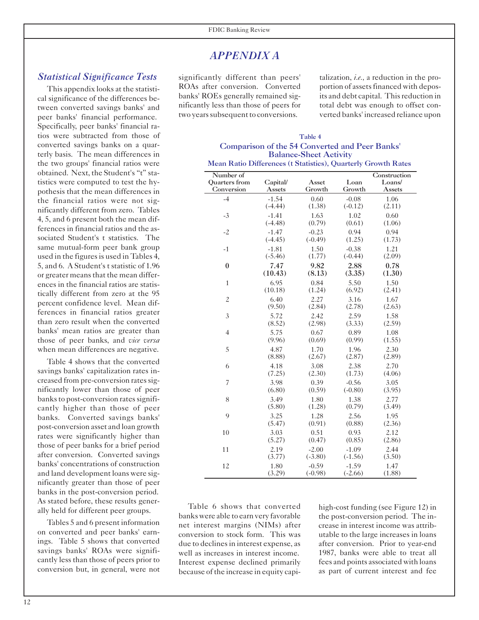## *APPENDIX A*

#### *Statistical Significance Tests*

This appendix looks at the statistical significance of the differences between converted savings banks' and peer banks' financial performance. Specifically, peer banks' financial ratios were subtracted from those of converted savings banks on a quarterly basis. The mean differences in the two groups' financial ratios were obtained. Next, the Student's "t" statistics were computed to test the hypothesis that the mean differences in the financial ratios were not significantly different from zero. Tables 4, 5, and 6 present both the mean differences in financial ratios and the associated Student's t statistics. The same mutual-form peer bank group used in the figures is used in Tables 4, 5, and 6. A Student's t statistic of 1.96 or greater means that the mean differences in the financial ratios are statistically different from zero at the 95 percent confidence level. Mean differences in financial ratios greater than zero result when the converted banks' mean ratios are greater than those of peer banks, and *vice versa* when mean differences are negative.

Table 4 shows that the converted savings banks' capitalization rates increased from pre-conversion rates significantly lower than those of peer banks to post-conversion rates significantly higher than those of peer banks. Converted savings banks' post-conversion asset and loan growth rates were significantly higher than those of peer banks for a brief period after conversion. Converted savings banks' concentrations of construction and land development loans were significantly greater than those of peer banks in the post-conversion period. As stated before, these results generally held for different peer groups.

Tables 5 and 6 present information on converted and peer banks' earnings. Table 5 shows that converted savings banks' ROAs were significantly less than those of peers prior to conversion but, in general, were not

significantly different than peers' ROAs after conversion. Converted banks' ROEs generally remained significantly less than those of peers for two years subsequent to conversions.

talization, *i.e.,* a reduction in the proportion of assets financed with deposits and debt capital. This reduction in total debt was enough to offset converted banks' increased reliance upon

#### Table 4 Comparison of the 54 Converted and Peer Banks' Balance-Sheet Activity Mean Ratio Differences (t Statistics), Quarterly Growth Rates

| mean Kaulo Dillerences (Cotatistics), Quarterly Orowin Kates<br>Number of |           |           |           | Construction |
|---------------------------------------------------------------------------|-----------|-----------|-----------|--------------|
| <b>Ouarters</b> from                                                      | Capital/  | Asset     | Loan      | Loans/       |
| Conversion                                                                | Assets    | Growth    | Growth    | Assets       |
| $-4$                                                                      | $-1.54$   | 0.60      | $-0.08$   | 1.06         |
|                                                                           | $(-4.44)$ | (1.38)    | $(-0.12)$ | (2.11)       |
| $-3$                                                                      | $-1.41$   | 1.63      | 1.02      | 0.60         |
|                                                                           | $(-4.48)$ | (0.79)    | (0.61)    | (1.06)       |
| $-2$                                                                      | $-1.47$   | $-0.23$   | 0.94      | 0.94         |
|                                                                           | $(-4.45)$ | $(-0.49)$ | (1.25)    | (1.73)       |
| $-1$                                                                      | $-1.81$   | 1.50      | $-0.38$   | 1.21         |
|                                                                           | $(-5.46)$ | (1.77)    | $(-0.44)$ | (2.09)       |
| $\bf{0}$                                                                  | 7.47      | 9.82      | 2.88      | 0.78         |
|                                                                           | (10.43)   | (8.13)    | (3.35)    | (1.30)       |
| $\,1\,$                                                                   | 6.95      | 0.84      | 5.50      | 1.50         |
|                                                                           | (10.18)   | (1.24)    | (6.92)    | (2.41)       |
| $\overline{c}$                                                            | 6.40      | 2.27      | 3.16      | 1.67         |
|                                                                           | (9.50)    | (2.84)    | (2.78)    | (2.63)       |
| $\mathfrak{Z}$                                                            | 5.72      | 2.42      | 2.59      | 1.58         |
|                                                                           | (8.52)    | (2.98)    | (3.33)    | (2.59)       |
| $\overline{4}$                                                            | 5.75      | 0.67      | 0.89      | 1.08         |
|                                                                           | (9.96)    | (0.69)    | (0.99)    | (1.55)       |
| 5                                                                         | 4.87      | 1.70      | 1.96      | 2.30         |
|                                                                           | (8.88)    | (2.67)    | (2.87)    | (2.89)       |
| 6                                                                         | 4.18      | 3.08      | 2.38      | 2.70         |
|                                                                           | (7.25)    | (2.30)    | (1.73)    | (4.06)       |
| 7                                                                         | 3.98      | 0.39      | $-0.56$   | 3.05         |
|                                                                           | (6.80)    | (0.59)    | $(-0.80)$ | (3.95)       |
| 8                                                                         | 3.49      | 1.80      | 1.38      | 2.77         |
|                                                                           | (5.80)    | (1.28)    | (0.79)    | (3.49)       |
| 9                                                                         | 3.25      | 1.28      | 2.56      | 1.95         |
|                                                                           | (5.47)    | (0.91)    | (0.88)    | (2.36)       |
| 10                                                                        | 3.03      | 0.51      | 0.93      | 2.12         |
|                                                                           | (5.27)    | (0.47)    | (0.85)    | (2.86)       |
| 11                                                                        | 2.19      | $-2.00$   | $-1.09$   | 2.44         |
|                                                                           | (3.77)    | $(-3.80)$ | $(-1.56)$ | (3.50)       |
| 12                                                                        | 1.80      | $-0.59$   | $-1.59$   | 1.47         |
|                                                                           | (3.29)    | $(-0.98)$ | $(-2.66)$ | (1.88)       |

Table 6 shows that converted banks were able to earn very favorable net interest margins (NIMs) after conversion to stock form. This was due to declines in interest expense, as well as increases in interest income. Interest expense declined primarily because of the increase in equity capihigh-cost funding (see Figure 12) in the post-conversion period. The increase in interest income was attributable to the large increases in loans after conversion. Prior to year-end 1987, banks were able to treat all fees and points associated with loans as part of current interest and fee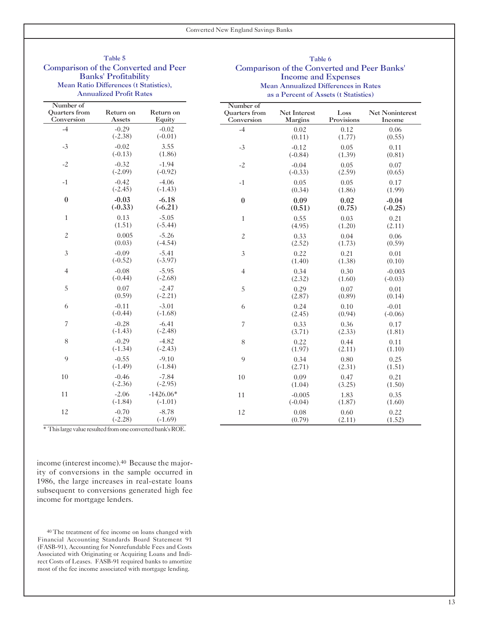# Banks' Profitability<br>
Mean Annualized Differences in<br>
Mean Annualized Differences in

#### Table 5 Table 6 Comparison of the Converted and Peer Comparison of the Converted and Peer Banks' Ratio Differences (t Statistics),<br>
Mean Annualized Differences in Rates<br>
Annualized Profit Rates<br>
Annualized Profit Rates as a Percent of Assets (t Statistics)

|                                                 | Allitualized I Tont Rates |                          | as a I ereem of Assets (Cotatistics)            |                                |                    |                           |  |  |  |  |
|-------------------------------------------------|---------------------------|--------------------------|-------------------------------------------------|--------------------------------|--------------------|---------------------------|--|--|--|--|
| Number of<br><b>Ouarters</b> from<br>Conversion | Return on<br>Assets       | Return on<br>Equity      | Number of<br><b>Ouarters</b> from<br>Conversion | Net Interest<br><b>Margins</b> | Loss<br>Provisions | Net Noninterest<br>Income |  |  |  |  |
| $-4$                                            | $-0.29$<br>$(-2.38)$      | $-0.02$<br>$(-0.01)$     | $-4$                                            | 0.02<br>(0.11)                 | 0.12<br>(1.77)     | 0.06<br>(0.55)            |  |  |  |  |
| $-3$                                            | $-0.02$<br>$(-0.13)$      | 3.55<br>(1.86)           | $-3$                                            | $-0.12$<br>$(-0.84)$           | 0.05<br>(1.39)     | 0.11<br>(0.81)            |  |  |  |  |
| $-2$                                            | $-0.32$<br>$(-2.09)$      | $-1.94$<br>$(-0.92)$     | $-2$                                            | $-0.04$<br>$(-0.33)$           | 0.05<br>(2.59)     | 0.07<br>(0.65)            |  |  |  |  |
| $-1$                                            | $-0.42$<br>$(-2.45)$      | $-4.06$<br>$(-1.43)$     | $-1$                                            | 0.05<br>(0.34)                 | 0.05<br>(1.86)     | 0.17<br>(1.99)            |  |  |  |  |
| $\boldsymbol{0}$                                | $-0.03$<br>$(-0.33)$      | $-6.18$<br>$(-6.21)$     | $\boldsymbol{0}$                                | 0.09<br>(0.51)                 | 0.02<br>(0.75)     | $-0.04$<br>$(-0.25)$      |  |  |  |  |
| $\mathbf{1}$                                    | 0.13<br>(1.51)            | $-5.05$<br>$(-5.44)$     | $\mathbf{1}$                                    | 0.55<br>(4.95)                 | 0.03<br>(1.20)     | 0.21<br>(2.11)            |  |  |  |  |
| $\boldsymbol{2}$                                | 0.005<br>(0.03)           | $-5.26$<br>$(-4.54)$     | $\boldsymbol{2}$                                | 0.33<br>(2.52)                 | 0.04<br>(1.73)     | 0.06<br>(0.59)            |  |  |  |  |
| 3                                               | $-0.09$<br>$(-0.52)$      | $-5.41$<br>$(-3.97)$     | 3                                               | 0.22<br>(1.40)                 | 0.21<br>(1.38)     | 0.01<br>(0.10)            |  |  |  |  |
| $\overline{4}$                                  | $-0.08$<br>$(-0.44)$      | $-5.95$<br>$(-2.68)$     | $\overline{4}$                                  | 0.34<br>(2.32)                 | 0.30<br>(1.60)     | $-0.003$<br>$(-0.03)$     |  |  |  |  |
| 5                                               | 0.07<br>(0.59)            | $-2.47$<br>$(-2.21)$     | 5                                               | 0.29<br>(2.87)                 | 0.07<br>(0.89)     | 0.01<br>(0.14)            |  |  |  |  |
| 6                                               | $-0.11$<br>$(-0.44)$      | $-3.01$<br>$(-1.68)$     | 6                                               | 0.24<br>(2.45)                 | 0.10<br>(0.94)     | $-0.01$<br>$(-0.06)$      |  |  |  |  |
| 7                                               | $-0.28$<br>$(-1.43)$      | $-6.41$<br>$(-2.48)$     | 7                                               | 0.33<br>(3.71)                 | 0.36<br>(2.33)     | 0.17<br>(1.81)            |  |  |  |  |
| 8                                               | $-0.29$<br>$(-1.34)$      | $-4.82$<br>$(-2.43)$     | $8\,$                                           | 0.22<br>(1.97)                 | 0.44<br>(2.11)     | 0.11<br>(1.10)            |  |  |  |  |
| 9                                               | $-0.55$<br>$(-1.49)$      | $-9.10$<br>$(-1.84)$     | 9                                               | 0.34<br>(2.71)                 | 0.80<br>(2.31)     | 0.25<br>(1.51)            |  |  |  |  |
| $10\,$                                          | $-0.46$<br>$(-2.36)$      | $-7.84$<br>$(-2.95)$     | 10                                              | 0.09<br>(1.04)                 | 0.47<br>(3.25)     | 0.21<br>(1.50)            |  |  |  |  |
| 11                                              | $-2.06$<br>$(-1.84)$      | $-1426.06*$<br>$(-1.01)$ | $11\,$                                          | $-0.005$<br>$(-0.04)$          | 1.83<br>(1.87)     | 0.35<br>(1.60)            |  |  |  |  |
| 12                                              | $-0.70$<br>$(-2.28)$      | $-8.78$<br>$(-1.69)$     | 12                                              | 0.08<br>(0.79)                 | 0.60<br>(2.11)     | 0.22<br>(1.52)            |  |  |  |  |

\* This large value resulted from one converted bank's ROE.

income (interest income).40 Because the majority of conversions in the sample occurred in 1986, the large increases in real-estate loans subsequent to conversions generated high fee income for mortgage lenders.

40 The treatment of fee income on loans changed with Financial Accounting Standards Board Statement 91 (FASB-91), Accounting for Nonrefundable Fees and Costs Associated with Originating or Acquiring Loans and Indirect Costs of Leases. FASB-91 required banks to amortize most of the fee income associated with mortgage lending.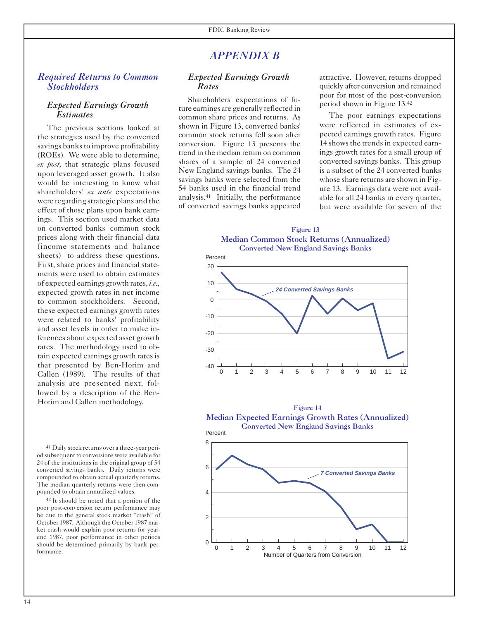14

### *APPENDIX B*

#### *Required Returns to Common Stockholders*

#### *Expected Earnings Growth Estimates*

The previous sections looked at the strategies used by the converted savings banks to improve profitability (ROEs). We were able to determine, *ex post,* that strategic plans focused upon leveraged asset growth. It also would be interesting to know what shareholders' *ex ante* expectations were regarding strategic plans and the effect of those plans upon bank earnings. This section used market data on converted banks' common stock prices along with their financial data (income statements and balance sheets) to address these questions. First, share prices and financial statements were used to obtain estimates of expected earnings growth rates, *i.e.,*  expected growth rates in net income to common stockholders. Second, these expected earnings growth rates were related to banks' profitability and asset levels in order to make inferences about expected asset growth rates. The methodology used to obtain expected earnings growth rates is that presented by Ben-Horim and Callen (1989). The results of that analysis are presented next, followed by a description of the Ben-Horim and Callen methodology.

41 Daily stock returns over a three-year period subsequent to conversions were available for 24 of the institutions in the original group of 54 converted savings banks. Daily returns were compounded to obtain actual quarterly returns. The median quarterly returns were then compounded to obtain annualized values.

<sup>42</sup> It should be noted that a portion of the poor post-conversion return performance may be due to the general stock market "crash" of October 1987. Although the October 1987 market crash would explain poor returns for yearend 1987, poor performance in other periods should be determined primarily by bank performance.

#### *Expected Earnings Growth Rates*

Shareholders' expectations of future earnings are generally reflected in common share prices and returns. As shown in Figure 13, converted banks' common stock returns fell soon after conversion. Figure 13 presents the trend in the median return on common shares of a sample of 24 converted New England savings banks. The 24 savings banks were selected from the 54 banks used in the financial trend analysis.41 Initially, the performance of converted savings banks appeared attractive. However, returns dropped quickly after conversion and remained poor for most of the post-conversion period shown in Figure 13.42

The poor earnings expectations were reflected in estimates of expected earnings growth rates. Figure 14 shows the trends in expected earnings growth rates for a small group of converted savings banks. This group is a subset of the 24 converted banks whose share returns are shown in Figure 13. Earnings data were not available for all 24 banks in every quarter, but were available for seven of the

**Figure 13 Median Common Stock Returns (Annualized)** Median Common Stock Returns (Annualized) **Converted New England Savings Banks** Converted New England Savings Banks Figure 13





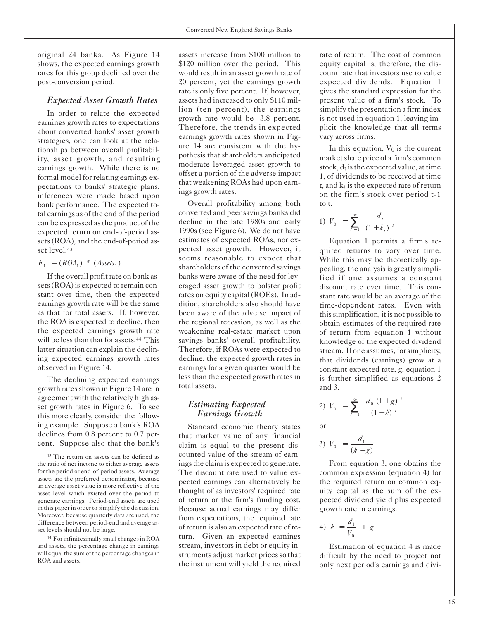original 24 banks. As Figure 14 shows, the expected earnings growth rates for this group declined over the post-conversion period.

#### *Expected Asset Growth Rates*

In order to relate the expected earnings growth rates to expectations about converted banks' asset growth strategies, one can look at the relationships between overall profitability, asset growth, and resulting earnings growth. While there is no formal model for relating earnings expectations to banks' strategic plans, inferences were made based upon bank performance. The expected total earnings as of the end of the period can be expressed as the product of the expected return on end-of-period assets (ROA), and the end-of-period asset level.43

$$
E_1 = (ROA_1) * (Assets_1)
$$

If the overall profit rate on bank assets (ROA) is expected to remain constant over time, then the expected earnings growth rate will be the same as that for total assets. If, however, the ROA is expected to decline, then the expected earnings growth rate will be less than that for assets.44 This latter situation can explain the declining expected earnings growth rates observed in Figure 14.

The declining expected earnings growth rates shown in Figure 14 are in agreement with the relatively high asset growth rates in Figure 6. To see this more clearly, consider the following example. Suppose a bank's ROA declines from 0.8 percent to 0.7 percent. Suppose also that the bank's

43 The return on assets can be defined as the ratio of net income to either average assets for the period or end-of-period assets. Average assets are the preferred denominator, because an average asset value is more reflective of the asset level which existed over the period to generate earnings. Period-end assets are used in this paper in order to simplify the discussion. Moreover, because quarterly data are used, the difference between period-end and average asset levels should not be large.

44 For infinitesimally small changes in ROA and assets, the percentage change in earnings will equal the sum of the percentage changes in ROA and assets.

assets increase from \$100 million to \$120 million over the period. This would result in an asset growth rate of 20 percent, yet the earnings growth rate is only five percent. If, however, assets had increased to only \$110 million (ten percent), the earnings growth rate would be -3.8 percent. Therefore, the trends in expected earnings growth rates shown in Figure 14 are consistent with the hypothesis that shareholders anticipated moderate leveraged asset growth to offset a portion of the adverse impact that weakening ROAs had upon earnings growth rates.

Overall profitability among both converted and peer savings banks did decline in the late 1980s and early 1990s (see Figure 6). We do not have estimates of expected ROAs, nor expected asset growth. However, it seems reasonable to expect that shareholders of the converted savings banks were aware of the need for leveraged asset growth to bolster profit rates on equity capital (ROEs). In addition, shareholders also should have been aware of the adverse impact of the regional recession, as well as the weakening real-estate market upon savings banks' overall profitability. Therefore, if ROAs were expected to decline, the expected growth rates in earnings for a given quarter would be less than the expected growth rates in total assets.

#### *Estimating Expected Earnings Growth*

Standard economic theory states that market value of any financial claim is equal to the present discounted value of the stream of earnings the claim is expected to generate. The discount rate used to value expected earnings can alternatively be thought of as investors' required rate of return or the firm's funding cost. Because actual earnings may differ from expectations, the required rate of return is also an expected rate of return. Given an expected earnings stream, investors in debt or equity instruments adjust market prices so that the instrument will yield the required rate of return. The cost of common equity capital is, therefore, the discount rate that investors use to value expected dividends. Equation 1 gives the standard expression for the present value of a firm's stock. To simplify the presentation a firm index is not used in equation 1, leaving implicit the knowledge that all terms vary across firms.

In this equation,  $V_0$  is the current market share price of a firm's common stock,  $d_t$  is the expected value, at time 1, of dividends to be received at time t, and  $k_t$  is the expected rate of return on the firm's stock over period t-1 to t.

1) 
$$
V_0 = \sum_{t=1}^{\infty} \frac{d_t}{(1+k_t)^t}
$$

Equation 1 permits a firm's required returns to vary over time. While this may be theoretically appealing, the analysis is greatly simplified if one assumes a constant discount rate over time. This constant rate would be an average of the time-dependent rates. Even with this simplification, it is not possible to obtain estimates of the required rate of return from equation 1 without knowledge of the expected dividend stream. If one assumes, for simplicity, that dividends (earnings) grow at a constant expected rate, g, equation 1 is further simplified as equations 2 and 3.

2) 
$$
V_0 = \sum_{t=1}^{\infty} \frac{d_0 (1+g)^t}{(1+k)^t}
$$

or

3) 
$$
V_0 = \frac{d_1}{(k - g)}
$$

From equation 3, one obtains the common expression (equation 4) for the required return on common equity capital as the sum of the expected dividend yield plus expected growth rate in earnings.

$$
4) \ \ k = \frac{d_1}{V_0} + g
$$

Estimation of equation 4 is made difficult by the need to project not only next period's earnings and divi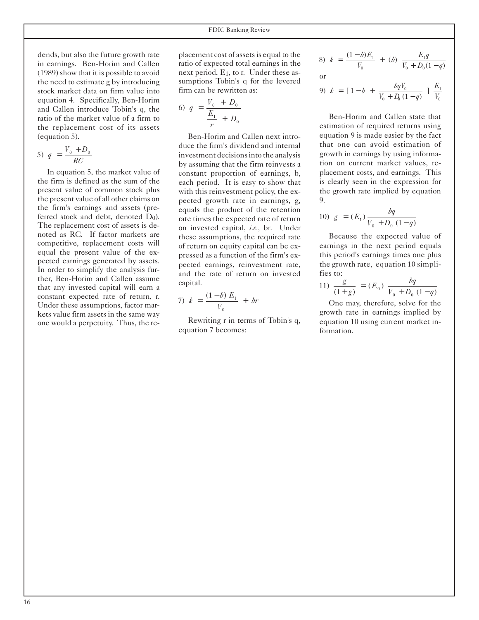dends, but also the future growth rate in earnings. Ben-Horim and Callen (1989) show that it is possible to avoid the need to estimate g by introducing stock market data on firm value into equation 4. Specifically, Ben-Horim and Callen introduce Tobin's q, the ratio of the market value of a firm to the replacement cost of its assets (equation 5).

$$
5) \quad q = \frac{V_0 + D_0}{RC}
$$

In equation 5, the market value of the firm is defined as the sum of the present value of common stock plus the present value of all other claims on the firm's earnings and assets (preferred stock and debt, denoted  $D_0$ ). The replacement cost of assets is denoted as RC. If factor markets are competitive, replacement costs will equal the present value of the expected earnings generated by assets. In order to simplify the analysis further, Ben-Horim and Callen assume that any invested capital will earn a constant expected rate of return, r. Under these assumptions, factor markets value firm assets in the same way one would a perpetuity. Thus, the replacement cost of assets is equal to the ratio of expected total earnings in the next period,  $E_1$ , to r. Under these assumptions Tobin's q for the levered firm can be rewritten as:

6) 
$$
q = \frac{V_0 + D_0}{\frac{E_1}{r} + D_0}
$$

Ben-Horim and Callen next introduce the firm's dividend and internal investment decisions into the analysis by assuming that the firm reinvests a constant proportion of earnings, b, each period. It is easy to show that with this reinvestment policy, the expected growth rate in earnings, g, equals the product of the retention rate times the expected rate of return on invested capital, *i.e.,* br. Under these assumptions, the required rate of return on equity capital can be expressed as a function of the firm's expected earnings, reinvestment rate, and the rate of return on invested capital.

7) 
$$
k = \frac{(1-b) E_1}{V_0} + br
$$

Rewriting r in terms of Tobin's q, equation 7 becomes:

8) 
$$
k = \frac{(1-b)E_1}{V_0} + (b) \frac{E_1q}{V_0 + D_0(1-q)}
$$
  
or

9) 
$$
k = [1-b + \frac{bqV_0}{V_0 + D_0(1-q)}]
$$
  $\frac{E_1}{V_0}$ 

Ben-Horim and Callen state that estimation of required returns using equation 9 is made easier by the fact that one can avoid estimation of growth in earnings by using information on current market values, replacement costs, and earnings. This is clearly seen in the expression for the growth rate implied by equation 9.

10) 
$$
g = (E_1) \frac{bq}{V_0 + D_0 (1-q)}
$$

Because the expected value of earnings in the next period equals this period's earnings times one plus the growth rate, equation 10 simplifies to:

11) 
$$
\frac{g}{(1+g)} = (E_0) \frac{bq}{V_0 + D_0 (1-q)}
$$

One may, therefore, solve for the growth rate in earnings implied by equation 10 using current market information.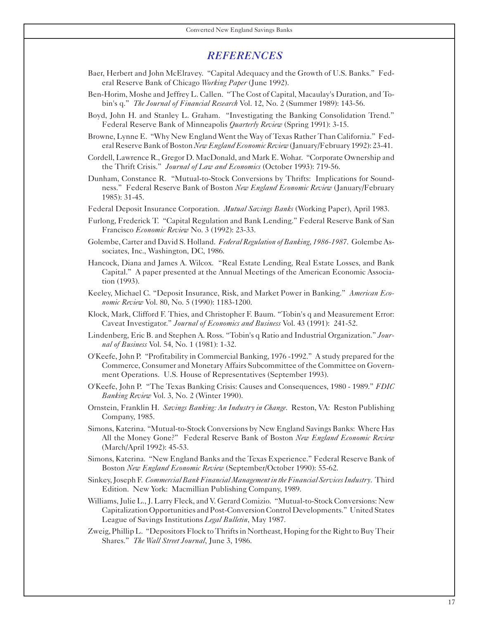#### *REFERENCES*

- Baer, Herbert and John McElravey. "Capital Adequacy and the Growth of U.S. Banks." Federal Reserve Bank of Chicago *Working Paper* (June 1992).
- Ben-Horim, Moshe and Jeffrey L. Callen. "The Cost of Capital, Macaulay's Duration, and Tobin's q." *The Journal of Financial Research* Vol. 12, No. 2 (Summer 1989): 143-56.
- Boyd, John H. and Stanley L. Graham. "Investigating the Banking Consolidation Trend." Federal Reserve Bank of Minneapolis *Quarterly Review* (Spring 1991): 3-15.
- Browne, Lynne E. "Why New England Went the Way of Texas Rather Than California." Federal Reserve Bank of Boston *New England Economic Review* (January/February 1992): 23-41.
- Cordell, Lawrence R., Gregor D. MacDonald, and Mark E. Wohar. "Corporate Ownership and the Thrift Crisis." *Journal of Law and Economics* (October 1993): 719-56.
- Dunham, Constance R. "Mutual-to-Stock Conversions by Thrifts: Implications for Soundness." Federal Reserve Bank of Boston *New England Economic Review* (January/February 1985): 31-45.
- Federal Deposit Insurance Corporation. *Mutual Savings Banks* (Working Paper), April 1983.
- Furlong, Frederick T. "Capital Regulation and Bank Lending." Federal Reserve Bank of San Francisco *Economic Review* No. 3 (1992): 23-33.
- Golembe, Carter and David S. Holland. *Federal Regulation of Banking*, *1986-1987*. Golembe Associates, Inc., Washington, DC, 1986.
- Hancock, Diana and James A. Wilcox. "Real Estate Lending, Real Estate Losses, and Bank Capital." A paper presented at the Annual Meetings of the American Economic Association (1993).
- Keeley, Michael C. "Deposit Insurance, Risk, and Market Power in Banking." *American Economic Review* Vol. 80, No. 5 (1990): 1183-1200.
- Klock, Mark, Clifford F. Thies, and Christopher F. Baum. "Tobin's q and Measurement Error: Caveat Investigator." *Journal of Economics and Business* Vol. 43 (1991): 241-52.
- Lindenberg, Eric B. and Stephen A. Ross. "Tobin's q Ratio and Industrial Organization." *Journal of Business* Vol. 54, No. 1 (1981): 1-32.
- O'Keefe, John P. "Profitability in Commercial Banking, 1976 -1992." A study prepared for the Commerce, Consumer and Monetary Affairs Subcommittee of the Committee on Government Operations. U.S. House of Representatives (September 1993).
- O'Keefe, John P. "The Texas Banking Crisis: Causes and Consequences, 1980 1989." *FDIC Banking Review* Vol. 3, No. 2 (Winter 1990).
- Ornstein, Franklin H. *Savings Banking: An Industry in Change*. Reston, VA: Reston Publishing Company, 1985.
- Simons, Katerina. "Mutual-to-Stock Conversions by New England Savings Banks: Where Has All the Money Gone?" Federal Reserve Bank of Boston *New England Economic Review*  (March/April 1992): 45-53.
- Simons, Katerina. "New England Banks and the Texas Experience." Federal Reserve Bank of Boston *New England Economic Review* (September/October 1990): 55-62.
- Sinkey, Joseph F. *Commercial Bank Financial Management in the Financial Services Industry*. Third Edition. New York: Macmillian Publishing Company, 1989.
- Williams, Julie L., J. Larry Fleck, and V. Gerard Comizio. "Mutual-to-Stock Conversions: New Capitalization Opportunities and Post-Conversion Control Developments." United States League of Savings Institutions *Legal Bulletin*, May 1987.
- Zweig, Phillip L. "Depositors Flock to Thrifts in Northeast, Hoping for the Right to Buy Their Shares." *The Wall Street Journal*, June 3, 1986.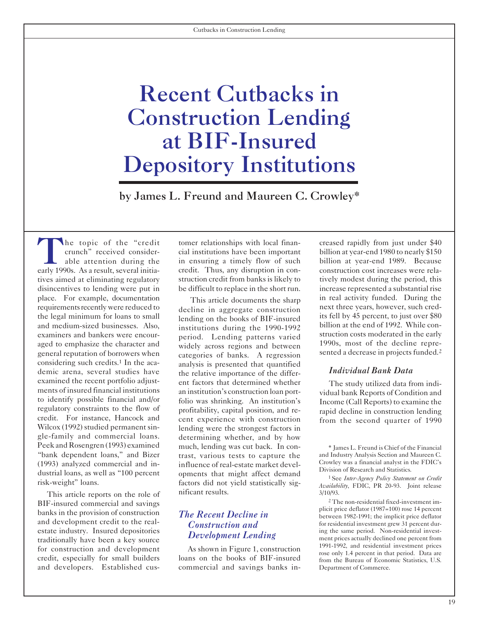## <span id="page-19-0"></span>Recent Cutbacks in Construction Lending at BIF-Insured Depository Institutions

by James L. Freund and Maureen C. Crowley\*

The topic of the "credit tomer relationships with local finan-<br>creased rapidly from just under \$40<br>able attention during the in ensuring a timely flow of such billion at year-end 1980 to nearly \$150<br>early 1990s. As a resul early 1990s. As a result, several initia-<br>tives aimed at eliminating regulatory struction credit from banks is likely to tively modest during the period, this tives aimed at eliminating regulatory struction credit from banks is likely to tively modest during the period, this disincentives to lending were put in be difficult to replace in the short run. increase represented a substantial rise place. For example, documentation This article documents the sharp in real activity funded. During the requirements recently were reduced to decline in aggregate construction the best of BIE-insured its fell by 45 percent, the legal minimum for loans to small lending on the books of BIF-insured<br>and medium-sized businesses. Also, institutions during the 1990-1992 billion at the end of 1992. While conand medium-sized businesses. Also, binstitutions during the 1990-1992 billion at the end of 1992. While con-<br>examiners and bankers were encouraged to emphasize the character and widely across regions and between 1990s, most of the decline repre-<br>general reputation of borrowers when categories of banks A regression sented a decrease in projects funded.<sup>2</sup> general reputation of borrowers when sented a decrease in projects of banks. A regression considering such credits.<sup>1</sup> In the acategories is presented that quantified considering such credits.<sup>1</sup> In the aca analysis is presented that quantified demic arena, several studies have the relative importance of the differdemic arena, several studies have the relative importance of the differ-<br>examined the recent portfolio adjust-<br>ent factors that determined whether The study utilized data from examined the recent portfolio adjust-<br>ments of insured financial institutions an institution's construction loan port-<br>widual hank Benorts of Condition and ments of insured financial institutions an institution's construction loan port-<br>to identify possible financial and/or folio was shripking. An institution's Income (Call Reports) to examine the to identify possible financial and/or folio was shrinking. An institution's Income (Call Reports) to examine the regulatory constraints to the flow of profitability, capital position, and re-<br>rapid decline in construction regulatory constraints to the flow of profitability, capital position, and re-<br>
credit. For instance, Hancock and cent experience with construction from the second quarter of 1990<br>
Wilcox (1992) studied permanent sin-<br>
len Wilcox (1992) studied permanent sin-<br>gle-family and commercial loans. determining whether and by how gle-family and commercial loans. determining whether, and by how<br>Peek and Rosengren (1993) examined much lending was cut back. In con-"bank dependent loans," and Bizer trast, various tests to capture the and Industry Analysis Section and Maureen C.<br>(1993) analyzed commercial and in-<br>influence of real-estate market devel-<br>Crowley was a financial analyst i

This article reports on the role of initicant results. 3/10/93.<br>
F-insured commercial and savings<br>
The non-residential fixed-investment im-BIF-insured commercial and savings<br>
banks in the provision of construction<br>
The Recent Decline in<br>
The Recent Decline in<br>
The Recent Decline in<br>
Servecen 1982-1991; the implicit price deflator<br>
between 1982-1991; the impli and development credit to the real-<br>estate industry. Insured depositories<br> $\sum_{i=1}^{n} I_i$ estate industry. Insured depositories intervals in the same period. Non-residential investor  $Development$  Lending traditionally have been a key source **Development Lending** ment prices actually declined one percent from the contract of the contract of the contract of the contract of the contract of the contract of the contract of the for construction and development<br>
credit, especially for small builders<br>
and developers. Established cus-<br>
commercial and savings banks in-<br>
Department of Commerce.<br>
Department of Commerce. and developers. Established cus- commercial and savings banks in- Department of Commerce.

period. Lending patterns varied struction costs moderated in the early period. Lending patterns varied. 1990s, most of the decline repremuch, lending was cut back. In con-<br>\* James L. Freund is Chief of the Financial (1993) analyzed commercial and in-<br>
dustrial loans, as well as "100 percent opments that might affect demand<br>
risk-weight" loans. factors did not yield statistically sig-<br>
factors did not yield statistically sig-<br>
ther-Age

crunch" received consider cial institutions have been important billion at year-end 1980 to nearly \$150 able attention during the in ensuring a timely flow of such billion at year-end 1989. Because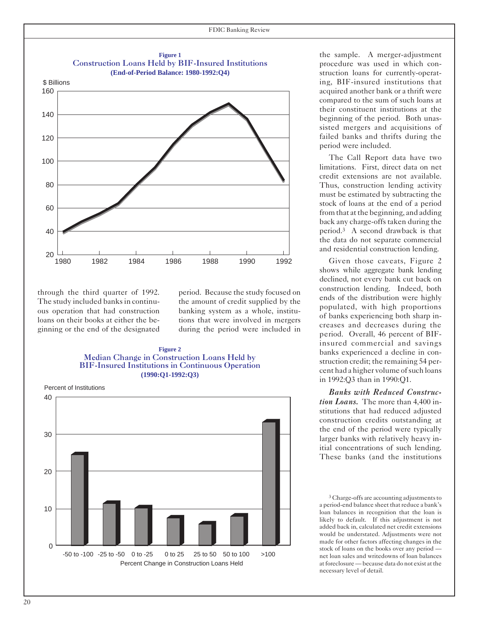

through the third quarter of 1992. The study included banks in continuous operation that had construction loans on their books at either the beginning or the end of the designated period. Because the study focused on the amount of credit supplied by the banking system as a whole, institutions that were involved in mergers during the period were included in

#### **Figure 2**  Median Change in Construction Loans Held by BIF-Insured Institutions in Continuous Operation **(1990:Q1-1992:Q3)**

Percent of Institutions



the sample. A merger-adjustment procedure was used in which construction loans for currently-operating, BIF-insured institutions that acquired another bank or a thrift were compared to the sum of such loans at their constituent institutions at the beginning of the period. Both unassisted mergers and acquisitions of failed banks and thrifts during the period were included.

The Call Report data have two limitations. First, direct data on net credit extensions are not available. Thus, construction lending activity must be estimated by subtracting the stock of loans at the end of a period from that at the beginning, and adding back any charge-offs taken during the period.3 A second drawback is that the data do not separate commercial and residential construction lending.

Given those caveats, Figure 2 shows while aggregate bank lending declined, not every bank cut back on construction lending. Indeed, both ends of the distribution were highly populated, with high proportions of banks experiencing both sharp increases and decreases during the period. Overall, 46 percent of BIFinsured commercial and savings banks experienced a decline in construction credit; the remaining 54 percent had a higher volume of such loans in 1992:Q3 than in 1990:Q1.

*Banks with Reduced Construction Loans.* The more than 4,400 institutions that had reduced adjusted construction credits outstanding at the end of the period were typically larger banks with relatively heavy initial concentrations of such lending. These banks (and the institutions

<sup>3</sup> Charge-offs are accounting adjustments to a period-end balance sheet that reduce a bank's loan balances in recognition that the loan is likely to default. If this adjustment is not added back in, calculated net credit extensions would be understated. Adjustments were not made for other factors affecting changes in the stock of loans on the books over any period net loan sales and writedowns of loan balances at foreclosure — because data do not exist at the necessary level of detail.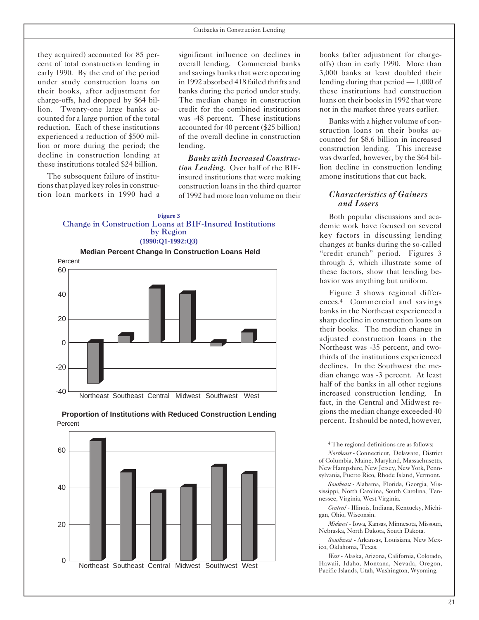they acquired) accounted for 85 percent of total construction lending in early 1990. By the end of the period under study construction loans on their books, after adjustment for charge-offs, had dropped by \$64 billion. Twenty-one large banks accounted for a large portion of the total reduction. Each of these institutions experienced a reduction of \$500 million or more during the period; the decline in construction lending at these institutions totaled \$24 billion.

The subsequent failure of institutions that played key roles in construction loan markets in 1990 had a

significant influence on declines in overall lending. Commercial banks and savings banks that were operating in 1992 absorbed 418 failed thrifts and banks during the period under study. The median change in construction credit for the combined institutions was -48 percent. These institutions accounted for 40 percent (\$25 billion) of the overall decline in construction lending.

*Banks with Increased Construction Lending.* Over half of the BIFinsured institutions that were making construction loans in the third quarter of 1992 had more loan volume on their

#### **Figure 3**  Change in Construction Loans at BIF-Insured Institutions by Region **(1990:Q1-1992:Q3)**





#### **Proportion of Institutions with Reduced Construction Lending**  Percent

books (after adjustment for chargeoffs) than in early 1990. More than 3,000 banks at least doubled their lending during that period — 1,000 of these institutions had construction loans on their books in 1992 that were not in the market three years earlier.

Banks with a higher volume of construction loans on their books accounted for \$8.6 billion in increased construction lending. This increase was dwarfed, however, by the \$64 billion decline in construction lending among institutions that cut back.

#### *Characteristics of Gainers and Losers*

Both popular discussions and academic work have focused on several key factors in discussing lending changes at banks during the so-called "credit crunch" period. Figures 3 through 5, which illustrate some of these factors, show that lending behavior was anything but uniform.

Figure 3 shows regional differences.4 Commercial and savings banks in the Northeast experienced a sharp decline in construction loans on their books. The median change in adjusted construction loans in the Northeast was -35 percent, and twothirds of the institutions experienced declines. In the Southwest the median change was -3 percent. At least half of the banks in all other regions increased construction lending. In fact, in the Central and Midwest regions the median change exceeded 40 percent. Itshould be noted, however,

<sup>4</sup> The regional definitions are as follows:

*Northeast* - Connecticut, Delaware, District of Columbia, Maine, Maryland, Massachusetts, New Hampshire, New Jersey, New York, Pennsylvania, Puerto Rico, Rhode Island, Vermont.

*Southeast* - Alabama, Florida, Georgia, Mississippi, North Carolina, South Carolina, Tennessee, Virginia, West Virginia.

*Central* - Illinois, Indiana, Kentucky, Michigan, Ohio, Wisconsin.

*Midwest -* Iowa, Kansas, Minnesota, Missouri, Nebraska, North Dakota, South Dakota*.*

*Southwest* - Arkansas, Louisiana, New Mexico, Oklahoma, Texas.

*West -* Alaska, Arizona, California, Colorado, Hawaii, Idaho, Montana, Nevada, Oregon, Pacific Islands, Utah, Washington, Wyoming*.*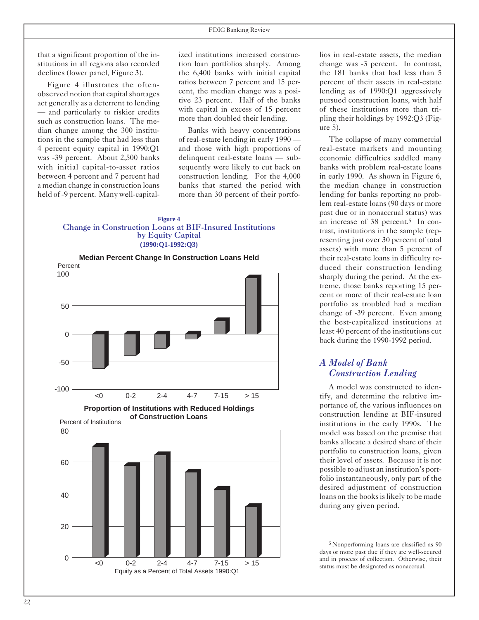that a significant proportion of the institutions in all regions also recorded declines (lower panel, Figure 3).

Figure 4 illustrates the oftenobserved notion that capital shortages act generally as a deterrent to lending — and particularly to riskier credits such as construction loans. The median change among the 300 institutions in the sample that had less than 4 percent equity capital in 1990:Q1 was -39 percent. About 2,500 banks with initial capital-to-asset ratios between 4 percent and 7 percent had a median change in construction loans held of -9 percent. Many well-capitalized institutions increased construction loan portfolios sharply. Among the 6,400 banks with initial capital ratios between 7 percent and 15 percent, the median change was a positive 23 percent. Half of the banks with capital in excess of 15 percent more than doubled their lending.

Banks with heavy concentrations of real-estate lending in early 1990 and those with high proportions of delinquent real-estate loans — subsequently were likely to cut back on construction lending. For the 4,000 banks that started the period with more than 30 percent of their portfo-

**Figure 4**  Change in Construction Loans at BIF-Insured Institutions by Equity Capital **(1990:Q1-1992:Q3)** 



Equity as a Percent of Total Assets 1990:Q1

<0 0-2 2-4 4-7 7-15 > 15

lios in real-estate assets, the median change was -3 percent. In contrast, the 181 banks that had less than 5 percent of their assets in real-estate lending as of 1990:Q1 aggressively pursued construction loans, with half of these institutions more than tripling their holdings by 1992:Q3 (Figure 5).

The collapse of many commercial real-estate markets and mounting economic difficulties saddled many banks with problem real-estate loans in early 1990. As shown in Figure 6, the median change in construction lending for banks reporting no problem real-estate loans (90 days or more past due or in nonaccrual status) was an increase of 38 percent.5 In contrast, institutions in the sample (representing just over 30 percent of total assets) with more than 5 percent of their real-estate loans in difficulty reduced their construction lending sharply during the period. At the extreme, those banks reporting 15 percent or more of their real-estate loan portfolio as troubled had a median change of -39 percent. Even among the best-capitalized institutions at least 40 percent of the institutions cut back during the 1990-1992 period.

#### *A Model of Bank Construction Lending*

A model was constructed to identify, and determine the relative importance of, the various influences on construction lending at BIF-insured institutions in the early 1990s. The model was based on the premise that banks allocate a desired share of their portfolio to construction loans, given their level of assets. Because it is not possible to adjust an institution's portfolio instantaneously, only part of the desired adjustment of construction loans on the books is likely to be made during any given period.

<sup>5</sup> Nonperforming loans are classified as 90 days or more past due if they are well-secured and in process of collection. Otherwise, their status must be designated as nonaccrual.

 $\Omega$ 

20

40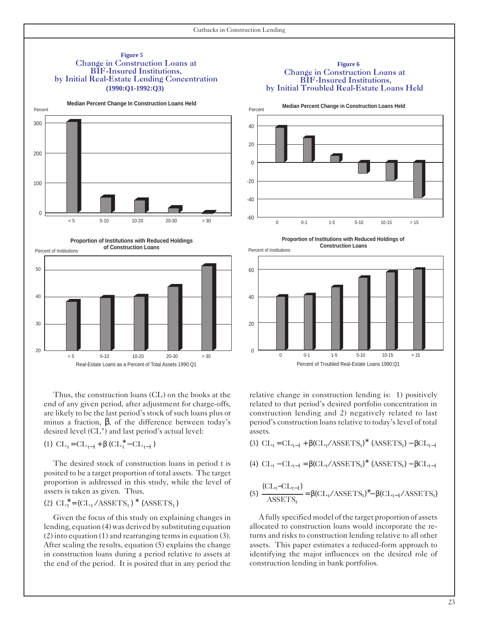

#### **Figure 6**  Change in Construction Loans at BIF-Insured Institutions, by Initial Troubled Real-Estate Loans Held





Thus, the construction loans (CL) on the books at the end of any given period, after adjustment for charge-offs, are likely to be the last period's stock of such loans plus or minus a fraction,  $\beta$ , of the difference between today's desired level (CL\*) and last period's actual level:

$$
(1) \hspace{2mm} \text{CL}_t \hspace{-2mm}=\hspace{-2mm} \text{CL}_{t-1} \hspace{-2mm}+\hspace{-2mm} \beta \hspace{2mm} (\text{CL}^*_t - \text{CL}_{t-1}\hspace{2mm})
$$

30

 $20$ 

The desired stock of construction loans in period t is posited to be a target proportion of total assets. The target proportion is addressed in this study, while the level of assets is taken as given. Thus,

$$
(2) \ \mathrm{CL}_\mathrm{t}^* \!=\! (\mathrm{CL}_\mathrm{t} / \mathrm{ASSETS}_\mathrm{t})^* \ \left( \mathrm{ASSETS}_\mathrm{t} \right)
$$

Given the focus of this study on explaining changes in lending, equation (4) was derived by substituting equation  $(2)$  into equation  $(1)$  and rearranging terms in equation  $(3)$ . After scaling the results, equation (5) explains the change in construction loans during a period relative to assets at the end of the period. It is posited that in any period the





relative change in construction lending is: 1) positively related to that period's desired portfolio concentration in construction lending and 2) negatively related to last period's construction loans relative to today's level of total assets.

(3) 
$$
CL_t = CL_{t-1} + \beta (CL_t / ASSETS_t)^*
$$
 (ASSETS<sub>t</sub>) –  $\beta CL_{t-1}$ 

(4) 
$$
CL_t - CL_{t-1} = \beta (CL_t/ASSETS_t)^*
$$
 (ASSETS<sub>t</sub>) –  $\beta CL_{t-1}$ 

(5) 
$$
\frac{\text{(CLt-CLt-1)}}{\text{ASSETS}t} = \beta(\text{CL}t/\text{ASSETS}t)* - \beta(\text{CL}t-1/\text{ASSETS}t)
$$

Afully specified model of the target proportion of assets allocated to construction loans would incorporate the returns and risks to construction lending relative to all other assets. This paper estimates a reduced-form approach to identifying the major influences on the desired role of construction lending in bank portfolios.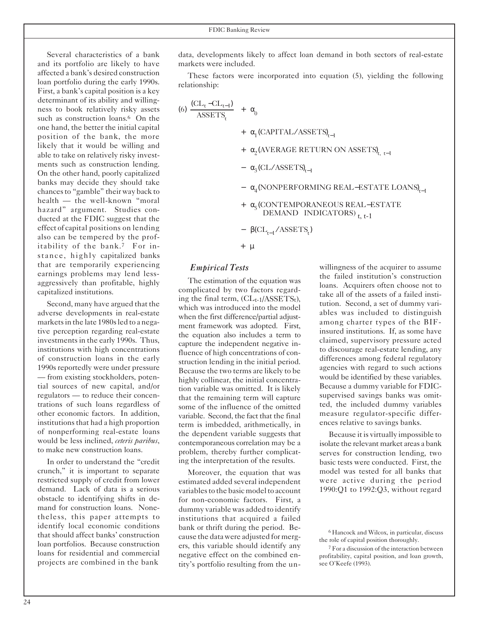Several characteristics of a bank and its portfolio are likely to have affected a bank's desired construction loan portfolio during the early 1990s. First, a bank's capital position is a key determinant of its ability and willingness to book relatively risky assets such as construction loans.<sup>6</sup> On the one hand, the better the initial capital position of the bank, the more likely that it would be willing and able to take on relatively risky investments such as construction lending. On the other hand, poorly capitalized banks may decide they should take chancesto "gamble" their way back to health — the well-known "moral hazard" argument. Studies conducted at the FDIC suggest that the effect of capital positions on lending also can be tempered by the profitability of the bank.7 For instance, highly capitalized banks that are temporarily experiencing earnings problems may lend lessaggressively than profitable, highly capitalized institutions.

Second, many have argued that the adverse developments in real-estate markets in the late 1980s led to a negative perception regarding real-estate investments in the early 1990s. Thus, institutions with high concentrations of construction loans in the early 1990s reportedly were under pressure — from existing stockholders, potential sources of new capital, and/or regulators — to reduce their concentrations of such loans regardless of other economic factors. In addition, institutions that had a high proportion of nonperforming real-estate loans would be less inclined, *ceteris paribus*, to make new construction loans.

In order to understand the "credit crunch," it is important to separate restricted supply of credit from lower demand. Lack of data is a serious obstacle to identifying shifts in demand for construction loans. Nonetheless, this paper attempts to identify local economic conditions that should affect banks' construction loan portfolios. Because construction loans for residential and commercial projects are combined in the bank

data, developments likely to affect loan demand in both sectors of real-estate markets were included.

These factors were incorporated into equation (5), yielding the following relationship:

$$
(6) \frac{(CL_{t}-CL_{t-1})}{ASSETS_{t}} + \alpha_{0}
$$
  
+  $\alpha_{1}$ (CAPITAL/ASSETS)<sub>t-1</sub>  
+  $\alpha_{2}$ (AVERAGE RETURN ON ASSETS)<sub>t, t-1</sub>  
-  $\alpha_{3}$ (CL/ASSETS)<sub>t-1</sub>  
-  $\alpha_{4}$ (NONPERFORMING REAL-ESTATE LOANS)<sub>t-1</sub>  
+  $\alpha_{5}$ (CONTEMPRORANEOUS REAL-ESTATE  
DEMAND INDICATORS)<sub>t, t-1</sub>  
-  $\beta$ (CL<sub>t-1</sub>/ASSETS<sub>t</sub>)  
+  $\mu$ 

#### *Empirical Tests*

The estimation of the equation was complicated by two factors regarding the final term,  $CL_{t-1}/ASSETS_t$ ), which was introduced into the model when the first difference/partial adjustment framework was adopted. First, the equation also includes a term to capture the independent negative influence of high concentrations of construction lending in the initial period. Because the two terms are likely to be highly collinear, the initial concentration variable was omitted. It is likely that the remaining term will capture some of the influence of the omitted variable. Second, the fact that the final term is imbedded, arithmetically, in the dependent variable suggests that contemporaneous correlation may be a problem, thereby further complicating the interpretation of the results.

Moreover, the equation that was estimated added several independent variables to the basic model to account for non-economic factors. First, a dummy variable was added to identify institutions that acquired a failed bank or thrift during the period. Because the data were adjusted for mergers, this variable should identify any negative effect on the combined entity's portfolio resulting from the unwillingness of the acquirer to assume the failed institution's construction loans. Acquirers often choose not to take all of the assets of a failed institution. Second, a set of dummy variables was included to distinguish among charter types of the BIFinsured institutions. If, as some have claimed, supervisory pressure acted to discourage real-estate lending, any differences among federal regulatory agencies with regard to such actions would be identified by these variables. Because a dummy variable for FDICsupervised savings banks was omitted, the included dummy variables measure regulator-specific differences relative to savings banks.

Because it is virtually impossible to isolate the relevant market areas a bank serves for construction lending, two basic tests were conducted. First, the model was tested for all banks that were active during the period 1990:Q1 to 1992:Q3, without regard

<sup>6</sup> Hancock and Wilcox, in particular, discuss the role of capital position thoroughly.

<sup>7</sup> For a discussion of the interaction between profitability, capital position, and loan growth, see O'Keefe (1993).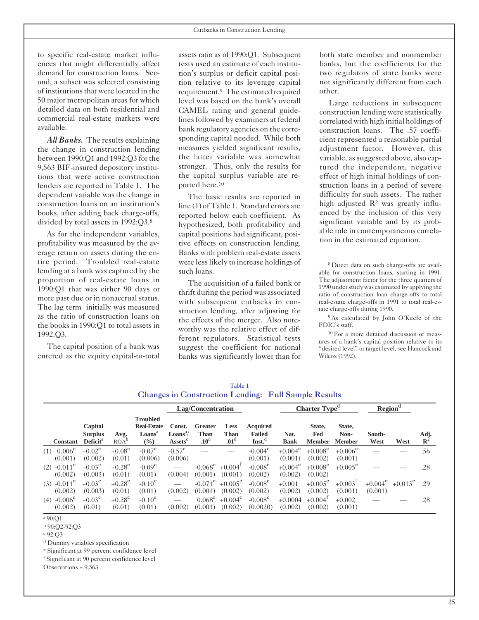to specific real-estate market influences that might differentially affect demand for construction loans. Second, a subset was selected consisting of institutions that were located in the 50 major metropolitan areas for which detailed data on both residential and commercial real-estate markets were available.

*All Banks.* The results explaining the change in construction lending between 1990:Q1 and 1992:Q3 for the 9,563 BIF-insured depository institutions that were active construction lenders are reported in Table 1. The dependent variable was the change in construction loans on an institution's books, after adding back charge-offs, divided by total assets in 1992:Q3.8

As for the independent variables, profitability was measured by the average return on assets during the entire period. Troubled real-estate lending at a bank was captured by the proportion of real-estate loans in 1990:Q1 that was either 90 days or more past due or in nonaccrual status. The lag term initially was measured as the ratio of construction loans on the books in 1990:Q1 to total assets in 1992:Q3.

The capital position of a bank was entered as the equity capital-to-total assets ratio as of 1990:Q1. Subsequent tests used an estimate of each institution's surplus or deficit capital position relative to its leverage capital requirement.9 The estimated required level was based on the bank's overall CAMEL rating and general guidelines followed by examiners at federal bank regulatory agencies on the corresponding capital needed. While both measures yielded significant results, the latter variable was somewhat stronger. Thus, only the results for the capital surplus variable are reported here.10

The basic results are reported in line (1) of Table 1. Standard errors are reported below each coefficient. As hypothesized, both profitability and capital positions had significant, positive effects on construction lending. Banks with problem real-estate assets were lesslikely to increase holdings of such loans.

The acquisition of a failed bank or thrift during the period was associated with subsequent cutbacks in construction lending, after adjusting for the effects of the merger. Also noteworthy was the relative effect of different regulators. Statistical tests suggest the coefficient for national banks was significantly lower than for both state member and nonmember banks, but the coefficients for the two regulators of state banks were not significantly different from each other.

Large reductions in subsequent construction lending were statistically correlated with high initial holdings of construction loans. The .57 coefficient represented a reasonable partial adjustment factor. However, this variable, as suggested above, also captured the independent, negative effect of high initial holdings of construction loans in a period of severe difficulty for such assets. The rather high adjusted  $\mathbb{R}^2$  was greatly influenced by the inclusion of this very significant variable and by its probable role in contemporaneous correlation in the estimated equation.

<sup>8</sup> Direct data on such charge-offs are available for construction loans, starting in 1991. The adjustment factor for the three quarters of 1990 understudy was estimated by applying the ratio of construction loan charge-offs to total real-estate charge-offs in 1991 to total real-estate charge-offs during 1990.

<sup>9</sup> As calculated by John O'Keefe of the FDIC's staff.

<sup>10</sup> For a more detailed discussion of measures of a bank's capital position relative to its "desired level" or target level, see Hancock and Wilcox (1992).

|                                      |                                                          |                          |                                                                              | <b>Changes in Construction Lending: Full Sample Results</b><br>Charter Type <sup>d</sup><br>Lag/Concentration |                                            |                                         |                                                        |                       |                                  | Region <sup>d</sup>              |                |                           |                        |
|--------------------------------------|----------------------------------------------------------|--------------------------|------------------------------------------------------------------------------|---------------------------------------------------------------------------------------------------------------|--------------------------------------------|-----------------------------------------|--------------------------------------------------------|-----------------------|----------------------------------|----------------------------------|----------------|---------------------------|------------------------|
| <b>Constant</b>                      | Capital<br><b>Surplus</b><br><b>Deficit</b> <sup>a</sup> | Avg.<br>ROA <sup>b</sup> | <b>Troubled</b><br><b>Real-Estate</b><br>Loans <sup>a</sup><br>$\frac{9}{6}$ | Const.<br>$\text{Loans}^a$ /<br>Assets                                                                        | Greater<br><b>Than</b><br>.10 <sup>d</sup> | <b>Less</b><br>Than<br>.01 <sup>d</sup> | <b>Acquired</b><br><b>Failed</b><br>$\mathbf{Inst.}^d$ | Nat.<br><b>Bank</b>   | State,<br>Fed<br><b>Member</b>   | State,<br>Non-<br><b>Member</b>  | South-<br>West | West                      | Adj.<br>$\mathbf{R}^2$ |
| $0.006^e$<br>(1)<br>(0.001)          | $+0.02^e$<br>(0.002)                                     | $+0.08^e$<br>(0.01)      | $-0.07^e$<br>(0.006)                                                         | $-0.57^{\circ}$<br>(0.006)                                                                                    |                                            |                                         | $-0.004^e$<br>(0.001)                                  | $+0.004^e$<br>(0.001) | $+0.008^{\circ}$<br>(0.002)      | $+0.006^{\circ}$<br>(0.001)      |                |                           | .56                    |
| $(2)$ -0.011 <sup>e</sup><br>(0.002) | $+0.03^e$<br>(0.003)                                     | $+0.28^e$<br>(0.01)      | $-0.09^e$<br>(0.01)                                                          | (0.004)                                                                                                       | $-0.068^e$<br>(0.001)                      | $+0.004^{\mathrm{t}}$<br>(0.001)        | $-0.008^e$<br>(0.002)                                  | $+0.004^e$<br>(0.002) | $+0.008^e$<br>(0.002)            | $+0.005^{\circ}$                 |                |                           | .28                    |
| $(3) -0.011^e$<br>(0.002)            | $+0.03^e$<br>(0.003)                                     | $+0.28^e$<br>(0.01)      | $-0.10^e$<br>(0.01)                                                          | (0.002)                                                                                                       | $-0.071^{\circ}$<br>(0.001)                | $+0.005^{\circ}$<br>(0.002)             | $-0.008^e$<br>(0.002)                                  | $+0.001$<br>(0.002)   | $+0.005^{\circ}$<br>(0.002)      | $+0.003$ <sup>T</sup><br>(0.001) | (0.001)        | $+0.004^e$ $+0.013^e$ .29 |                        |
| $(4)$ -0.006 <sup>e</sup><br>(0.002) | $+0.03^e$<br>(0.01)                                      | $+0.28^e$<br>(0.01)      | $-0.10^{\circ}$<br>(0.01)                                                    | (0.002)                                                                                                       | $0.068^e$<br>(0.001)                       | $+0.004^e$<br>(0.002)                   | $-0.008^e$<br>(0.0020)                                 | $+0.0004$<br>(0.002)  | $+0.004$ <sup>I</sup><br>(0.002) | $+0.002$<br>(0.001)              |                |                           | .28                    |

Table 1

<sup>d</sup> Dummy variables specification

<sup>e</sup> Significant at 99 percent confidence level <sup>f</sup> Significant at 90 percent confidence level

Observations = 9,563

<sup>a</sup> 90:Q1

<sup>b</sup> 90:Q2-92:Q3

<sup>c</sup> 92:Q3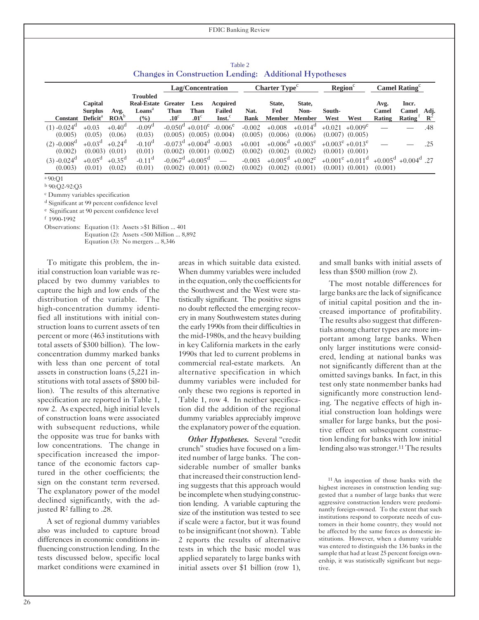| Table 2                                                       |  |
|---------------------------------------------------------------|--|
| <b>Changes in Construction Lending: Additional Hypotheses</b> |  |

|                           |                           |                         |                                          |                        | Lag/Concentration                          |                                  |             | Charter Type <sup>c</sup> |                  | Region <sup>c</sup> |                                      |                                             | Camel Rating $\mathbf{C}$ |                |
|---------------------------|---------------------------|-------------------------|------------------------------------------|------------------------|--------------------------------------------|----------------------------------|-------------|---------------------------|------------------|---------------------|--------------------------------------|---------------------------------------------|---------------------------|----------------|
|                           |                           |                         | <b>Troubled</b>                          |                        |                                            |                                  |             |                           |                  |                     |                                      |                                             |                           |                |
|                           | Capital<br><b>Surplus</b> | Avg.                    | <b>Real-Estate</b><br>Loans <sup>a</sup> | Greater<br><b>Than</b> | <b>Less</b><br><b>Than</b>                 | <b>Acquired</b><br><b>Failed</b> | Nat.        | State,<br>Fed             | State.<br>Non-   | South-              |                                      | Avg.<br>Camel                               | Incr.<br>Camel            | Adj.           |
| <b>Constant</b>           | Deficit <sup>a</sup>      | $\text{ROA}^{\text{u}}$ | $\left(\frac{6}{6}\right)$               | $.10^{\circ}$          | $.01^\circ$                                | $\text{Inst.}^{\circ}$           | <b>Bank</b> | <b>Member</b>             | <b>Member</b>    | West                | West                                 | Rating                                      | Rating                    | $\mathbf{R}^2$ |
| $(1) -0.024$ <sup>d</sup> | $+0.03$                   | $+0.40^{\circ}$         | $-0.09d$                                 |                        | $-0.050^{\mathrm{d}} + 0.010^{\mathrm{e}}$ | $-0.006^e$                       | $-0.002$    | $+0.008$                  | $+0.014^{\rm d}$ |                     | $+0.021 + 0.009^e$                   |                                             |                           | .48            |
| (0.005)                   | (0.05)                    | (0.06)                  | (0.03)                                   | (0.005)                | (0.005)                                    | (0.004)                          | (0.005)     | (0.006)                   | (0.006)          |                     | $(0.007)$ $(0.005)$                  |                                             |                           |                |
| $(2) -0.008d$             | $+0.03^d$                 | $+0.24^{\rm d}$         | $-0.10^d$                                | $-0.073^{\rm d}$       | $+0.004^d$                                 | $-0.003$                         | $+0.001$    | $+0.006^{\text{d}}$       | $+0.003^e$       |                     | $+0.003^e + 0.013^e$                 |                                             |                           | .25            |
| (0.002)                   | (0.003)                   | (0.01)                  | (0.01)                                   | (0.002)                | (0.001)                                    | (0.002)                          | (0.002)     | (0.002)                   | (0.002)          |                     | $(0.001)$ $(0.001)$                  |                                             |                           |                |
| $(3) -0.024$ <sup>d</sup> | $+0.05^{\rm d}$           | $+0.35^{\circ}$         | $-0.11$ <sup>d</sup>                     | $-0.067$ <sup>d</sup>  | $+0.005^{\rm d}$                           |                                  | $-0.003$    | $+0.005^{\mathrm{d}}$     | $+0.002^e$       |                     | $+0.001^{\circ}$ +0.011 <sup>d</sup> | $+0.005^{\text{d}}$ +0.004 <sup>d</sup> .27 |                           |                |
| (0.003)                   | (0.01)                    | (0.02)                  | (0.01)                                   | (0.002)                | (0.001)                                    | (0.002)                          | (0.002)     | (0.002)                   | (0.001)          |                     | $(0.001)$ $(0.001)$                  | (0.001)                                     |                           |                |

<sup>a</sup> 90:Q1

<sup>b</sup> 90:Q2-92:Q3

<sup>c</sup> Dummy variables specification

<sup>d</sup> Significant at 99 percent confidence level

<sup>e</sup> Significant at 90 percent confidence level

<sup>f</sup> 1990-1992

Observations: Equation (1): Assets >\$1 Billion ... 401

Equation (2): Assets <500 Million ... 8,892

Equation (3): No mergers ... 8,346

To mitigate this problem, the initial construction loan variable was replaced by two dummy variables to capture the high and low ends of the distribution of the variable. The high-concentration dummy identified all institutions with initial construction loans to current assets of ten percent or more (463 institutions with total assets of \$300 billion). The lowconcentration dummy marked banks with less than one percent of total assets in construction loans (5,221 institutions with total assets of \$800 billion). The results of this alternative specification are reported in Table 1, row 2. As expected, high initial levels of construction loans were associated with subsequent reductions, while the opposite was true for banks with low concentrations. The change in specification increased the importance of the economic factors captured in the other coefficients; the sign on the constant term reversed. The explanatory power of the model declined significantly, with the adjusted R2 falling to .28.

A set of regional dummy variables also was included to capture broad differences in economic conditions influencing construction lending. In the tests discussed below, specific local market conditions were examined in

areas in which suitable data existed. When dummy variables were included in the equation, only the coefficients for the Southwest and the West were statistically significant. The positive signs no doubt reflected the emerging recovery in many Southwestern states during the early 1990s from their difficulties in the mid-1980s, and the heavy building in key California markets in the early 1990s that led to current problems in commercial real-estate markets. An alternative specification in which dummy variables were included for only these two regions is reported in Table 1, row 4. In neither specification did the addition of the regional dummy variables appreciably improve the explanatory power of the equation.

*Other Hypotheses.* Several "credit crunch" studies have focused on a limited number of large banks. The considerable number of smaller banks thatincreased their construction lending suggests that this approach would be incomplete when studying construction lending. A variable capturing the size of the institution was tested to see if scale were a factor, but it was found to be insignificant (notshown). Table 2 reports the results of alternative tests in which the basic model was applied separately to large banks with initial assets over \$1 billion (row 1), and small banks with initial assets of less than \$500 million (row 2).

The most notable differences for large banks are the lack of significance of initial capital position and the increased importance of profitability. The results also suggest that differentials among charter types are more important among large banks. When only larger institutions were considered, lending at national banks was not significantly different than at the omitted savings banks. In fact, in this test only state nonmember banks had significantly more construction lending. The negative effects of high initial construction loan holdings were smaller for large banks, but the positive effect on subsequent construction lending for banks with low initial lending also was stronger.<sup>11</sup> The results

<sup>11</sup> An inspection of those banks with the highest increases in construction lending suggested that a number of large banks that were aggressive construction lenders were predominantly foreign-owned. To the extent that such institutions respond to corporate needs of customers in their home country, they would not be affected by the same forces as domestic institutions. However, when a dummy variable was entered to distinguish the 136 banks in the sample that had at least 25 percent foreign ownership, it was statistically significant but negative.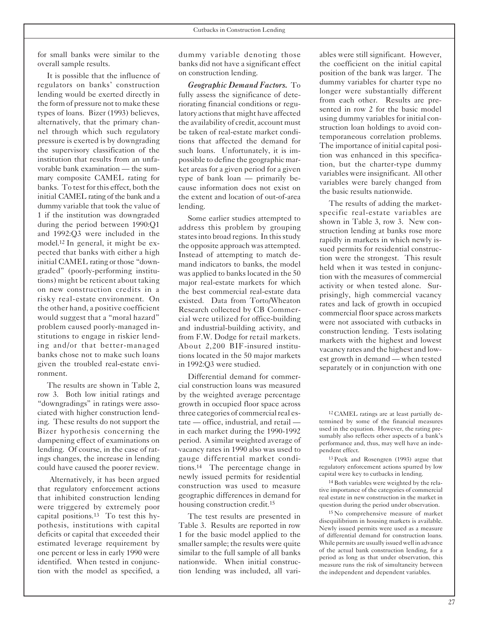for small banks were similar to the overall sample results.

It is possible that the influence of regulators on banks' construction lending would be exerted directly in the form of pressure not to make these types of loans. Bizer (1993) believes, alternatively, that the primary channel through which such regulatory pressure is exerted is by downgrading the supervisory classification of the institution that results from an unfavorable bank examination — the summary composite CAMEL rating for banks. To test for this effect, both the initial CAMEL rating of the bank and a dummy variable that took the value of 1 if the institution was downgraded during the period between 1990:Q1 and 1992:Q3 were included in the model.12 In general, it might be expected that banks with either a high initial CAMEL rating or those "downgraded" (poorly-performing institutions) might be reticent about taking on new construction credits in a risky real-estate environment. On the other hand, a positive coefficient would suggest that a "moral hazard" problem caused poorly-managed institutions to engage in riskier lending and/or that better-managed banks chose not to make such loans given the troubled real-estate environment.

The results are shown in Table 2, row 3. Both low initial ratings and "downgradings" in ratings were associated with higher construction lending. These results do not support the Bizer hypothesis concerning the dampening effect of examinations on lending. Of course, in the case of ratings changes, the increase in lending could have caused the poorer review.

Alternatively, it has been argued that regulatory enforcement actions that inhibited construction lending were triggered by extremely poor capital positions.13 To test this hypothesis, institutions with capital deficits or capital that exceeded their estimated leverage requirement by one percent or less in early 1990 were identified. When tested in conjunction with the model as specified, a dummy variable denoting those banks did not have a significant effect on construction lending.

*Geographic Demand Factors.* To fully assess the significance of deteriorating financial conditions or regulatory actions that might have affected the availability of credit, account must be taken of real-estate market conditions that affected the demand for such loans. Unfortunately, it is impossible to define the geographic market areas for a given period for a given type of bank loan — primarily because information does not exist on the extent and location of out-of-area lending.

Some earlier studies attempted to address this problem by grouping states into broad regions. In this study the opposite approach was attempted. Instead of attempting to match demand indicators to banks, the model was applied to banks located in the 50 major real-estate markets for which the best commercial real-estate data existed. Data from Torto/Wheaton Research collected by CB Commercial were utilized for office-building and industrial-building activity, and from F.W. Dodge for retail markets. About 2,200 BIF-insured institutions located in the 50 major markets in 1992:Q3 were studied.

Differential demand for commercial construction loans was measured by the weighted average percentage growth in occupied floor space across three categories of commercial real estate — office, industrial, and retail in each market during the 1990-1992 period. A similar weighted average of vacancy rates in 1990 also was used to gauge differential market conditions.14 The percentage change in newly issued permits for residential construction was used to measure geographic differences in demand for housing construction credit.15

The test results are presented in Table 3. Results are reported in row 1 for the basic model applied to the smaller sample; the results were quite similar to the full sample of all banks nationwide. When initial construction lending was included, all variables were still significant. However, the coefficient on the initial capital position of the bank was larger. The dummy variables for charter type no longer were substantially different from each other. Results are presented in row 2 for the basic model using dummy variables for initial construction loan holdings to avoid contemporaneous correlation problems. The importance of initial capital position was enhanced in this specification, but the charter-type dummy variables were insignificant. All other variables were barely changed from the basic results nationwide.

The results of adding the marketspecific real-estate variables are shown in Table 3, row 3. New construction lending at banks rose more rapidly in markets in which newly issued permits for residential construction were the strongest. This result held when it was tested in conjunction with the measures of commercial activity or when tested alone. Surprisingly, high commercial vacancy rates and lack of growth in occupied commercial floorspace across markets were not associated with cutbacks in construction lending. Tests isolating markets with the highest and lowest vacancy rates and the highest and lowest growth in demand — when tested separately or in conjunction with one

<sup>12</sup> CAMEL ratings are at least partially determined by some of the financial measures used in the equation. However, the rating presumably also reflects other aspects of a bank's performance and, thus, may well have an independent effect.

<sup>13</sup> Peek and Rosengren (1993) argue that regulatory enforcement actions spurred by low capital were key to cutbacks in lending.

<sup>14</sup> Both variables were weighted by the relative importance of the categories of commercial real estate in new construction in the market in question during the period under observation.

<sup>15</sup> No comprehensive measure of market disequilibrium in housing markets is available. Newly issued permits were used as a measure of differential demand for construction loans. While permits are usually issued well in advance of the actual bank construction lending, for a period as long as that under observation, this measure runs the risk of simultaneity between the independent and dependent variables.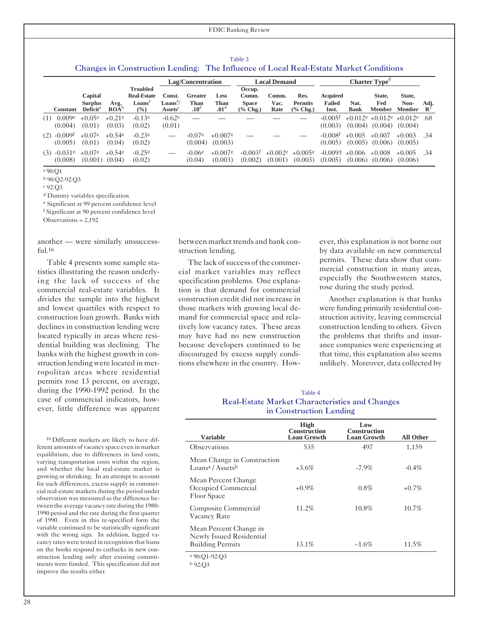| Table 3                                                                               |
|---------------------------------------------------------------------------------------|
| Changes in Construction Lending: The Influence of Local Real-Estate Market Conditions |

|                          |                                              |                                 |                                                                    |                                        | Lag/Concentration                   |                                         |                                             | <b>Local Demand</b>   |                                     |                                  |                     | Charter Type <sup>d</sup>                            |                          |                        |
|--------------------------|----------------------------------------------|---------------------------------|--------------------------------------------------------------------|----------------------------------------|-------------------------------------|-----------------------------------------|---------------------------------------------|-----------------------|-------------------------------------|----------------------------------|---------------------|------------------------------------------------------|--------------------------|------------------------|
| <b>Constant</b>          | Capital<br><b>Surplus</b><br>$\bf Deficit^a$ | Avg.<br>$\text{ROA}^{\text{t}}$ | <b>Troubled</b><br><b>Real-Estate</b><br>Loans <sup>a</sup><br>(%) | Const.<br>$\mathbf{Loans}^a$<br>Assets | Greater<br>Than<br>.10 <sup>d</sup> | <b>Less</b><br>Than<br>.01 <sup>d</sup> | Occup.<br>Comm.<br><b>Space</b><br>(% Chg.) | Comm.<br>Vac.<br>Rate | Res.<br><b>Permits</b><br>$%$ Chg.) | Acquired<br>Failed<br>Inst.      | Nat.<br><b>Bank</b> | State,<br>Fed<br><b>Member</b>                       | State,<br>Non-<br>Member | Adj.<br>$\mathbf{R}^4$ |
| 0.009e<br>(1)<br>(0.004) | $+0.05e$<br>(0.01)                           | $+0.21e$<br>(0.03)              | $-0.13e$<br>(0.02)                                                 | $-0.62e$<br>(0.01)                     |                                     |                                         |                                             |                       |                                     | $-0.005$ <sup>f</sup><br>(0.003) |                     | $+0.012e +0.012e +0.012e$ .68<br>$(0.004)$ $(0.004)$ | (0.004)                  |                        |
| $(2) -0.009f$<br>(0.005) | $+0.07e$<br>(0.01)                           | $+0.54e$<br>(0.04)              | $-0.23e$<br>(0.02)                                                 |                                        | $-0.07e$<br>(0.004)                 | $+0.007e$<br>(0.003)                    |                                             |                       |                                     | $-0.008$ <sup>f</sup><br>(0.005) | $+0.005$            | $+0.007$<br>$(0.005)$ $(0.006)$                      | $+0.003$<br>(0.005)      | .34                    |
| $(3) -0.031e$<br>(0.008) | $+0.07e$<br>$(0.001)$ $(0.04)$               | $+0.54e$                        | $-0.25e$<br>(0.02)                                                 |                                        | $-0.06e$<br>(0.04)                  | $+0.007e$<br>(0.003)                    | $-0.003$ <sup>f</sup><br>(0.002)            | $+0.002e$<br>(0.001)  | $+0.005e$<br>(0.003)                | $-0.009\dagger$<br>(0.005)       | $+0.006$            | $+0.008$<br>$(0.006)$ $(0.006)$                      | $+0.005$<br>(0.006)      | .34                    |

<sup>a</sup> 90:Q1

<sup>b</sup> 90:Q2-92:Q3

<sup>c</sup> 92:Q3

<sup>d</sup> Dummy variables specification

<sup>e</sup> Significant at 99 percent confidence level

<sup>f</sup> Significant at 90 percent confidence level

Observations = 2,192

another — were similarly unsuccessful.16

Table 4 presents some sample statistics illustrating the reason underlying the lack of success of the commercial real-estate variables. It divides the sample into the highest and lowest quartiles with respect to construction loan growth. Banks with declines in construction lending were located typically in areas where residential building was declining. The banks with the highest growth in construction lending were located in metropolitan areas where residential permits rose 13 percent, on average, during the 1990-1992 period. In the case of commercial indicators, however, little difference was apparent

<sup>16</sup> Different markets are likely to have different amounts of vacancy space even in market equilibrium, due to differences in land costs, varying transportation costs within the region, and whether the local real-estate market is growing or shrinking. In an attempt to account for such differences, excess supply in commercial real-estate markets during the period under observation was measured as the difference between the average vacancy rate during the 1980 1990 period and the rate during the first quarter of 1990. Even in this re-specified form the variable continued to be statistically significant with the wrong sign. In addition, lagged vacancy rates were tested in recognition that loans on the books respond to cutbacks in new construction lending only after existing commitments were funded. This specification did not improve the results either.

between market trends and bank construction lending.

The lack of success of the commercial market variables may reflect specification problems. One explanation is that demand for commercial construction credit did not increase in those markets with growing local demand for commercial space and relatively low vacancy rates. These areas may have had no new construction because developers continued to be discouraged by excess supply conditions elsewhere in the country. However, this explanation is not borne out by data available on new commercial permits. These data show that commercial construction in many areas, especially the Southwestern states, rose during the study period.

Another explanation is that banks were funding primarily residential construction activity, leaving commercial construction lending to others. Given the problems that thrifts and insurance companies were experiencing at that time, this explanation also seems unlikely. Moreover, data collected by

| o m<br>۰, |  |
|-----------|--|

#### Real-Estate Market Characteristics and Changes in Construction Lending

| <b>Variable</b>                                                               | High<br><b>Construction</b><br><b>Loan Growth</b> | Low<br><b>Construction</b><br><b>Loan Growth</b> | <b>All Other</b> |
|-------------------------------------------------------------------------------|---------------------------------------------------|--------------------------------------------------|------------------|
| Observations                                                                  | 535                                               | 497                                              | 1,159            |
| Mean Change in Construction<br>Loans <sup>a</sup> / Assets <sup>b</sup>       | $+3.6\%$                                          | $-7.9\%$                                         | $-0.4\%$         |
| Mean Percent Change<br>Occupied Commercial<br>Floor Space                     | $+0.9\%$                                          | $0.8\%$                                          | $+0.7\%$         |
| Composite Commercial<br><b>Vacancy Rate</b>                                   | 11.2%                                             | $10.8\%$                                         | $10.7\%$         |
| Mean Percent Change in<br>Newly Issued Residential<br><b>Building Permits</b> | 13.1%                                             | $~1.6\%$                                         | 11.5%            |
| a 90:O1-92:O3                                                                 |                                                   |                                                  |                  |

<sup>b</sup> 92:Q3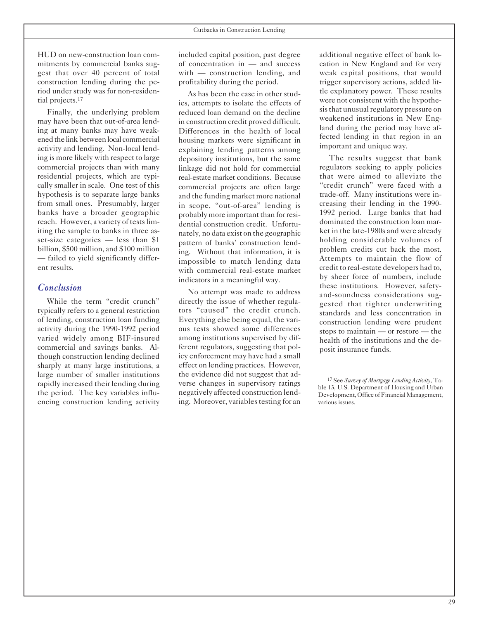HUD on new-construction loan commitments by commercial banks suggest that over 40 percent of total construction lending during the period under study was for non-residential projects.17

Finally, the underlying problem may have been that out-of-area lending at many banks may have weakened the link betweenlocal commercial activity and lending. Non-local lending is more likely with respect to large commercial projects than with many residential projects, which are typically smaller in scale. One test of this hypothesis is to separate large banks from small ones. Presumably, larger banks have a broader geographic reach. However, a variety of testslimiting the sample to banks in three asset-size categories — less than \$1 billion, \$500 million, and \$100 million — failed to yield significantly different results.

#### *Conclusion*

While the term "credit crunch" typically refers to a general restriction of lending, construction loan funding activity during the 1990-1992 period varied widely among BIF-insured commercial and savings banks. Although construction lending declined sharply at many large institutions, a large number of smaller institutions rapidly increased their lending during the period. The key variables influencing construction lending activity

included capital position, past degree of concentration in — and success with — construction lending, and profitability during the period.

As has been the case in other studies, attempts to isolate the effects of reduced loan demand on the decline in construction credit proved difficult. Differences in the health of local housing markets were significant in explaining lending patterns among depository institutions, but the same linkage did not hold for commercial real-estate market conditions. Because commercial projects are often large and the funding market more national in scope, "out-of-area" lending is probably more important than for residential construction credit. Unfortunately, no data exist on the geographic pattern of banks' construction lending. Without that information, it is impossible to match lending data with commercial real-estate market indicators in a meaningful way.

No attempt was made to address directly the issue of whether regulators "caused" the credit crunch. Everything else being equal, the various tests showed some differences among institutions supervised by different regulators, suggesting that policy enforcement may have had a small effect on lending practices. However, the evidence did not suggest that adverse changes in supervisory ratings negatively affected construction lending. Moreover, variables testing for an

additional negative effect of bank location in New England and for very weak capital positions, that would trigger supervisory actions, added little explanatory power. These results were not consistent with the hypothesis that unusual regulatory pressure on weakened institutions in New England during the period may have affected lending in that region in an important and unique way.

The results suggest that bank regulators seeking to apply policies that were aimed to alleviate the "credit crunch" were faced with a trade-off. Many institutions were increasing their lending in the 1990 1992 period. Large banks that had dominated the construction loan market in the late-1980s and were already holding considerable volumes of problem credits cut back the most. Attempts to maintain the flow of credit to real-estate developers had to, by sheer force of numbers, include these institutions. However, safetyand-soundness considerations suggested that tighter underwriting standards and less concentration in construction lending were prudent steps to maintain — or restore — the health of the institutions and the deposit insurance funds.

<sup>17</sup> See *Survey of Mortgage Lending Activity*, Table 13, U.S. Department of Housing and Urban Development, Office of Financial Management, various issues.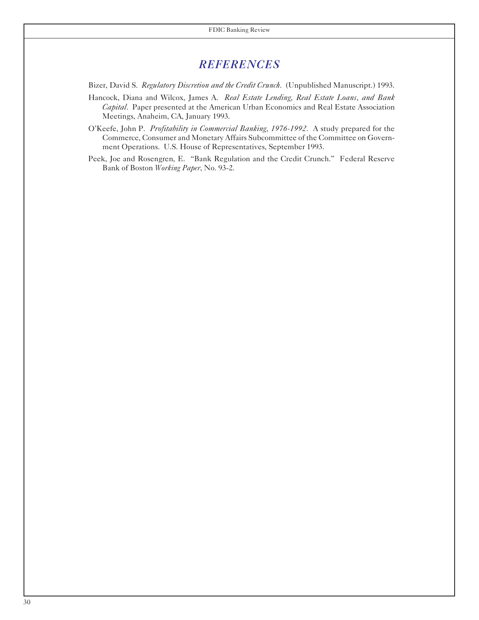## *REFERENCES*

Bizer, David S. *Regulatory Discretion and the Credit Crunch*. (Unpublished Manuscript.) 1993.

- Hancock, Diana and Wilcox, James A. *Real Estate Lending, Real Estate Loans, and Bank Capital*. Paper presented at the American Urban Economics and Real Estate Association Meetings, Anaheim, CA, January 1993.
- O'Keefe, John P. *Profitability in Commercial Banking, 1976-1992*. A study prepared for the Commerce, Consumer and Monetary Affairs Subcommittee of the Committee on Government Operations. U.S. House of Representatives, September 1993.
- Peek, Joe and Rosengren, E. "Bank Regulation and the Credit Crunch." Federal Reserve Bank of Boston *Working Paper*, No. 93-2.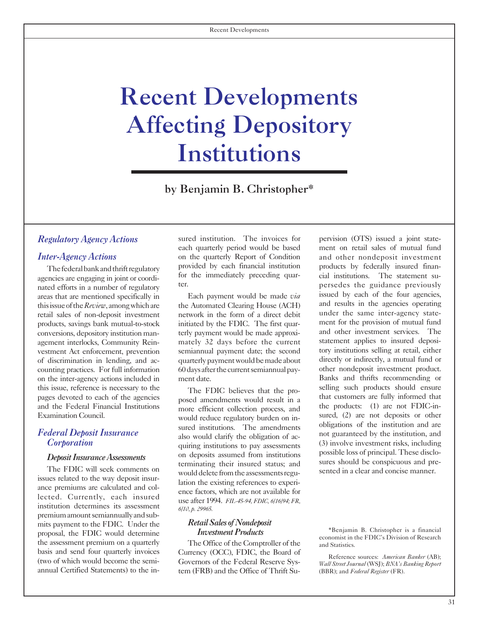## <span id="page-31-0"></span>Recent Developments Affecting Depository Institutions

by Benjamin B. Christopher\*

nated efforts in a number of regulatory issued by each of the guidance previously<br>areas that are mentioned specifically in Each payment would be made *via* issued by each of the four agencies,<br>this issue of the *Register* conversions, depository institution man-terly payment would be made approxivestment Act enforcement, prevention semiannual payment date; the second on the inter-agency actions included in ment date. this issue, reference is necessary to the selling such products should ensure pages devoted to each of the agencies posed amendments would result in a test customers are fully informed that

ance premiums are calculated and colence factors, which are not available for lected. Currently, each insured use after 1994. *FIL-45-94, FDIC, 6/16/94; FR,* institution determines its assessment *6/10, p. 29965.* premiumamountsemiannuallyandsubmits payment to the FDIC. Under the *Retail Sales of Nondeposit*<br>proposal, the FDIC would determine *Investment Products* proposal, the FDIC would determine *Investment Products* \*Benjamin B. Christopher is a financial proposal, the FDIC would determine the assessment premium on a quarterly The Office of the Comptroller of the basis and send four quarterly invoices Currency (OCC). FDIC, the Board of

**Regulatory** *Agency Actions* sured institution. The invoices for pervision (OTS) issued a joint state-<br>each quarterly period would be based ment on retail sales of mutual fund each quarterly period would be based *Inter-Agency Actions* on the quarterly Report of Condition and other nondeposit investment The federal bank and thrift regulatory provided by each financial institution products by federally insured finan-<br>agencies are engaging in joint or coordi-<br>nated efforts in a number of regulatory ter.

this issue of the *Review*, among which are the Automated Clearing House (ACH) and results in the agencies operating retail sales of non-depositing network in the form of a direct debit under the same inter-agency stateretail sales of non-deposit investment network in the form of a direct debit under the same inter-agency state-<br>
reducts savings bank mutual-to-stock initiated by the FDIC. The first quar-<br>
ment for the provision of mutual products, savings bank mutual-to-stock initiated by the FDIC. The first quar ment for the provision of mutual fund<br>conversions denository institution man-<br>terly payment would be made approxi-<br>and other investment services. agement interlocks, Community Rein-<br>
vestment Act enforcement, prevention<br>
semiannual payment date: the second tory institutions selling at retail, either of discrimination in lending, and ac- quarterlypaymentwouldbemadeabout directly or indirectly, a mutual fund or counting practices. For full information 60 days after the current semiannual pay-<br>on the inter-agency actions included in ment date. Banks and thrifts recommending or

pages devoted to each of the agencies that customers would result in a that customers are fully informed that and the Federal Financial Institutions more efficient collection process and the products: (1) are not FDIC-inand the Federal Financial Institutions more efficient collection process, and the products: (1) are not FDIC-in-<br>Examination Council. The more efficient collection process, and the products: (1) are not deposits or other would reduce regulatory burden on in-<br>sured,  $(2)$  are not deposits or other<br>would reduce regulatory burden on in-<br>obligations of the institution and are Federal Deposit Insurance<br>
also would clarify the obligation of achievem and are<br>
Corporation<br>
Corporation<br>
Corporation<br>
Corporation<br>
Corporation<br>
Corporation<br>
Corporation<br>
Corporation<br>
Corporation<br>
Corporation<br>
Corporatio **Corporation**<br>
possible loss of principal. These disclo-<br> *Deposit Insurance Assessments* on deposits assumed from institutions possible loss of principal. These disclo-<br> **EXECUTE:** THESE DEPOSE THE REFORM OF THE REFORM OF The FDIC will seek comments on<br>issues related to the way deposit insur-<br>issues related to the way deposit insur-<br>issues related to the way deposit insur-

basis and send four quarterly invoices<br>
(two of which would become the semi-<br>
(two of which would become the semi-<br>
(two of which would become the semi-<br>
(hand the Office of Thrift Su-<br>
(RRR): and *Eederal Register* (ER)<br> tem (FRB) and the Office of Thrift Su-<br>(BBR); and *Federal Register* (FR).

economist in the FDIC's Division of Research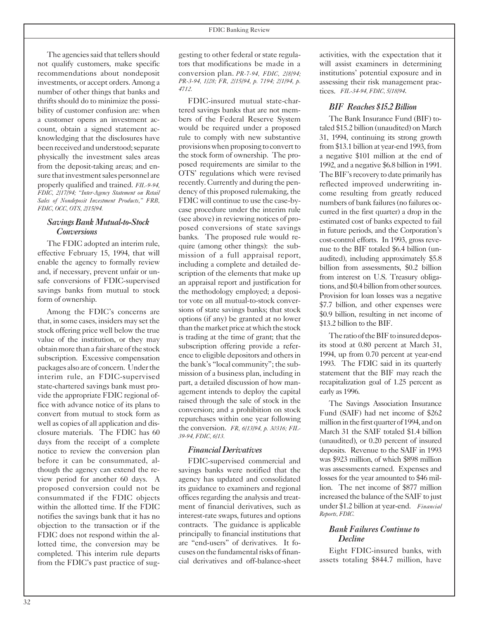The agencies said that tellers should not qualify customers, make specific recommendations about nondeposit investments, or accept orders. Among a number of other things that banks and thrifts should do to minimize the possibility of customer confusion are: when a customer opens an investment account, obtain a signed statement acknowledging that the disclosures have been received and understood; separate physically the investment sales areas from the deposit-taking areas; and ensure that investment sales personnel are properly qualified and trained. *FIL-9-94, FDIC, 2/17/94; "Inter-Agency Statement on Retail Sales of Nondeposit Investment Products," FRB, FDIC, OCC, OTS, 2/15/94.*

#### *SavingsBankMutual-to-Stock Conversions*

The FDIC adopted an interim rule, effective February 15, 1994, that will enable the agency to formally review and, if necessary, prevent unfair or unsafe conversions of FDIC-supervised savings banks from mutual to stock form of ownership.

Among the FDIC's concerns are that, in some cases, insiders may set the stock offering price well below the true value of the institution, or they may obtain more than a fair share of the stock subscription. Excessive compensation packages also are of concern. Underthe interim rule, an FDIC-supervised state-chartered savings bank must provide the appropriate FDIC regional office with advance notice of its plans to convert from mutual to stock form as well as copies of all application and disclosure materials. The FDIC has 60 days from the receipt of a complete notice to review the conversion plan before it can be consummated, although the agency can extend the review period for another 60 days. A proposed conversion could not be consummated if the FDIC objects within the allotted time. If the FDIC notifies the savings bank that it has no objection to the transaction or if the FDIC does not respond within the allotted time, the conversion may be completed. This interim rule departs from the FDIC's past practice of sug-

gesting to other federal or state regulators that modifications be made in a conversion plan. *PR-7-94, FDIC, 2/8/94; PR-3-94, 1/28; FR, 2/15/94, p. 7194; 2/1/94, p. 4712.*

FDIC-insured mutual state-chartered savings banks that are not members of the Federal Reserve System would be required under a proposed rule to comply with new substantive provisions when proposing to convert to the stock form of ownership. The proposed requirements are similar to the OTS' regulations which were revised recently. Currently and during the pendency of this proposed rulemaking, the FDIC will continue to use the case-bycase procedure under the interim rule (see above) in reviewing notices of proposed conversions of state savings banks. The proposed rule would require (among other things): the submission of a full appraisal report, including a complete and detailed description of the elements that make up an appraisal report and justification for the methodology employed; a depositor vote on all mutual-to-stock conversions of state savings banks; that stock options (if any) be granted at no lower than the market price at which the stock is trading at the time of grant; that the subscription offering provide a reference to eligible depositors and othersin the bank's "local community"; the submission of a business plan, including in part, a detailed discussion of how management intends to deploy the capital raised through the sale of stock in the conversion; and a prohibition on stock repurchases within one year following the conversion. *FR, 6/13/94, p. 30316; FIL-39-94, FDIC, 6/13.*

#### *Financial Derivatives*

FDIC-supervised commercial and savings banks were notified that the agency has updated and consolidated its guidance to examiners and regional offices regarding the analysis and treatment of financial derivatives, such as interest-rate swaps, futures and options contracts. The guidance is applicable principally to financial institutions that are "end-users" of derivatives. It focuses on the fundamental risks of financial derivatives and off-balance-sheet activities, with the expectation that it will assist examiners in determining institutions' potential exposure and in assessing their risk management practices. *FIL-34-94, FDIC, 5/18/94*.

#### *BIF Reaches \$15.2Billion*

The Bank Insurance Fund (BIF) totaled \$15.2 billion (unaudited) on March 31, 1994, continuing its strong growth from \$13.1 billion at year-end 1993, from a negative \$101 million at the end of 1992, and a negative \$6.8 billion in 1991. The BIF's recovery to date primarily has reflected improved underwriting income resulting from greatly reduced numbers of bank failures (no failures occurred in the first quarter) a drop in the estimated cost of banks expected to fail in future periods, and the Corporation's cost-control efforts. In 1993, gross revenue to the BIF totaled \$6.4 billion (unaudited), including approximately \$5.8 billion from assessments, \$0.2 billion from interest on U.S. Treasury obligations, and \$0.4 billion from other sources. Provision for loan losses was a negative \$7.7 billion, and other expenses were \$0.9 billion, resulting in net income of \$13.2 billion to the BIF.

The ratio of the BIF to insured deposits stood at 0.80 percent at March 31, 1994, up from 0.70 percent at year-end 1993. The FDIC said in its quarterly statement that the BIF may reach the recapitalization goal of 1.25 percent as early as 1996.

The Savings Association Insurance Fund (SAIF) had net income of \$262 million in the first quarter of 1994, and on March 31 the SAIF totaled \$1.4 billion (unaudited), or 0.20 percent of insured deposits. Revenue to the SAIF in 1993 was \$923 million, of which \$898 million was assessments earned. Expenses and losses for the year amounted to \$46 million. The net income of \$877 million increased the balance of the SAIF to just under \$1.2 billion at year-end. *Financial Reports, FDIC.*

#### *Bank Failures Continue to Decline*

Eight FDIC-insured banks, with assets totaling \$844.7 million, have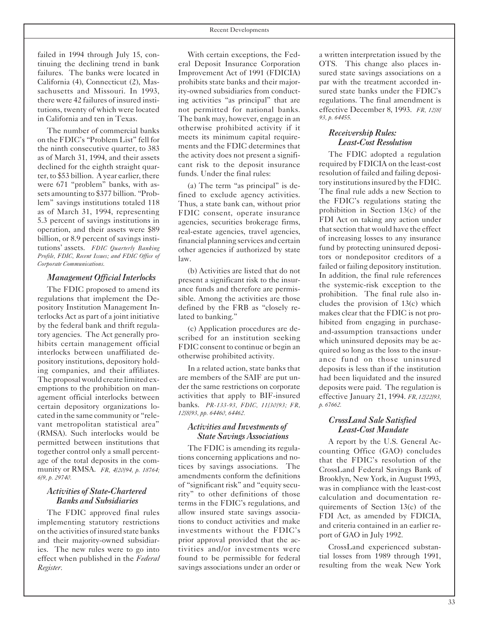failed in 1994 through July 15, continuing the declining trend in bank failures. The banks were located in California (4), Connecticut (2), Massachusetts and Missouri. In 1993, there were 42 failures of insured institutions, twenty of which were located in California and ten in Texas.

The number of commercial banks on the FDIC's "Problem List" fell for the ninth consecutive quarter, to 383 as of March 31, 1994, and their assets declined for the eighth straight quarter, to \$53 billion. A year earlier, there were 671 "problem" banks, with assets amounting to \$377 billion. "Problem" savings institutions totaled 118 as of March 31, 1994, representing 5.3 percent of savings institutions in operation, and their assets were \$89 billion, or 8.9 percent of savings institutions' assets. *FDIC Quarterly Banking Profile, FDIC, Recent Issues; and FDIC Office of Corporate Communications.*

#### *Management Official Interlocks*

The FDIC proposed to amend its regulations that implement the Depository Institution Management Interlocks Act as part of a joint initiative by the federal bank and thrift regulatory agencies. The Act generally prohibits certain management official interlocks between unaffiliated depository institutions, depository holding companies, and their affiliates. The proposal would create limited exemptions to the prohibition on management official interlocks between certain depository organizations located in the same community or "relevant metropolitan statistical area" (RMSA). Such interlocks would be permitted between institutions that together control only a small percentage of the total deposits in the community or RMSA. *FR, 4/20/94, p. 18764; 6/9, p. 29740.*

#### *Activities of State-Chartered Banks and Subsidiaries*

The FDIC approved final rules implementing statutory restrictions on the activities of insured state banks and their majority-owned subsidiaries. The new rules were to go into effect when published in the *Federal Register.*

With certain exceptions, the Federal Deposit Insurance Corporation Improvement Act of 1991 (FDICIA) prohibits state banks and their majority-owned subsidiaries from conducting activities "as principal" that are not permitted for national banks. The bank may, however, engage in an otherwise prohibited activity if it meets its minimum capital requirements and the FDIC determines that the activity does not present a significant risk to the deposit insurance funds. Under the final rules:

(a) The term "as principal" is defined to exclude agency activities. Thus, a state bank can, without prior FDIC consent, operate insurance agencies, securities brokerage firms, real-estate agencies, travel agencies, financial planning services and certain other agencies if authorized by state law.

(b) Activities are listed that do not present a significant risk to the insurance funds and therefore are permissible. Among the activities are those defined by the FRB as "closely related to banking."

(c) Application procedures are described for an institution seeking FDIC consent to continue or begin an otherwise prohibited activity.

In a related action, state banks that are members of the SAIF are put under the same restrictions on corporate activities that apply to BIF-insured banks. *PR-133-93, FDIC, 11/30/93; FR, 12/8/93, pp. 64460, 64462.*

#### *Activities and Investments of State Savings Associations*

The FDIC is amending its regulations concerning applications and notices by savings associations. The amendments conform the definitions of "significant risk" and "equity security" to other definitions of those terms in the FDIC's regulations, and allow insured state savings associations to conduct activities and make investments without the FDIC's prior approval provided that the activities and/or investments were found to be permissible for federal savings associations under an order or

a written interpretation issued by the OTS. This change also places insured state savings associations on a par with the treatment accorded insured state banks under the FDIC's regulations. The final amendment is effective December 8, 1993. *FR, 12/8/ 93, p. 64455.*

#### *Receivership Rules: Least-Cost Resolution*

The FDIC adopted a regulation required by FDICIA on the least-cost resolution of failed and failing depository institutions insured by the FDIC. The final rule adds a new Section to the FDIC's regulations stating the prohibition in Section 13(c) of the FDI Act on taking any action under thatsection that would have the effect of increasing losses to any insurance fund by protecting uninsured depositors or nondepositor creditors of a failed or failing depository institution. In addition, the final rule references the systemic-risk exception to the prohibition. The final rule also includes the provision of 13(c) which makes clear that the FDIC is not prohibited from engaging in purchaseand-assumption transactions under which uninsured deposits may be acquired so long as the loss to the insurance fund on those uninsured deposits is less than if the institution had been liquidated and the insured deposits were paid. The regulation is effective January 21, 1994. *FR, 12/22/93, p. 67662.*

#### *CrossLand Sale Satisfied Least-Cost Mandate*

A report by the U.S. General Accounting Office (GAO) concludes that the FDIC's resolution of the CrossLand Federal Savings Bank of Brooklyn, New York, in August 1993, was in compliance with the least-cost calculation and documentation requirements of Section 13(c) of the FDI Act, as amended by FDICIA, and criteria contained in an earlier report of GAO in July 1992.

CrossLand experienced substantial losses from 1989 through 1991, resulting from the weak New York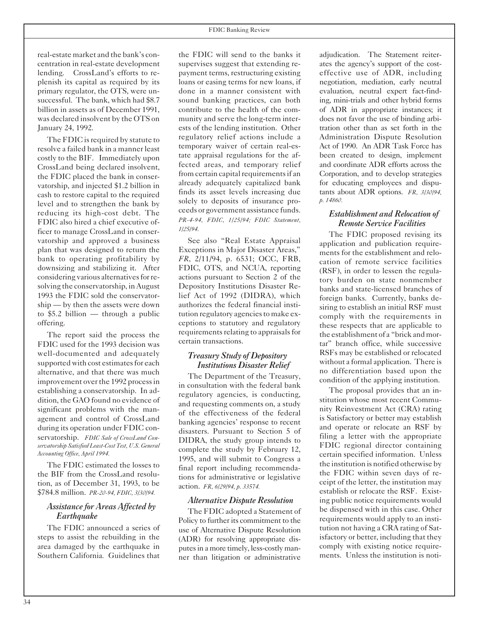real-estate market and the bank's concentration in real-estate development lending. CrossLand's efforts to replenish its capital as required by its primary regulator, the OTS, were unsuccessful. The bank, which had \$8.7 billion in assets as of December 1991, was declared insolvent by the OTS on January 24, 1992.

The FDIC is required by statute to resolve a failed bank in a manner least costly to the BIF. Immediately upon CrossLand being declared insolvent, the FDIC placed the bank in conservatorship, and injected \$1.2 billion in cash to restore capital to the required level and to strengthen the bank by reducing its high-cost debt. The FDIC also hired a chief executive officer to manage CrossLand in conservatorship and approved a business plan that was designed to return the bank to operating profitability by downsizing and stabilizing it. After considering various alternatives for resolving the conservatorship, in August 1993 the FDIC sold the conservatorship — by then the assets were down to \$5.2 billion — through a public offering.

The report said the process the FDIC used for the 1993 decision was well-documented and adequately supported with cost estimates for each alternative, and that there was much improvement over the 1992 processin establishing a conservatorship. In addition, the GAO found no evidence of significant problems with the management and control of CrossLand during its operation under FDIC conservatorship. *FDIC Sale of CrossLand Conservatorship Satisfied Least-Cost Test, U.S. General Accounting Office, April 1994.*

The FDIC estimated the losses to the BIF from the CrossLand resolution, as of December 31, 1993, to be \$784.8 million. *PR-20-94, FDIC, 3/30/94.*

#### *Assistance for Areas Affected by Earthquake*

The FDIC announced a series of steps to assist the rebuilding in the area damaged by the earthquake in Southern California. Guidelines that the FDIC will send to the banks it supervises suggest that extending repayment terms, restructuring existing loans or easing terms for new loans, if done in a manner consistent with sound banking practices, can both contribute to the health of the community and serve the long-term interests of the lending institution. Other regulatory relief actions include a temporary waiver of certain real-estate appraisal regulations for the affected areas, and temporary relief from certain capital requirements if an already adequately capitalized bank finds its asset levels increasing due solely to deposits of insurance proceeds or government assistance funds. *PR-4-94, FDIC, 1/25/94; FDIC Statement, 1/25/94*.

See also "Real Estate Appraisal Exceptions in Major Disaster Areas," *FR*, 2/11/94, p. 6531; OCC, FRB, FDIC, OTS, and NCUA, reporting actions pursuant to Section 2 of the Depository Institutions Disaster Relief Act of 1992 (DIDRA), which authorizes the federal financial institution regulatory agencies to make exceptions to statutory and regulatory requirements relating to appraisals for certain transactions.

#### *Treasury Study of Depository Institutions Disaster Relief*

The Department of the Treasury, in consultation with the federal bank regulatory agencies, is conducting, and requesting comments on, a study of the effectiveness of the federal banking agencies' response to recent disasters. Pursuant to Section 5 of DIDRA, the study group intends to complete the study by February 12, 1995, and will submit to Congress a final report including recommendations for administrative or legislative action. *FR, 6/29/94, p. 33574.*

#### *Alternative Dispute Resolution*

The FDIC adopted a Statement of Policy to further its commitment to the use of Alternative Dispute Resolution (ADR) for resolving appropriate disputes in a more timely, less-costly manner than litigation or administrative

adjudication. The Statement reiterates the agency's support of the costeffective use of ADR, including negotiation, mediation, early neutral evaluation, neutral expert fact-finding, mini-trials and other hybrid forms of ADR in appropriate instances; it does not favor the use of binding arbitration other than as set forth in the Administration Dispute Resolution Act of 1990. An ADR Task Force has been created to design, implement and coordinate ADR efforts across the Corporation, and to develop strategies for educating employees and disputants about ADR options. *FR, 3/30/94, p. 14860.*

#### *Establishment and Relocation of Remote Service Facilities*

The FDIC proposed revising its application and publication requirements for the establishment and relocation of remote service facilities (RSF), in order to lessen the regulatory burden on state nonmember banks and state-licensed branches of foreign banks. Currently, banks desiring to establish an initial RSF must comply with the requirements in these respects that are applicable to the establishment of a "brick and mortar" branch office, while successive RSFs may be established or relocated without a formal application. There is no differentiation based upon the condition of the applying institution.

The proposal provides that an institution whose most recent Community Reinvestment Act (CRA) rating is Satisfactory or better may establish and operate or relocate an RSF by filing a letter with the appropriate FDIC regional director containing certain specified information. Unless the institution is notified otherwise by the FDIC within seven days of receipt of the letter, the institution may establish or relocate the RSF. Existing public notice requirements would be dispensed with in this case. Other requirements would apply to an institution not having a CRA rating of Satisfactory or better, including that they comply with existing notice requirements. Unless the institution is noti-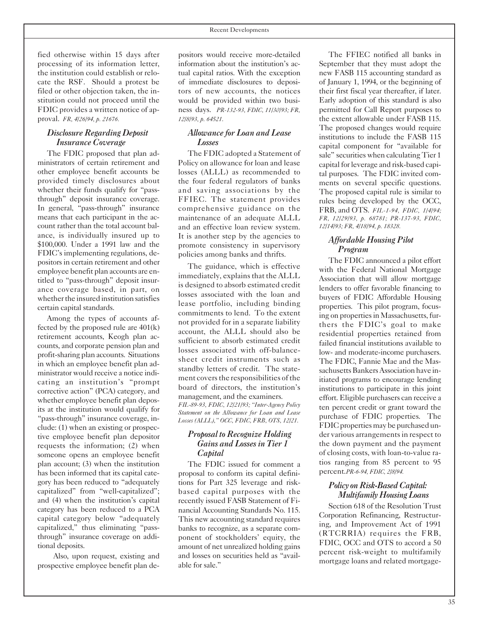fied otherwise within 15 days after processing of its information letter, the institution could establish or relocate the RSF. Should a protest be filed or other objection taken, the institution could not proceed until the FDIC provides a written notice of approval. *FR, 4/26/94, p. 21676.*

#### *Disclosure Regarding Deposit Insurance Coverage*

The FDIC proposed that plan administrators of certain retirement and other employee benefit accounts be provided timely disclosures about whether their funds qualify for "passthrough" deposit insurance coverage. In general, "pass-through" insurance means that each participant in the account rather than the total account balance, is individually insured up to \$100,000. Under a 1991 law and the FDIC's implementing regulations, depositors in certain retirement and other employee benefit plan accounts are entitled to "pass-through" deposit insurance coverage based, in part, on whether the insured institution satisfies certain capital standards.

Among the types of accounts affected by the proposed rule are 401(k) retirement accounts, Keogh plan accounts, and corporate pension plan and profit-sharing plan accounts. Situations in which an employee benefit plan administrator would receive a notice indicating an institution's "prompt corrective action" (PCA) category, and whether employee benefit plan deposits at the institution would qualify for "pass-through" insurance coverage, include: (1) when an existing or prospective employee benefit plan depositor requests the information; (2) when someone opens an employee benefit plan account; (3) when the institution has been informed that its capital category has been reduced to "adequately capitalized" from "well-capitalized"; and (4) when the institution's capital category has been reduced to a PCA capital category below "adequately capitalized," thus eliminating "passthrough" insurance coverage on additional deposits.

Also, upon request, existing and prospective employee benefit plan de-

positors would receive more-detailed information about the institution's actual capital ratios. With the exception of immediate disclosures to depositors of new accounts, the notices would be provided within two business days. *PR-132-93, FDIC, 11/30/93; FR, 12/8/93, p. 64521*.

#### *Allowance for Loan and Lease Losses*

The FDIC adopted a Statement of Policy on allowance for loan and lease losses (ALLL) as recommended to the four federal regulators of banks and saving associations by the FFIEC. The statement provides comprehensive guidance on the maintenance of an adequate ALLL and an effective loan review system. It is another step by the agencies to promote consistency in supervisory policies among banks and thrifts.

The guidance, which is effective immediately, explains that the ALLL is designed to absorb estimated credit losses associated with the loan and lease portfolio, including binding commitments to lend. To the extent not provided for in a separate liability account, the ALLL should also be sufficient to absorb estimated credit losses associated with off-balancesheet credit instruments such as standby letters of credit. The statement covers the responsibilities of the board of directors, the institution's management, and the examiners. *FIL-89-93, FDIC, 12/21/93; "Inter-Agency Policy Statement on the Allowance for Loan and Lease*

#### *Proposal to Recognize Holding Gains and Lossesin Tier 1 Capital*

*Losses (ALLL)," OCC, FDIC, FRB, OTS, 12/21.*

The FDIC issued for comment a proposal to conform its capital definitions for Part 325 leverage and riskbased capital purposes with the recently issued FASB Statement of Financial Accounting Standards No. 115. This new accounting standard requires banks to recognize, as a separate component of stockholders' equity, the amount of net unrealized holding gains and losses on securities held as "available for sale."

The FFIEC notified all banks in September that they must adopt the new FASB 115 accounting standard as of January 1, 1994, or the beginning of their first fiscal year thereafter, if later. Early adoption of this standard is also permitted for Call Report purposes to the extent allowable under FASB 115. The proposed changes would require institutions to include the FASB 115 capital component for "available for sale" securities when calculating Tier 1 capital for leverage and risk-based capital purposes. The FDIC invited comments on several specific questions. The proposed capital rule is similar to rules being developed by the OCC, FRB, and OTS. *FIL-1-94, FDIC, 1/4/94; FR, 12/29/93, p. 68781; PR-137-93, FDIC, 12/14/93; FR, 4/18/94, p. 18328.*

#### *Affordable Housing Pilot Program*

The FDIC announced a pilot effort with the Federal National Mortgage Association that will allow mortgage lenders to offer favorable financing to buyers of FDIC Affordable Housing properties. This pilot program, focusing on properties in Massachusetts, furthers the FDIC's goal to make residential properties retained from failed financial institutions available to low- and moderate-income purchasers. The FDIC, Fannie Mae and the Massachusetts Bankers Association have initiated programs to encourage lending institutions to participate in this joint effort. Eligible purchasers can receive a ten percent credit or grant toward the purchase of FDIC properties. The FDIC properties may be purchased under various arrangements in respect to the down payment and the payment of closing costs, with loan-to-value ratios ranging from 85 percent to 95 percent.*PR-6-94, FDIC, 2/8/94.*

#### *Policy* on Risk-Based Capital: *MultifamilyHousingLoans*

Section 618 of the Resolution Trust Corporation Refinancing, Restructuring, and Improvement Act of 1991 (RTCRRIA) requires the FRB, FDIC, OCC and OTS to accord a 50 percent risk-weight to multifamily mortgage loans and related mortgage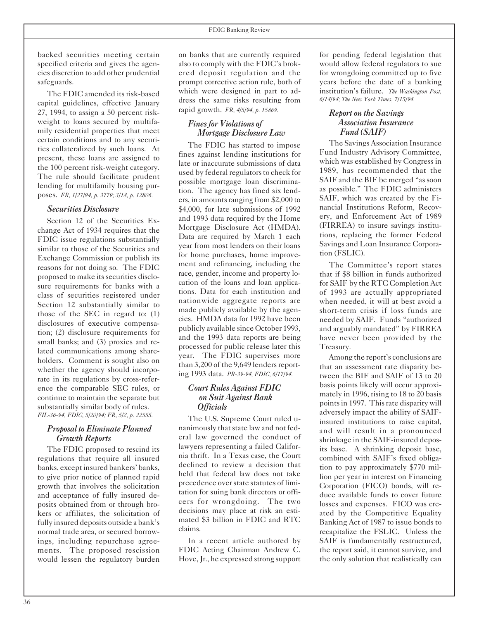backed securities meeting certain specified criteria and gives the agencies discretion to add other prudential safeguards.

The FDIC amended its risk-based capital guidelines, effective January 27, 1994, to assign a 50 percent riskweight to loans secured by multifamily residential properties that meet certain conditions and to any securities collateralized by such loans. At present, these loans are assigned to the 100 percent risk-weight category. The rule should facilitate prudent lending for multifamily housing purposes. *FR, 1/27/94, p. 3779; 3/18, p. 12806.*

#### *Securities Disclosure*

Section 12 of the Securities Exchange Act of 1934 requires that the FDIC issue regulations substantially similar to those of the Securities and Exchange Commission or publish its reasons for not doing so. The FDIC proposed to make its securities disclosure requirements for banks with a class of securities registered under Section 12 substantially similar to those of the SEC in regard to: (1) disclosures of executive compensation; (2) disclosure requirements for small banks; and (3) proxies and related communications among shareholders. Comment is sought also on whether the agency should incorporate in its regulations by cross-reference the comparable SEC rules, or continue to maintain the separate but substantially similar body of rules. *FIL-36-94, FDIC, 5/20/94; FR, 5/2, p. 22555.*

#### *Proposal to Eliminate Planned Growth Reports*

The FDIC proposed to rescind its regulations that require all insured banks, exceptinsured bankers' banks, to give prior notice of planned rapid growth that involves the solicitation and acceptance of fully insured deposits obtained from or through brokers or affiliates, the solicitation of fully insured deposits outside a bank's normal trade area, or secured borrowings, including repurchase agreements. The proposed rescission would lessen the regulatory burden

on banks that are currently required also to comply with the FDIC's brokered deposit regulation and the prompt corrective action rule, both of which were designed in part to address the same risks resulting from rapid growth. *FR, 4/5/94, p. 15869.*

#### *Finesfor Violations of Mortgage Disclosure Law*

The FDIC has started to impose fines against lending institutions for late or inaccurate submissions of data used by federal regulators to check for possible mortgage loan discrimination. The agency has fined six lenders, in amounts ranging from  $$2,000$  to \$4,000, for late submissions of 1992 and 1993 data required by the Home Mortgage Disclosure Act (HMDA). Data are required by March 1 each year from most lenders on their loans for home purchases, home improvement and refinancing, including the race, gender, income and property location of the loans and loan applications. Data for each institution and nationwide aggregate reports are made publicly available by the agencies. HMDA data for 1992 have been publicly available since October 1993, and the 1993 data reports are being processed for public release later this year. The FDIC supervises more than 3,200 of the 9,649 lenders reporting 1993 data. *PR-39-94, FDIC, 6/17/94.*

#### *Court Rules Against FDIC on Suit Against Bank Officials*

The U.S. Supreme Court ruled unanimously that state law and not federal law governed the conduct of lawyers representing a failed California thrift. In a Texas case, the Court declined to review a decision that held that federal law does not take precedence overstate statutes of limitation for suing bank directors or officers for wrongdoing. The two decisions may place at risk an estimated \$3 billion in FDIC and RTC claims.

In a recent article authored by FDIC Acting Chairman Andrew C. Hove,Jr., he expressed strong support for pending federal legislation that would allow federal regulators to sue for wrongdoing committed up to five years before the date of a banking institution's failure. *The Washington Post, 6/14/94; The New York Times, 7/15/94.*

#### *Report on the Savings Association Insurance Fund (SAIF)*

The Savings Association Insurance Fund Industry Advisory Committee, which was established by Congress in 1989, has recommended that the SAIF and the BIF be merged "assoon as possible." The FDIC administers SAIF, which was created by the Financial Institutions Reform, Recovery, and Enforcement Act of 1989 (FIRREA) to insure savings institutions, replacing the former Federal Savings and Loan Insurance Corporation (FSLIC).

The Committee's report states that if \$8 billion in funds authorized for SAIF by the RTC Completion Act of 1993 are actually appropriated when needed, it will at best avoid a short-term crisis if loss funds are needed by SAIF. Funds "authorized and arguably mandated" by FIRREA have never been provided by the Treasury.

Among the report's conclusions are that an assessment rate disparity between the BIF and SAIF of 13 to 20 basis points likely will occur approximately in 1996, rising to 18 to 20 basis points in 1997. This rate disparity will adversely impact the ability of SAIFinsured institutions to raise capital, and will result in a pronounced shrinkage in the SAIF-insured deposits base. A shrinking deposit base, combined with SAIF's fixed obligation to pay approximately \$770 million per year in interest on Financing Corporation (FICO) bonds, will reduce available funds to cover future losses and expenses. FICO was created by the Competitive Equality Banking Act of 1987 to issue bonds to recapitalize the FSLIC. Unless the SAIF is fundamentally restructured, the report said, it cannot survive, and the only solution that realistically can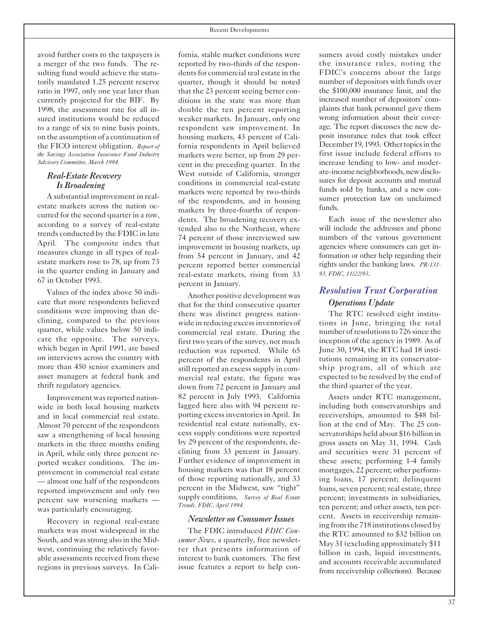avoid further costs to the taxpayers is a merger of the two funds. The resulting fund would achieve the statutorily mandated 1.25 percent reserve ratio in 1997, only one year later than currently projected for the BIF. By 1998, the assessment rate for all insured institutions would be reduced to a range of six to nine basis points, on the assumption of a continuation of the FICO interest obligation. *Report of the Savings Association Insurance Fund Industry Advisory Committee, March 1994.*

#### *Real-Estate Recovery Is Broadening*

A substantial improvement in realestate markets across the nation occurred for the second quarter in a row, according to a survey of real-estate trends conducted by the FDIC in late April. The composite index that measures change in all types of realestate markets rose to 78, up from 73 in the quarter ending in January and 67 in October 1993.

Values of the index above 50 indicate that more respondents believed conditions were improving than declining, compared to the previous quarter, while values below 50 indicate the opposite. The surveys, which began in April 1991, are based on interviews across the country with more than 450 senior examiners and asset managers at federal bank and thrift regulatory agencies.

Improvement was reported nationwide in both local housing markets and in local commercial real estate. Almost 70 percent of the respondents saw a strengthening of local housing markets in the three months ending in April, while only three percent reported weaker conditions. The improvement in commercial real estate — almost one half of the respondents reported improvement and only two percent saw worsening markets was particularly encouraging.

Recovery in regional real-estate markets was most widespread in the South, and was strong also in the Midwest, continuing the relatively favorable assessments received from these regions in previous surveys. In Cali-

fornia, stable market conditions were reported by two-thirds of the respondents for commercial real estate in the quarter, though it should be noted that the 23 percent seeing better conditions in the state was more than double the ten percent reporting weaker markets. In January, only one respondent saw improvement. In housing markets, 43 percent of California respondents in April believed markets were better, up from 29 percent in the preceding quarter. In the West outside of California, stronger conditions in commercial real-estate markets were reported by two-thirds of the respondents, and in housing markets by three-fourths of respondents. The broadening recovery extended also to the Northeast, where 74 percent of those interviewed saw improvement in housing markets, up from 54 percent in January, and 42 percent reported better commercial real-estate markets, rising from 33 percent in January.

Another positive development was that for the third consecutive quarter there was distinct progress nationwide in reducing excessinventories of commercial real estate. During the first two years of the survey, not much reduction was reported. While 65 percent of the respondents in April still reported an excess supply in commercial real estate, the figure was down from 72 percent in January and 82 percent in July 1993. California lagged here also with 94 percent reporting excessinventoriesin April. In residential real estate nationally, excess supply conditions were reported by 29 percent of the respondents, declining from 33 percent in January. Further evidence of improvement in housing markets was that 18 percent of those reporting nationally, and 33 percent in the Midwest, saw "tight" supply conditions. *Survey of Real Estate Trends, FDIC, April 1994.*

#### *Newsletter on Consumer Issues*

The FDIC introduced *FDIC Consumer News*, a quarterly, free newsletter that presents information of interest to bank customers. The first issue features a report to help consumers avoid costly mistakes under the insurance rules, noting the FDIC's concerns about the large number of depositors with funds over the \$100,000 insurance limit, and the increased number of depositors' complaints that bank personnel gave them wrong information about their coverage. The report discusses the new deposit insurance rules that took effect December 19, 1993. Other topics in the first issue include federal efforts to increase lending to low- and moderate-income neighborhoods, new disclosures for deposit accounts and mutual funds sold by banks, and a new consumer protection law on unclaimed funds.

Each issue of the newsletter also will include the addresses and phone numbers of the various government agencies where consumers can get information or other help regarding their rights under the banking laws. *PR-131 93, FDIC, 11/22/93*.

## *Resolution Trust Corporation Operations Update*

The RTC resolved eight institutions in June, bringing the total number of resolutions to 726 since the inception of the agency in 1989. As of June 30, 1994, the RTC had 18 institutions remaining in its conservatorship program, all of which are expected to be resolved by the end of the third quarter of the year.

Assets under RTC management, including both conservatorships and receiverships, amounted to \$48 billion at the end of May. The 25 conservatorships held about \$16 billion in gross assets on May 31, 1994. Cash and securities were 31 percent of these assets; performing 1-4 family mortgages, 22 percent; other performing loans, 17 percent; delinquent loans, seven percent; real estate, three percent; investments in subsidiaries, ten percent; and other assets, ten percent. Assets in receivership remaining from the 718 institutions closed by the RTC amounted to \$32 billion on May 31 (excluding approximately \$11 billion in cash, liquid investments, and accounts receivable accumulated from receivership collections). Because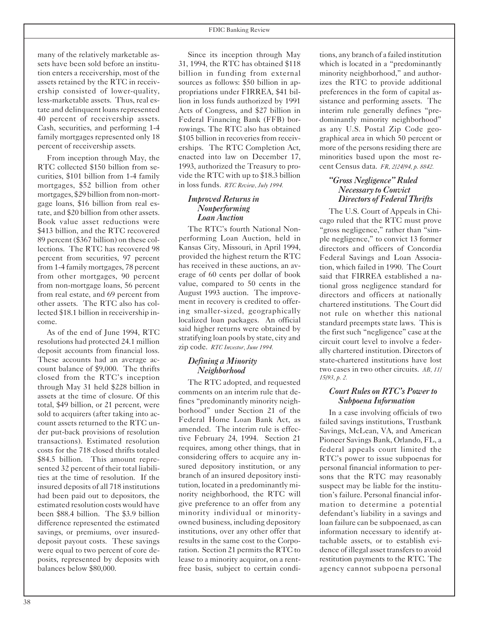many of the relatively marketable assets have been sold before an institution enters a receivership, most of the assets retained by the RTC in receivership consisted of lower-quality, less-marketable assets. Thus, real estate and delinquent loans represented 40 percent of receivership assets. Cash, securities, and performing 1-4 family mortgages represented only 18 percent of receivership assets.

From inception through May, the RTC collected \$150 billion from securities, \$101 billion from 1-4 family mortgages, \$52 billion from other mortgages, \$29 billion from non-mortgage loans, \$16 billion from real estate, and \$20 billion from other assets. Book value asset reductions were \$413 billion, and the RTC recovered 89 percent (\$367 billion) on these collections. The RTC has recovered 98 percent from securities, 97 percent from 1-4 family mortgages, 78 percent from other mortgages, 90 percent from non-mortgage loans, 56 percent from real estate, and 69 percent from other assets. The RTC also has collected \$18.1 billion in receivership income.

As of the end of June 1994, RTC resolutions had protected 24.1 million deposit accounts from financial loss. These accounts had an average account balance of \$9,000. The thrifts closed from the RTC's inception through May 31 held \$228 billion in assets at the time of closure. Of this total, \$49 billion, or 21 percent, were sold to acquirers (after taking into account assets returned to the RTC under put-back provisions of resolution transactions). Estimated resolution costs for the 718 closed thrifts totaled \$84.5 billion. This amount represented 32 percent of their total liabilities at the time of resolution. If the insured deposits of all 718 institutions had been paid out to depositors, the estimated resolution costs would have been \$88.4 billion. The \$3.9 billion difference represented the estimated savings, or premiums, over insureddeposit payout costs. These savings were equal to two percent of core deposits, represented by deposits with balances below \$80,000.

Since its inception through May 31, 1994, the RTC has obtained \$118 billion in funding from external sources as follows: \$50 billion in appropriations under FIRREA, \$41 billion in loss funds authorized by 1991 Acts of Congress, and \$27 billion in Federal Financing Bank (FFB) borrowings. The RTC also has obtained \$105 billion in recoveries from receiverships. The RTC Completion Act, enacted into law on December 17, 1993, authorized the Treasury to provide the RTC with up to \$18.3 billion in loss funds. *RTC Review, July 1994.*

#### *Improved Returnsin Nonperforming Loan Auction*

The RTC's fourth National Nonperforming Loan Auction, held in Kansas City, Missouri, in April 1994, provided the highest return the RTC has received in these auctions, an average of 60 cents per dollar of book value, compared to 50 cents in the August 1993 auction. The improvement in recovery is credited to offering smaller-sized, geographically localized loan packages. An official said higher returns were obtained by stratifying loan pools by state, city and zip code. *RTC Investor, June 1994.*

#### *Defining a Minority Neighborhood*

The RTC adopted, and requested comments on an interim rule that defines "predominantly minority neighborhood" under Section 21 of the Federal Home Loan Bank Act, as amended. The interim rule is effective February 24, 1994. Section 21 requires, among other things, that in considering offers to acquire any insured depository institution, or any branch of an insured depository institution, located in a predominantly minority neighborhood, the RTC will give preference to an offer from any minority individual or minorityowned business, including depository institutions, over any other offer that results in the same cost to the Corporation. Section 21 permits the RTC to lease to a minority acquiror, on a rentfree basis, subject to certain conditions, any branch of a failed institution which is located in a "predominantly minority neighborhood," and authorizes the RTC to provide additional preferences in the form of capital assistance and performing assets. The interim rule generally defines "predominantly minority neighborhood" as any U.S. Postal Zip Code geographical area in which 50 percent or more of the persons residing there are minorities based upon the most recent Census data. *FR, 2/24/94, p. 8842.*

#### *"Gross Negligence" Ruled Necessary to Convict Directors of Federal Thrifts*

The U.S. Court of Appeals in Chicago ruled that the RTC must prove "gross negligence," rather than "simple negligence," to convict 13 former directors and officers of Concordia Federal Savings and Loan Association, which failed in 1990. The Court said that FIRREA established a national gross negligence standard for directors and officers at nationally chartered institutions. The Court did not rule on whether this national standard preempts state laws. This is the first such "negligence" case at the circuit court level to involve a federally chartered institution. Directors of state-chartered institutions have lost two cases in two other circuits. *AB, 11/ 15/93, p. 2.*

#### *Court Rules on RTC's Power to Subpoena Information*

In a case involving officials of two failed savings institutions, Trustbank Savings, McLean, VA, and American Pioneer Savings Bank, Orlando, FL, a federal appeals court limited the RTC's power to issue subpoenas for personal financial information to persons that the RTC may reasonably suspect may be liable for the institution's failure. Personal financial information to determine a potential defendant's liability in a savings and loan failure can be subpoenaed, as can information necessary to identify attachable assets, or to establish evidence of illegal asset transfers to avoid restitution payments to the RTC. The agency cannot subpoena personal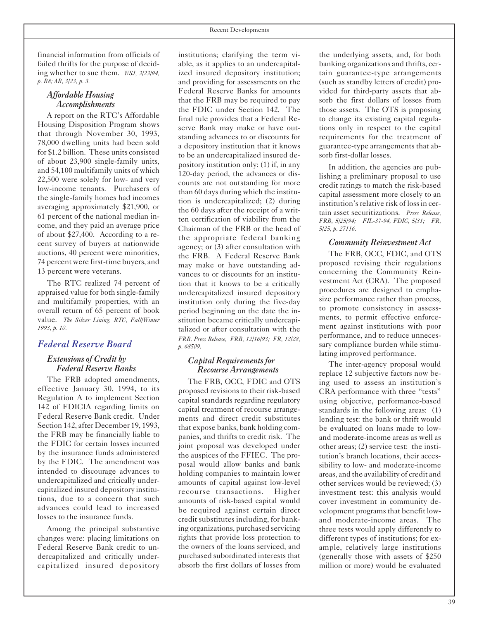#### *Affordable Housing Accomplishments*

A report on the RTC's Affordable Housing Disposition Program shows that through November 30, 1993, 78,000 dwelling units had been sold for \$1.2 billion. These units consisted of about 23,900 single-family units, and 54,100 multifamily units of which 22,500 were solely for low- and very low-income tenants. Purchasers of the single-family homes had incomes averaging approximately \$21,900, or 61 percent of the national median income, and they paid an average price of about \$27,400. According to a recent survey of buyers at nationwide auctions, 40 percent were minorities, 74 percent were first-time buyers, and 13 percent were veterans.

The RTC realized 74 percent of appraised value for both single-family and multifamily properties, with an overall return of 65 percent of book value. *The Silver Lining, RTC, Fall/Winter 1993, p. 10.*

#### *Federal Reserve Board*

#### *Extensions of Credit by Federal Reserve Banks*

The FRB adopted amendments, effective January 30, 1994, to its Regulation A to implement Section 142 of FDICIA regarding limits on Federal Reserve Bank credit. Under Section 142, after December 19, 1993, the FRB may be financially liable to the FDIC for certain losses incurred by the insurance funds administered by the FDIC. The amendment was intended to discourage advances to undercapitalized and critically undercapitalized insured depository institutions, due to a concern that such advances could lead to increased losses to the insurance funds.

Among the principal substantive changes were: placing limitations on Federal Reserve Bank credit to undercapitalized and critically undercapitalized insured depository

institutions; clarifying the term viable, as it applies to an undercapitalized insured depository institution; and providing for assessments on the Federal Reserve Banks for amounts that the FRB may be required to pay the FDIC under Section 142. The final rule provides that a Federal Reserve Bank may make or have outstanding advances to or discounts for a depository institution that it knows to be an undercapitalized insured depository institution only: (1) if, in any 120-day period, the advances or discounts are not outstanding for more than 60 days during which the institution is undercapitalized; (2) during the 60 days after the receipt of a written certification of viability from the Chairman of the FRB or the head of the appropriate federal banking agency; or (3) after consultation with the FRB. A Federal Reserve Bank may make or have outstanding advances to or discounts for an institution that it knows to be a critically undercapitalized insured depository institution only during the five-day period beginning on the date the institution became critically undercapitalized or after consultation with the *FRB. Press Release, FRB, 12/16/93; FR, 12/28, p. 68509.*

#### *Capital Requirementsfor Recourse Arrangements*

The FRB, OCC, FDIC and OTS proposed revisions to their risk-based capital standards regarding regulatory capital treatment of recourse arrangements and direct credit substitutes that expose banks, bank holding companies, and thrifts to credit risk. The joint proposal was developed under the auspices of the FFIEC. The proposal would allow banks and bank holding companies to maintain lower amounts of capital against low-level recourse transactions. Higher amounts of risk-based capital would be required against certain direct credit substitutes including, for banking organizations, purchased servicing rights that provide loss protection to the owners of the loans serviced, and purchased subordinated interests that absorb the first dollars of losses from

the underlying assets, and, for both banking organizations and thrifts, certain guarantee-type arrangements (such as standby letters of credit) provided for third-party assets that absorb the first dollars of losses from those assets. The OTS is proposing to change its existing capital regulations only in respect to the capital requirements for the treatment of guarantee-type arrangements that absorb first-dollar losses.

In addition, the agencies are publishing a preliminary proposal to use credit ratings to match the risk-based capital assessment more closely to an institution's relative risk of loss in certain asset securitizations. *Press Release, FRB, 5/25/94; FIL-37-94, FDIC, 5/31; FR, 5/25, p. 27116.*

#### *Community Reinvestment Act*

The FRB, OCC, FDIC, and OTS proposed revising their regulations concerning the Community Reinvestment Act (CRA). The proposed procedures are designed to emphasize performance rather than process, to promote consistency in assessments, to permit effective enforcement against institutions with poor performance, and to reduce unnecessary compliance burden while stimulating improved performance.

The inter-agency proposal would replace 12 subjective factors now being used to assess an institution's CRA performance with three "tests" using objective, performance-based standards in the following areas: (1) lending test: the bank or thrift would be evaluated on loans made to lowand moderate-income areas as well as other areas; (2) service test: the institution's branch locations, their accessibility to low- and moderate-income areas, and the availability of credit and other services would be reviewed; (3) investment test: this analysis would cover investment in community development programs that benefit lowand moderate-income areas. The three tests would apply differently to different types of institutions; for example, relatively large institutions (generally those with assets of \$250 million or more) would be evaluated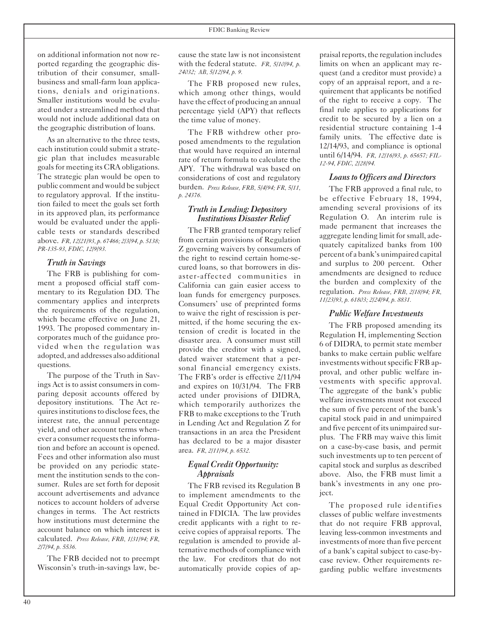on additional information not now reported regarding the geographic distribution of their consumer, smallbusiness and small-farm loan applications, denials and originations. Smaller institutions would be evaluated under a streamlined method that would not include additional data on the geographic distribution of loans.

As an alternative to the three tests, each institution could submit a strategic plan that includes measurable goals for meeting its CRA obligations. The strategic plan would be open to public comment and would be subject to regulatory approval. If the institution failed to meet the goals set forth in its approved plan, its performance would be evaluated under the applicable tests or standards described above. *FR, 12/21/93, p. 67466; 2/3/94, p. 5138; PR-135-93, FDIC, 12/9/93.*

#### *Truth in Savings*

The FRB is publishing for comment a proposed official staff commentary to its Regulation DD. The commentary applies and interprets the requirements of the regulation, which became effective on June 21, 1993. The proposed commentary incorporates much of the guidance provided when the regulation was adopted, and addresses also additional questions.

The purpose of the Truth in Savings Act is to assist consumers in comparing deposit accounts offered by depository institutions. The Act requires institutions to disclose fees, the interest rate, the annual percentage yield, and other account terms whenever a consumer requests the information and before an account is opened. Fees and other information also must be provided on any periodic statement the institution sends to the consumer. Rules are set forth for deposit account advertisements and advance notices to account holders of adverse changes in terms. The Act restricts how institutions must determine the account balance on which interest is calculated. *Press Release, FRB, 1/31/94; FR, 2/7/94, p. 5536.*

The FRB decided not to preempt Wisconsin's truth-in-savings law, be-

cause the state law is not inconsistent with the federal statute. *FR, 5/10/94, p. 24032; AB, 5/12/94, p. 9.*

The FRB proposed new rules, which among other things, would have the effect of producing an annual percentage yield (APY) that reflects the time value of money.

The FRB withdrew other proposed amendments to the regulation that would have required an internal rate of return formula to calculate the APY. The withdrawal was based on considerations of cost and regulatory burden. *Press Release, FRB, 5/4/94; FR, 5/11, p. 24376.*

#### *Truth in Lending: Depository Institutions Disaster Relief*

The FRB granted temporary relief from certain provisions of Regulation Z governing waivers by consumers of the right to rescind certain home-secured loans, so that borrowers in disaster-affected communities in California can gain easier access to loan funds for emergency purposes. Consumers' use of preprinted forms to waive the right of rescission is permitted, if the home securing the extension of credit is located in the disaster area. A consumer must still provide the creditor with a signed, dated waiver statement that a personal financial emergency exists. The FRB's order is effective 2/11/94 and expires on 10/31/94. The FRB acted under provisions of DIDRA, which temporarily authorizes the FRB to make exceptions to the Truth in Lending Act and Regulation Z for transactions in an area the President has declared to be a major disaster area. *FR, 2/11/94, p. 6532.*

#### *Equal Credit Opportunity: Appraisals*

The FRB revised its Regulation B to implement amendments to the Equal Credit Opportunity Act contained in FDICIA. The law provides credit applicants with a right to receive copies of appraisal reports. The regulation is amended to provide alternative methods of compliance with the law. For creditors that do not automatically provide copies of appraisal reports, the regulation includes limits on when an applicant may request (and a creditor must provide) a copy of an appraisal report, and a requirement that applicants be notified of the right to receive a copy. The final rule applies to applications for credit to be secured by a lien on a residential structure containing 1-4 family units. The effective date is 12/14/93, and compliance is optional until 6/14/94. *FR, 12/16/93, p. 65657; FIL-12-94, FDIC, 2/28/94.*

#### *Loansto Officers and Directors*

The FRB approved a final rule, to be effective February 18, 1994, amending several provisions of its Regulation O. An interim rule is made permanent that increases the aggregate lending limit for small, adequately capitalized banks from 100 percent of a bank's unimpaired capital and surplus to 200 percent. Other amendments are designed to reduce the burden and complexity of the regulation. *Press Release, FRB, 2/18/94; FR, 11/23/93, p. 61803; 2/24/94, p. 8831.*

#### *Public Welfare Investments*

The FRB proposed amending its Regulation H, implementing Section 6 of DIDRA, to permit state member banks to make certain public welfare investments without specific FRB approval, and other public welfare investments with specific approval. The aggregate of the bank's public welfare investments must not exceed the sum of five percent of the bank's capital stock paid in and unimpaired and five percent of its unimpaired surplus. The FRB may waive this limit on a case-by-case basis, and permit such investments up to ten percent of capital stock and surplus as described above. Also, the FRB must limit a bank's investments in any one project.

The proposed rule identifies classes of public welfare investments that do not require FRB approval, leaving less-common investments and investments of more than five percent of a bank's capital subject to case-bycase review. Other requirements regarding public welfare investments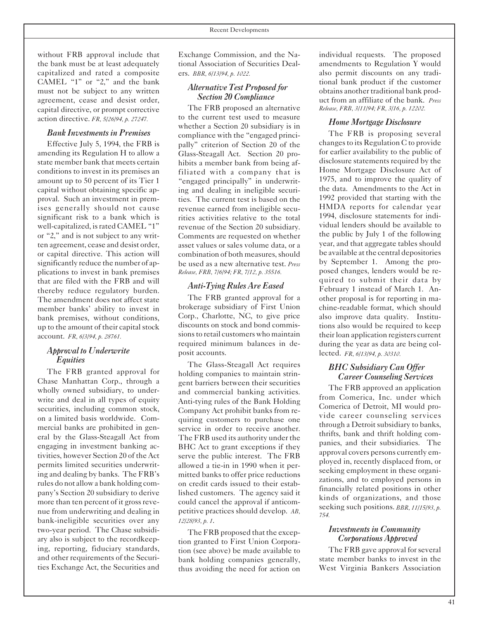without FRB approval include that the bank must be at least adequately capitalized and rated a composite CAMEL "1" or "2," and the bank must not be subject to any written agreement, cease and desist order, capital directive, or prompt corrective action directive. *FR, 5/26/94, p. 27247.*

#### *Bank Investmentsin Premises*

Effective July 5, 1994, the FRB is amending its Regulation H to allow a state member bank that meets certain conditions to invest in its premises an amount up to 50 percent of its Tier 1 capital without obtaining specific approval. Such an investment in premises generally should not cause significant risk to a bank which is well-capitalized, is rated CAMEL "1" or "2," and is not subject to any written agreement, cease and desist order, or capital directive. This action will significantly reduce the number of applications to invest in bank premises that are filed with the FRB and will thereby reduce regulatory burden. The amendment does not affect state member banks' ability to invest in bank premises, without conditions, up to the amount of their capital stock account. *FR, 6/3/94, p. 28761.*

#### *Approval to Underwrite Equities*

The FRB granted approval for Chase Manhattan Corp., through a wholly owned subsidiary, to underwrite and deal in all types of equity securities, including common stock, on a limited basis worldwide. Commercial banks are prohibited in general by the Glass-Steagall Act from engaging in investment banking activities, however Section 20 of the Act permits limited securities underwriting and dealing by banks. The FRB's rules do not allow a bank holding company's Section 20 subsidiary to derive more than ten percent of it gross revenue from underwriting and dealing in bank-ineligible securities over any two-year period. The Chase subsidiary also is subject to the recordkeeping, reporting, fiduciary standards, and other requirements of the Securities Exchange Act, the Securities and

Exchange Commission, and the National Association of Securities Dealers. *BBR, 6/13/94, p. 1022.*

#### *Alternative Test Proposed for Section 20 Compliance*

The FRB proposed an alternative to the current test used to measure whether a Section 20 subsidiary is in compliance with the "engaged principally" criterion of Section 20 of the Glass-Steagall Act. Section 20 prohibits a member bank from being affiliated with a company that is "engaged principally" in underwriting and dealing in ineligible securities. The current test is based on the revenue earned from ineligible securities activities relative to the total revenue of the Section 20 subsidiary. Comments are requested on whether asset values or sales volume data, or a combination of both measures, should be used as a new alternative test. *Press Release, FRB, 7/6/94; FR, 7/12, p. 35516.*

#### *Anti-Tying Rules Are Eased*

The FRB granted approval for a brokerage subsidiary of First Union Corp., Charlotte, NC, to give price discounts on stock and bond commissions to retail customers who maintain required minimum balances in deposit accounts.

The Glass-Steagall Act requires holding companies to maintain stringent barriers between their securities and commercial banking activities. Anti-tying rules of the Bank Holding Company Act prohibit banks from requiring customers to purchase one service in order to receive another. The FRB used its authority under the BHC Act to grant exceptions if they serve the public interest. The FRB allowed a tie-in in 1990 when it permitted banks to offer price reductions on credit cards issued to their established customers. The agency said it could cancel the approval if anticompetitive practices should develop. *AB, 12/28/93, p. 1*.

The FRB proposed that the exception granted to First Union Corporation (see above) be made available to bank holding companies generally, thus avoiding the need for action on individual requests. The proposed amendments to Regulation Y would also permit discounts on any traditional bank product if the customer obtains another traditional bank product from an affiliate of the bank. *Press Release, FRB, 3/11/94; FR, 3/16, p. 12202.*

#### *Home Mortgage Disclosure*

The FRB is proposing several changes to its Regulation C to provide for earlier availability to the public of disclosure statements required by the Home Mortgage Disclosure Act of 1975, and to improve the quality of the data. Amendments to the Act in 1992 provided that starting with the HMDA reports for calendar year 1994, disclosure statements for individual lenders should be available to the public by July 1 of the following year, and that aggregate tables should be available atthe central depositories by September 1. Among the proposed changes, lenders would be required to submit their data by February 1 instead of March 1. Another proposal is for reporting in machine-readable format, which should also improve data quality. Institutions also would be required to keep their loan application registers current during the year as data are being collected. *FR, 6/13/94, p. 30310.*

#### *BHC Subsidiary Can Offer Career Counseling Services*

The FRB approved an application from Comerica, Inc. under which Comerica of Detroit, MI would provide career counseling services through a Detroit subsidiary to banks, thrifts, bank and thrift holding companies, and their subsidiaries. The approval covers persons currently employed in, recently displaced from, or seeking employment in these organizations, and to employed persons in financially related positions in other kinds of organizations, and those seeking such positions. *BBR, 11/15/93, p. 754.*

#### *Investmentsin Community Corporations Approved*

The FRB gave approval for several state member banks to invest in the West Virginia Bankers Association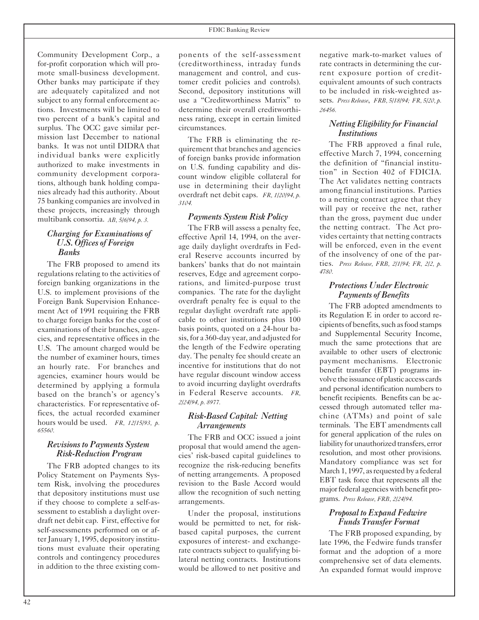Community Development Corp., a for-profit corporation which will promote small-business development. Other banks may participate if they are adequately capitalized and not subject to any formal enforcement actions. Investments will be limited to two percent of a bank's capital and surplus. The OCC gave similar permission last December to national banks. It was not until DIDRA that individual banks were explicitly authorized to make investments in community development corporations, although bank holding companies already had this authority. About 75 banking companies are involved in these projects, increasingly through multibank consortia. *AB, 5/6/94, p. 3.*

#### *Charging for Examinations of U.S. Offices of Foreign Banks*

The FRB proposed to amend its regulations relating to the activities of foreign banking organizations in the U.S. to implement provisions of the Foreign Bank Supervision Enhancement Act of 1991 requiring the FRB to charge foreign banks for the cost of examinations of their branches, agencies, and representative offices in the U.S. The amount charged would be the number of examiner hours, times an hourly rate. For branches and agencies, examiner hours would be determined by applying a formula based on the branch's or agency's characteristics. For representative offices, the actual recorded examiner hours would be used. *FR, 12/15/93, p. 65560.*

#### *Revisionsto Payments System Risk-Reduction Program*

The FRB adopted changes to its Policy Statement on Payments System Risk, involving the procedures that depository institutions must use if they choose to complete a self-assessment to establish a daylight overdraft net debit cap. First, effective for self-assessments performed on or afterJanuary 1, 1995, depository institutions must evaluate their operating controls and contingency procedures in addition to the three existing components of the self-assessment (creditworthiness, intraday funds management and control, and customer credit policies and controls). Second, depository institutions will use a "Creditworthiness Matrix" to determine their overall creditworthiness rating, except in certain limited circumstances.

The FRB is eliminating the requirement that branches and agencies of foreign banks provide information on U.S. funding capability and discount window eligible collateral for use in determining their daylight overdraft net debit caps. *FR, 1/20/94, p. 3104.*

#### *Payments System Risk Policy*

The FRB will assess a penalty fee, effective April 14, 1994, on the average daily daylight overdrafts in Federal Reserve accounts incurred by bankers' banks that do not maintain reserves, Edge and agreement corporations, and limited-purpose trust companies. The rate for the daylight overdraft penalty fee is equal to the regular daylight overdraft rate applicable to other institutions plus 100 basis points, quoted on a 24-hour basis,for a 360-day year, and adjusted for the length of the Fedwire operating day. The penalty fee should create an incentive for institutions that do not have regular discount window access to avoid incurring daylight overdrafts in Federal Reserve accounts. *FR, 2/24/94, p. 8977.*

#### *Risk-Based Capital: Netting Arrangements*

The FRB and OCC issued a joint proposal that would amend the agencies' risk-based capital guidelines to recognize the risk-reducing benefits of netting arrangements. A proposed revision to the Basle Accord would allow the recognition of such netting arrangements.

Under the proposal, institutions would be permitted to net, for riskbased capital purposes, the current exposures of interest- and exchangerate contracts subject to qualifying bilateral netting contracts. Institutions would be allowed to net positive and negative mark-to-market values of rate contracts in determining the current exposure portion of creditequivalent amounts of such contracts to be included in risk-weighted assets. *Press Release*, *FRB, 5/18/94; FR, 5/20, p. 26456.*

#### *Netting Eligibility for Financial Institutions*

The FRB approved a final rule, effective March 7, 1994, concerning the definition of "financial institution" in Section 402 of FDICIA. The Act validates netting contracts among financial institutions. Parties to a netting contract agree that they will pay or receive the net, rather than the gross, payment due under the netting contract. The Act provides certainty that netting contracts will be enforced, even in the event of the insolvency of one of the parties. *Press Release, FRB, 2/1/94; FR, 2/2, p. 4780.*

#### *Protections Under Electronic Payments of Benefits*

The FRB adopted amendments to its Regulation E in order to accord recipients of benefits, such as food stamps and Supplemental Security Income, much the same protections that are available to other users of electronic payment mechanisms. Electronic benefit transfer (EBT) programs involve the issuance of plastic access cards and personal identification numbers to benefit recipients. Benefits can be accessed through automated teller machine (ATMs) and point of sale terminals. The EBT amendments call for general application of the rules on liability for unauthorized transfers, error resolution, and most other provisions. Mandatory compliance was set for March 1, 1997, as requested by a federal EBT task force that represents all the major federal agencies with benefit programs. *Press Release, FRB, 2/24/94.*

#### *Proposal to Expand Fedwire Funds Transfer Format*

The FRB proposed expanding, by late 1996, the Fedwire funds transfer format and the adoption of a more comprehensive set of data elements. An expanded format would improve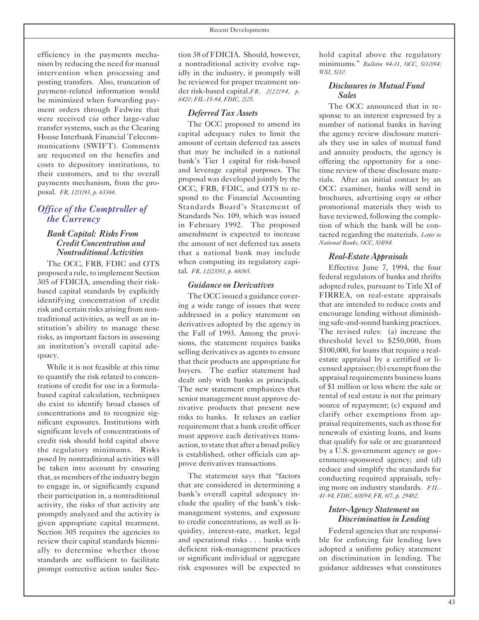efficiency in the payments mechanism by reducing the need for manual intervention when processing and posting transfers. Also, truncation of payment-related information would be minimized when forwarding payment orders through Fedwire that were received *via* other large-value transfer systems, such as the Clearing House Interbank Financial Telecommunications (SWIFT). Comments are requested on the benefits and costs to depository institutions, to their customers, and to the overall payments mechanism, from the proposal. *FR, 12/1/93, p. 63366.*

#### *Office of the Comptroller of the Currency*

#### *Bank Capital: Risks From Credit Concentration and Nontraditional Activities*

The OCC, FRB, FDIC and OTS proposed a rule, to implement Section 305 of FDICIA, amending their riskbased capital standards by explicitly identifying concentration of credit risk and certain risks arising from nontraditional activities, as well as an institution's ability to manage these risks, as important factors in assessing an institution's overall capital adequacy.

While it is not feasible at this time to quantify the risk related to concentrations of credit for use in a formulabased capital calculation, techniques do exist to identify broad classes of concentrations and to recognize significant exposures. Institutions with significant levels of concentrations of credit risk should hold capital above the regulatory minimums. Risks posed by nontraditional activities will be taken into account by ensuring that, as members of the industry begin to engage in, or significantly expand their participation in, a nontraditional activity, the risks of that activity are promptly analyzed and the activity is given appropriate capital treatment. Section 305 requires the agencies to review their capital standards biennially to determine whether those standards are sufficient to facilitate prompt corrective action under Sec-

tion 38 of FDICIA. Should, however, a nontraditional activity evolve rapidly in the industry, it promptly will be reviewed for proper treatment under risk-based capital.*FR, 2/22/94, p. 8420; FIL-15-94, FDIC, 2/25.*

#### *Deferred Tax Assets*

The OCC proposed to amend its capital adequacy rules to limit the amount of certain deferred tax assets that may be included in a national bank's Tier 1 capital for risk-based and leverage capital purposes. The proposal was developed jointly by the OCC, FRB, FDIC, and OTS to respond to the Financial Accounting Standards Board's Statement of Standards No. 109, which was issued in February 1992. The proposed amendment is expected to increase the amount of net deferred tax assets that a national bank may include when computing its regulatory capital. *FR, 12/23/93, p. 68065.*

#### *Guidance on Derivatives*

The OCC issued a guidance covering a wide range of issues that were addressed in a policy statement on derivatives adopted by the agency in the Fall of 1993. Among the provisions, the statement requires banks selling derivatives as agents to ensure that their products are appropriate for buyers. The earlier statement had dealt only with banks as principals. The new statement emphasizes that senior management must approve derivative products that present new risks to banks. It relaxes an earlier requirement that a bank credit officer must approve each derivatives transaction, to state that after a broad policy is established, other officials can approve derivatives transactions.

The statement says that "factors that are considered in determining a bank's overall capital adequacy include the quality of the bank's riskmanagement systems, and exposure to credit concentrations, as well as liquidity, interest-rate, market, legal and operational risks . . . banks with deficient risk-management practices or significant individual or aggregate risk exposures will be expected to hold capital above the regulatory minimums." *Bulletin 94-31, OCC, 5/10/94; WSJ, 5/10.*

#### *Disclosuresin Mutual Fund Sales*

The OCC announced that in response to an interest expressed by a number of national banks in having the agency review disclosure materials they use in sales of mutual fund and annuity products, the agency is offering the opportunity for a onetime review of these disclosure materials. After an initial contact by an OCC examiner, banks will send in brochures, advertising copy or other promotional materials they wish to have reviewed, following the completion of which the bank will be contacted regarding the materials. *Letter to National Banks, OCC, 5/4/94.*

#### *Real-Estate Appraisals*

Effective June 7, 1994, the four federal regulators of banks and thrifts adopted rules, pursuant to Title XI of FIRREA, on real-estate appraisals that are intended to reduce costs and encourage lending without diminishing safe-and-sound banking practices. The revised rules: (a) increase the threshold level to \$250,000, from \$100,000, for loans that require a realestate appraisal by a certified or licensed appraiser; (b) exempt from the appraisal requirements businessloans of \$1 million or less where the sale or rental of real estate is not the primary source of repayment; (c) expand and clarify other exemptions from appraisal requirements, such as those for renewals of existing loans, and loans that qualify for sale or are guaranteed by a U.S. government agency or government-sponsored agency; and (d) reduce and simplify the standards for conducting required appraisals, relying more on industry standards. *FIL-41-94, FDIC, 6/8/94; FR, 6/7, p. 29482.*

#### *Inter-Agency Statement on Discrimination in Lending*

Federal agencies that are responsible for enforcing fair lending laws adopted a uniform policy statement on discrimination in lending. The guidance addresses what constitutes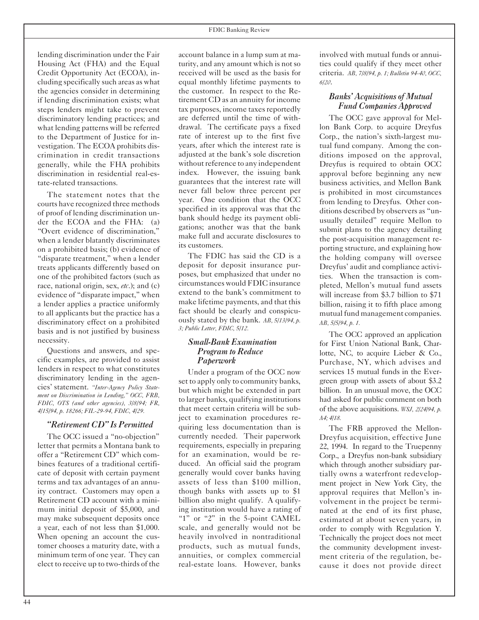lending discrimination under the Fair Housing Act (FHA) and the Equal Credit Opportunity Act (ECOA), including specifically such areas as what the agencies consider in determining if lending discrimination exists; what steps lenders might take to prevent discriminatory lending practices; and what lending patterns will be referred to the Department of Justice for investigation. The ECOA prohibits discrimination in credit transactions generally, while the FHA prohibits discrimination in residential real-estate-related transactions.

The statement notes that the courts have recognized three methods of proof of lending discrimination under the ECOA and the FHA: (a) "Overt evidence of discrimination," when a lender blatantly discriminates on a prohibited basis; (b) evidence of "disparate treatment," when a lender treats applicants differently based on one of the prohibited factors (such as race, national origin, sex, *etc*.); and (c) evidence of "disparate impact," when a lender applies a practice uniformly to all applicants but the practice has a discriminatory effect on a prohibited basis and is not justified by business necessity.

Questions and answers, and specific examples, are provided to assist lenders in respect to what constitutes discriminatory lending in the agencies' statement. *"Inter-Agency Policy Statement on Discrimination in Lending," OCC, FRB, FDIC, OTS (and other agencies), 3/8/94; FR, 4/15/94, p. 18266; FIL-29-94, FDIC, 4/29.*

#### *"Retirement CD" Is Permitted*

The OCC issued a "no-objection" letter that permits a Montana bank to offer a "Retirement CD" which combines features of a traditional certificate of deposit with certain payment terms and tax advantages of an annuity contract. Customers may open a Retirement CD account with a minimum initial deposit of \$5,000, and may make subsequent deposits once a year, each of not less than \$1,000. When opening an account the customer chooses a maturity date, with a minimum term of one year. They can elect to receive up to two-thirds of the

account balance in a lump sum at maturity, and any amount which is notso received will be used as the basis for equal monthly lifetime payments to the customer. In respect to the Retirement CD as an annuity for income tax purposes, income taxes reportedly are deferred until the time of withdrawal. The certificate pays a fixed rate of interest up to the first five years, after which the interest rate is adjusted at the bank's sole discretion without reference to any independent index. However, the issuing bank guarantees that the interest rate will never fall below three percent per year. One condition that the OCC specified in its approval was that the bank should hedge its payment obligations; another was that the bank make full and accurate disclosures to its customers.

The FDIC has said the CD is a deposit for deposit insurance purposes, but emphasized that under no circumstances would FDIC insurance extend to the bank's commitment to make lifetime payments, and that this fact should be clearly and conspicuously stated by the bank. *AB, 5/13/94, p. 3; Public Letter, FDIC, 5/12.*

#### *Small-Bank Examination Program to Reduce Paperwork*

Under a program of the OCC now set to apply only to community banks, but which might be extended in part to larger banks, qualifying institutions that meet certain criteria will be subject to examination procedures requiring less documentation than is currently needed. Their paperwork requirements, especially in preparing for an examination, would be reduced. An official said the program generally would cover banks having assets of less than \$100 million, though banks with assets up to \$1 billion also might qualify. A qualifying institution would have a rating of "1" or "2" in the 5-point CAMEL scale, and generally would not be heavily involved in nontraditional products, such as mutual funds, annuities, or complex commercial real-estate loans. However, banks involved with mutual funds or annuities could qualify if they meet other criteria. *AB, 7/8/94, p. 1; Bulletin 94-40, OCC, 6/20*.

#### *Banks' Acquisitions of Mutual Fund Companies Approved*

The OCC gave approval for Mellon Bank Corp. to acquire Dreyfus Corp., the nation's sixth-largest mutual fund company. Among the conditions imposed on the approval, Dreyfus is required to obtain OCC approval before beginning any new business activities, and Mellon Bank is prohibited in most circumstances from lending to Dreyfus. Other conditions described by observers as "unusually detailed" require Mellon to submit plans to the agency detailing the post-acquisition management reporting structure, and explaining how the holding company will oversee Dreyfus' audit and compliance activities. When the transaction is completed, Mellon's mutual fund assets will increase from \$3.7 billion to \$71 billion, raising it to fifth place among mutual fund management companies. *AB, 5/5/94, p. 1.*

The OCC approved an application for First Union National Bank, Charlotte, NC, to acquire Lieber & Co., Purchase, NY, which advises and services 15 mutual funds in the Evergreen group with assets of about \$3.2 billion. In an unusual move, the OCC had asked for public comment on both of the above acquisitions. *WSJ, 2/24/94, p. A4; 4/18.*

The FRB approved the Mellon-Dreyfus acquisition, effective June 22, 1994. In regard to the Truepenny Corp., a Dreyfus non-bank subsidiary which through another subsidiary partially owns a waterfront redevelopment project in New York City, the approval requires that Mellon's involvement in the project be terminated at the end of its first phase, estimated at about seven years, in order to comply with Regulation Y. Technically the project does not meet the community development investment criteria of the regulation, because it does not provide direct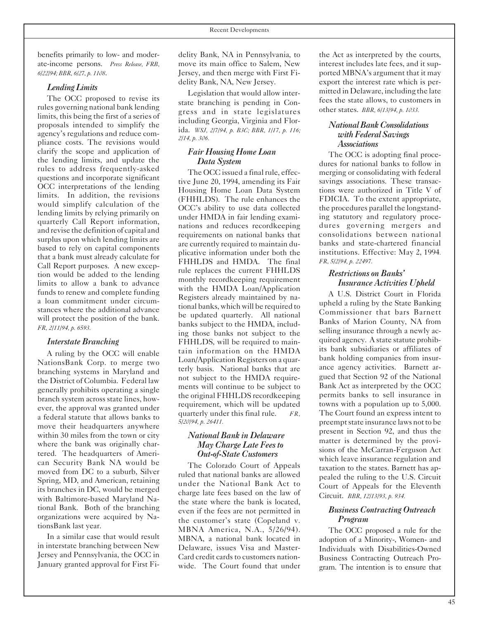benefits primarily to low- and moderate-income persons. *Press Release, FRB, 6/22/94; BBR, 6/27, p. 1108*.

#### *LendingLimits*

The OCC proposed to revise its rules governing national bank lending limits, this being the first of a series of proposals intended to simplify the agency's regulations and reduce compliance costs. The revisions would clarify the scope and application of the lending limits, and update the rules to address frequently-asked questions and incorporate significant OCC interpretations of the lending limits. In addition, the revisions would simplify calculation of the lending limits by relying primarily on quarterly Call Report information, and revise the definition of capital and surplus upon which lending limits are based to rely on capital components that a bank must already calculate for Call Report purposes. A new exception would be added to the lending limits to allow a bank to advance funds to renew and complete funding a loan commitment under circumstances where the additional advance will protect the position of the bank. *FR, 2/11/94, p. 6593.*

#### *Interstate Branching*

A ruling by the OCC will enable NationsBank Corp. to merge two branching systems in Maryland and the District of Columbia. Federal law generally prohibits operating a single branch system across state lines, however, the approval was granted under a federal statute that allows banks to move their headquarters anywhere within 30 miles from the town or city where the bank was originally chartered. The headquarters of American Security Bank NA would be moved from DC to a suburb, Silver Spring, MD, and American, retaining its branches in DC, would be merged with Baltimore-based Maryland National Bank. Both of the branching organizations were acquired by NationsBank last year.

In a similar case that would result in interstate branching between New Jersey and Pennsylvania, the OCC in January granted approval for First Fi-

delity Bank, NA in Pennsylvania, to move its main office to Salem, New Jersey, and then merge with First Fidelity Bank, NA, New Jersey.

Legislation that would allow interstate branching is pending in Congress and in state legislatures including Georgia, Virginia and Florida. *WSJ, 2/7/94, p. B3C; BBR, 1/17, p. 116; 2/14, p. 306.*

#### *Fair Housing Home Loan Data System*

The OCC issued a final rule, effective June 20, 1994, amending its Fair Housing Home Loan Data System (FHHLDS). The rule enhances the OCC's ability to use data collected under HMDA in fair lending examinations and reduces recordkeeping requirements on national banks that are currently required to maintain duplicative information under both the FHHLDS and HMDA. The final rule replaces the current FHHLDS monthly recordkeeping requirement with the HMDA Loan/Application Registers already maintained by national banks, which will be required to be updated quarterly. All national banks subject to the HMDA, including those banks not subject to the FHHLDS, will be required to maintain information on the HMDA Loan/Application Registers on a quarterly basis. National banks that are not subject to the HMDA requirements will continue to be subject to the original FHHLDS recordkeeping requirement, which will be updated quarterly under this final rule. *FR, 5/20/94, p. 26411.*

#### *National Bank in Delaware May Charge Late Feesto Out-of-State Customers*

The Colorado Court of Appeals ruled that national banks are allowed under the National Bank Act to charge late fees based on the law of the state where the bank is located, even if the fees are not permitted in the customer's state (Copeland v. MBNA America, N.A., 5/26/94). MBNA, a national bank located in Delaware, issues Visa and Master-Card credit cards to customers nationwide. The Court found that under

the Act as interpreted by the courts, interest includes late fees, and it supported MBNA's argument that it may export the interest rate which is permitted in Delaware, including the late fees the state allows, to customers in other states. *BBR, 6/13/94, p. 1033.*

#### *NationalBankConsolidations withFederalSavings Associations*

The OCC is adopting final procedures for national banks to follow in merging or consolidating with federal savings associations. These transactions were authorized in Title V of FDICIA. To the extent appropriate, the procedures parallel the longstanding statutory and regulatory procedures governing mergers and consolidations between national banks and state-chartered financial institutions. Effective: May 2, 1994*. FR, 5/2/94, p. 22497.*

#### *Restrictions on Banks' Insurance Activities Upheld*

A U.S. District Court in Florida upheld a ruling by the State Banking Commissioner that bars Barnett Banks of Marion County, NA from selling insurance through a newly acquired agency. A state statute prohibits bank subsidiaries or affiliates of bank holding companies from insurance agency activities. Barnett argued that Section 92 of the National Bank Act as interpreted by the OCC permits banks to sell insurance in towns with a population up to 5,000. The Court found an express intent to preempt state insurance laws not to be present in Section 92, and thus the matter is determined by the provisions of the McCarran-Ferguson Act which leave insurance regulation and taxation to the states. Barnett has appealed the ruling to the U.S. Circuit Court of Appeals for the Eleventh Circuit. *BBR, 12/13/93, p. 934.*

#### *Business Contracting Outreach Program*

The OCC proposed a rule for the adoption of a Minority-, Women- and Individuals with Disabilities-Owned Business Contracting Outreach Program. The intention is to ensure that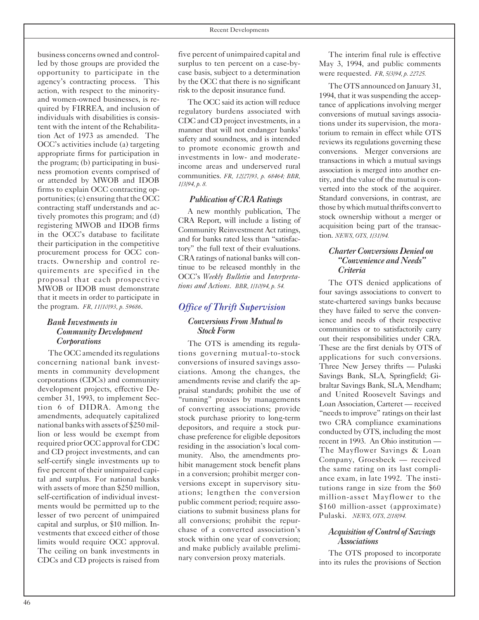business concerns owned and controlled by those groups are provided the opportunity to participate in the agency's contracting process. This action, with respect to the minorityand women-owned businesses, is required by FIRREA, and inclusion of individuals with disabilities is consistent with the intent of the Rehabilitation Act of 1973 as amended. The OCC's activities include (a) targeting appropriate firms for participation in the program; (b) participating in business promotion events comprised of or attended by MWOB and IDOB firms to explain OCC contracting opportunities;  $(c)$  ensuring that the OCC contracting staff understands and actively promotes this program; and (d) registering MWOB and IDOB firms in the OCC's database to facilitate their participation in the competitive procurement process for OCC contracts. Ownership and control requirements are specified in the proposal that each prospective MWOB or IDOB must demonstrate that it meets in order to participate in the program. *FR, 11/10/93, p. 59686*.

#### *Bank Investmentsin Community Development Corporations*

The OCC amended its regulations concerning national bank investments in community development corporations (CDCs) and community development projects, effective December 31, 1993, to implement Section 6 of DIDRA. Among the amendments, adequately capitalized national banks with assets of \$250 million or less would be exempt from required prior OCC approval for CDC and CD project investments, and can self-certify single investments up to five percent of their unimpaired capital and surplus. For national banks with assets of more than \$250 million, self-certification of individual investments would be permitted up to the lesser of two percent of unimpaired capital and surplus, or \$10 million. Investments that exceed either of those limits would require OCC approval. The ceiling on bank investments in CDCs and CD projects is raised from

five percent of unimpaired capital and surplus to ten percent on a case-bycase basis, subject to a determination by the OCC that there is no significant risk to the deposit insurance fund.

The OCC said its action will reduce regulatory burdens associated with CDC and CD project investments, in a manner that will not endanger banks' safety and soundness, and is intended to promote economic growth and investments in low- and moderateincome areas and underserved rural communities. *FR, 12/27/93, p. 68464; BBR, 1/3/94, p. 8.*

#### *Publication of CRA Ratings*

A new monthly publication, The CRA Report, will include a listing of Community Reinvestment Act ratings, and for banks rated less than "satisfactory" the full text of their evaluations. CRA ratings of national banks will continue to be released monthly in the OCC's *Weekly Bulletin* and *Interpretations and Actions. BBR, 1/10/94, p. 54.*

#### *Office of Thrift Supervision ConversionsFromMutualto StockForm*

The OTS is amending its regulations governing mutual-to-stock conversions of insured savings associations. Among the changes, the amendments revise and clarify the appraisal standards; prohibit the use of "running" proxies by managements of converting associations; provide stock purchase priority to long-term depositors, and require a stock purchase preference for eligible depositors residing in the association's local community. Also, the amendments prohibit management stock benefit plans in a conversion; prohibit merger conversions except in supervisory situations; lengthen the conversion public comment period; require associations to submit business plans for all conversions; prohibit the repurchase of a converted association's stock within one year of conversion; and make publicly available preliminary conversion proxy materials.

The interim final rule is effective May 3, 1994, and public comments were requested. *FR, 5/3/94, p. 22725.*

The OTS announced on January 31, 1994, that it was suspending the acceptance of applications involving merger conversions of mutual savings associations under its supervision, the moratorium to remain in effect while OTS reviews its regulations governing these conversions. Merger conversions are transactions in which a mutual savings association is merged into another entity, and the value of the mutual is converted into the stock of the acquirer. Standard conversions, in contrast, are those by which mutual thrifts convert to stock ownership without a merger or acquisition being part of the transaction. *NEWS, OTS, 1/31/94.*

#### *CharterConversionsDenied on "ConvenienceandNeeds" Criteria*

The OTS denied applications of four savings associations to convert to state-chartered savings banks because they have failed to serve the convenience and needs of their respective communities or to satisfactorily carry out their responsibilities under CRA. These are the first denials by OTS of applications for such conversions. Three New Jersey thrifts — Pulaski Savings Bank, SLA, Springfield; Gibraltar Savings Bank, SLA, Mendham; and United Roosevelt Savings and Loan Association, Carteret — received "needs to improve" ratings on their last two CRA compliance examinations conducted by OTS, including the most recent in 1993. An Ohio institution — The Mayflower Savings & Loan Company, Groesbeck — received the same rating on its last compliance exam, in late 1992. The institutions range in size from the \$60 million-asset Mayflower to the \$160 million-asset (approximate) Pulaski. *NEWS, OTS, 2/18/94.*

#### *Acquisition ofControl ofSavings Associations*

The OTS proposed to incorporate into its rules the provisions of Section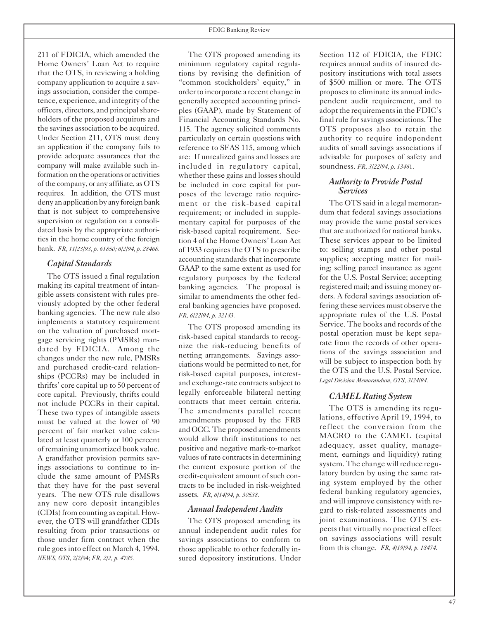211 of FDICIA, which amended the Home Owners' Loan Act to require that the OTS, in reviewing a holding company application to acquire a savings association, consider the competence, experience, and integrity of the officers, directors, and principalshareholders of the proposed acquirors and the savings association to be acquired. Under Section 211, OTS must deny an application if the company fails to provide adequate assurances that the company will make available such information on the operations or activities of the company, or any affiliate, as OTS requires. In addition, the OTS must deny an application by any foreign bank that is not subject to comprehensive supervision or regulation on a consolidated basis by the appropriate authorities in the home country of the foreign bank. *FR, 11/23/93, p. 61850; 6/2/94, p. 28468.*

#### *Capital Standards*

The OTS issued a final regulation making its capital treatment of intangible assets consistent with rules previously adopted by the other federal banking agencies. The new rule also implements a statutory requirement on the valuation of purchased mortgage servicing rights (PMSRs) mandated by FDICIA. Among the changes under the new rule, PMSRs and purchased credit-card relationships (PCCRs) may be included in thrifts' core capital up to 50 percent of core capital. Previously, thrifts could not include PCCRs in their capital. These two types of intangible assets must be valued at the lower of 90 percent of fair market value calculated at least quarterly or 100 percent of remaining unamortized book value. A grandfather provision permits savings associations to continue to include the same amount of PMSRs that they have for the past several years. The new OTS rule disallows any new core deposit intangibles (CDIs)from counting as capital. However, the OTS will grandfather CDIs resulting from prior transactions or those under firm contract when the rule goesinto effect on March 4, 1994. *NEWS, OTS*, 2/2/94; *FR, 2/2, p. 4785.*

The OTS proposed amending its minimum regulatory capital regulations by revising the definition of "common stockholders' equity," in order to incorporate a recent change in generally accepted accounting principles (GAAP), made by Statement of Financial Accounting Standards No. 115. The agency solicited comments particularly on certain questions with reference to SFAS 115, among which are: If unrealized gains and losses are included in regulatory capital, whether these gains and losses should be included in core capital for purposes of the leverage ratio requirement or the risk-based capital requirement; or included in supplementary capital for purposes of the risk-based capital requirement. Section 4 of the Home Owners' Loan Act of 1933 requires the OTS to prescribe accounting standards that incorporate GAAP to the same extent as used for regulatory purposes by the federal banking agencies. The proposal is similar to amendments the other federal banking agencies have proposed. *FR, 6/22/94, p. 32143.*

The OTS proposed amending its risk-based capital standards to recognize the risk-reducing benefits of netting arrangements. Savings associations would be permitted to net, for risk-based capital purposes, interestand exchange-rate contracts subject to legally enforceable bilateral netting contracts that meet certain criteria. The amendments parallel recent amendments proposed by the FRB and OCC. The proposed amendments would allow thrift institutions to net positive and negative mark-to-market values of rate contracts in determining the current exposure portion of the credit-equivalent amount of such contracts to be included in risk-weighted assets. *FR, 6/14/94, p. 30538.*

#### *Annual Independent Audits*

The OTS proposed amending its annual independent audit rules for savings associations to conform to those applicable to other federally insured depository institutions. Under Section 112 of FDICIA, the FDIC requires annual audits of insured depository institutions with total assets of \$500 million or more. The OTS proposes to eliminate its annual independent audit requirement, and to adopt the requirements in the FDIC's final rule forsavings associations. The OTS proposes also to retain the authority to require independent audits of small savings associations if advisable for purposes of safety and soundness. *FR, 3/22/94, p. 1346*1.

#### *Authority to Provide Postal Services*

The OTS said in a legal memorandum that federal savings associations may provide the same postal services that are authorized for national banks. These services appear to be limited to: selling stamps and other postal supplies; accepting matter for mailing; selling parcel insurance as agent for the U.S. Postal Service; accepting registered mail; and issuing money orders. A federal savings association offering these services must observe the appropriate rules of the U.S. Postal Service. The books and records of the postal operation must be kept separate from the records of other operations of the savings association and will be subject to inspection both by the OTS and the U.S. Postal Service. *Legal Division Memorandum, OTS, 3/24/94.*

#### *CAMEL Rating System*

The OTS is amending its regulations, effective April 19, 1994, to reflect the conversion from the MACRO to the CAMEL (capital adequacy, asset quality, management, earnings and liquidity) rating system. The change will reduce regulatory burden by using the same rating system employed by the other federal banking regulatory agencies, and will improve consistency with regard to risk-related assessments and joint examinations. The OTS expects that virtually no practical effect on savings associations will result from this change. *FR, 4/19/94, p. 18474.*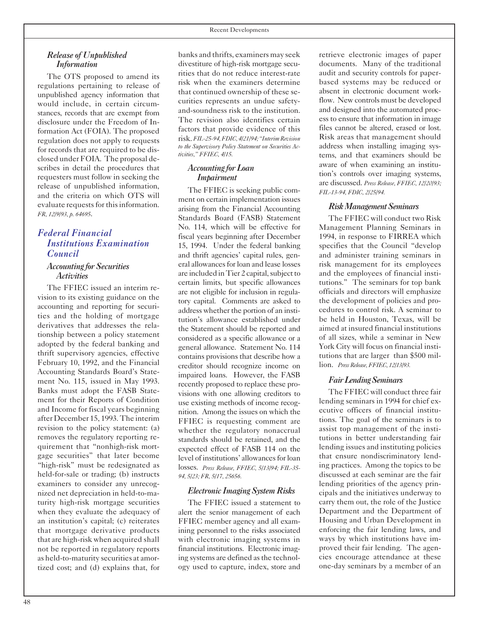#### *Release of Unpublished Information*

The OTS proposed to amend its regulations pertaining to release of unpublished agency information that would include, in certain circumstances, records that are exempt from disclosure under the Freedom of Information Act (FOIA). The proposed regulation does not apply to requests for records that are required to be disclosed under FOIA. The proposal describes in detail the procedures that requesters must follow in seeking the release of unpublished information, and the criteria on which OTS will evaluate requests for this information. *FR, 12/9/93, p. 64695*.

### *Federal Financial Institutions Examination Council*

#### *Accounting for Securities Activities*

The FFIEC issued an interim revision to its existing guidance on the accounting and reporting for securities and the holding of mortgage derivatives that addresses the relationship between a policy statement adopted by the federal banking and thrift supervisory agencies, effective February 10, 1992, and the Financial Accounting Standards Board's Statement No. 115, issued in May 1993. Banks must adopt the FASB Statement for their Reports of Condition and Income for fiscal years beginning after December 15, 1993. The interim revision to the policy statement: (a) removes the regulatory reporting requirement that "nonhigh-risk mortgage securities" that later become "high-risk" must be redesignated as held-for-sale or trading; (b) instructs examiners to consider any unrecognized net depreciation in held-to-maturity high-risk mortgage securities when they evaluate the adequacy of an institution's capital; (c) reiterates that mortgage derivative products that are high-risk when acquired shall not be reported in regulatory reports as held-to-maturity securities at amortized cost; and (d) explains that, for

banks and thrifts, examiners may seek divestiture of high-risk mortgage securities that do not reduce interest-rate risk when the examiners determine that continued ownership of these securities represents an undue safetyand-soundness risk to the institution. The revision also identifies certain factors that provide evidence of this risk.*FIL-25-94,FDIC, 4/21/94; "InterimRevision to the Supervisory Policy Statement on Securities Activities," FFIEC, 4/15.*

#### *Accounting forLoan Impairment*

The FFIEC is seeking public comment on certain implementation issues arising from the Financial Accounting Standards Board (FASB) Statement No. 114, which will be effective for fiscal years beginning after December 15, 1994. Under the federal banking and thrift agencies' capital rules, general allowancesfor loan and lease losses are included in Tier 2 capital, subject to certain limits, but specific allowances are not eligible for inclusion in regulatory capital. Comments are asked to address whether the portion of an institution's allowance established under the Statement should be reported and considered as a specific allowance or a general allowance. Statement No. 114 contains provisions that describe how a creditor should recognize income on impaired loans. However, the FASB recently proposed to replace these provisions with one allowing creditors to use existing methods of income recognition. Among the issues on which the FFIEC is requesting comment are whether the regulatory nonaccrual standards should be retained, and the expected effect of FASB 114 on the level of institutions' allowances for loan losses. *Press Release, FFIEC, 5/13/94; FIL-35 94, 5/23; FR, 5/17, 25656.*

#### *Electronic ImagingSystemRisks*

The FFIEC issued a statement to alert the senior management of each FFIEC member agency and all examining personnel to the risks associated with electronic imaging systems in financial institutions. Electronic imaging systems are defined as the technology used to capture, index, store and

retrieve electronic images of paper documents. Many of the traditional audit and security controls for paperbased systems may be reduced or absent in electronic document workflow. New controls must be developed and designed into the automated process to ensure that information in image files cannot be altered, erased or lost. Risk areas that management should address when installing imaging systems, and that examiners should be aware of when examining an institution's controls over imaging systems, are discussed. *Press Release, FFIEC, 12/20/93; FIL-13-94, FDIC, 2/25/94.*

#### *RiskManagementSeminars*

The FFIEC will conduct two Risk Management Planning Seminars in 1994, in response to FIRREA which specifies that the Council "develop and administer training seminars in risk management for its employees and the employees of financial institutions." The seminars for top bank officials and directors will emphasize the development of policies and procedures to control risk. A seminar to be held in Houston, Texas, will be aimed at insured financial institutions of all sizes, while a seminar in New York City will focus on financial institutions that are larger than \$500 million. *Press Release, FFIEC, 12/13/93.*

#### *FairLendingSeminars*

The FFIEC will conduct three fair lending seminars in 1994 for chief executive officers of financial institutions. The goal of the seminars is to assist top management of the institutions in better understanding fair lending issues and instituting policies that ensure nondiscriminatory lending practices. Among the topics to be discussed at each seminar are the fair lending priorities of the agency principals and the initiatives underway to carry them out, the role of the Justice Department and the Department of Housing and Urban Development in enforcing the fair lending laws, and ways by which institutions have improved their fair lending. The agencies encourage attendance at these one-day seminars by a member of an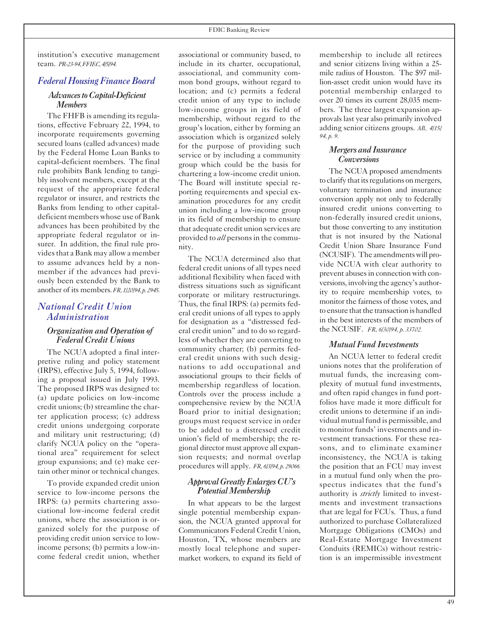institution's executive management team. *PR-23-94,FFIEC,4/5/94.*

#### *Federal HousingFinance Board*

#### *AdvancestoCapital-Deficient Members*

The FHFB is amending its regulations, effective February 22, 1994, to incorporate requirements governing secured loans (called advances) made by the Federal Home Loan Banks to capital-deficient members. The final rule prohibits Bank lending to tangibly insolvent members, except at the request of the appropriate federal regulator or insurer, and restricts the Banks from lending to other capitaldeficient members whose use of Bank advances has been prohibited by the appropriate federal regulator or insurer. In addition, the final rule provides that a Bank may allow a member to assume advances held by a nonmember if the advances had previously been extended by the Bank to another of its members.*FR,1/20/94,p.2945.*

#### *National Credit Union Administration*

#### *Organization and Operation of Federal Credit Unions*

The NCUA adopted a final interpretive ruling and policy statement (IRPS), effective July 5, 1994, following a proposal issued in July 1993. The proposed IRPS was designed to: (a) update policies on low-income credit unions; (b) streamline the charter application process; (c) address credit unions undergoing corporate and military unit restructuring; (d) clarify NCUA policy on the "operational area" requirement for select group expansions; and (e) make certain other minor or technical changes.

To provide expanded credit union service to low-income persons the IRPS: (a) permits chartering associational low-income federal credit unions, where the association is organized solely for the purpose of providing credit union service to lowincome persons; (b) permits a low-income federal credit union, whether

associational or community based, to include in its charter, occupational, associational, and community common bond groups, without regard to location; and (c) permits a federal credit union of any type to include low-income groups in its field of membership, without regard to the group's location, either by forming an association which is organized solely for the purpose of providing such service or by including a community group which could be the basis for chartering a low-income credit union. The Board will institute special reporting requirements and special examination procedures for any credit union including a low-income group in its field of membership to ensure that adequate credit union services are provided to *all* persons in the community.

The NCUA determined also that federal credit unions of all types need additional flexibility when faced with distress situations such as significant corporate or military restructurings. Thus, the final IRPS: (a) permits federal credit unions of all types to apply for designation as a "distressed federal credit union" and to do so regardless of whether they are converting to community charter; (b) permits federal credit unions with such designations to add occupational and associational groups to their fields of membership regardless of location. Controls over the process include a comprehensive review by the NCUA Board prior to initial designation; groups must request service in order to be added to a distressed credit union's field of membership; the regional director must approve all expansion requests; and normal overlap procedures will apply. *FR, 6/3/94, p. 29066.*

#### *ApprovalGreatlyEnlargesCU's PotentialMembership*

In what appears to be the largest single potential membership expansion, the NCUA granted approval for Communicators Federal Credit Union, Houston, TX, whose members are mostly local telephone and supermarket workers, to expand its field of membership to include all retirees and senior citizens living within a 25 mile radius of Houston. The \$97 million-asset credit union would have its potential membership enlarged to over 20 times its current 28,035 members. The three largest expansion approvals last year also primarily involved adding senior citizens groups. *AB, 4/15/ 94, p. 9.*

#### *Mergersand Insurance Conversions*

The NCUA proposed amendments to clarify that its regulations on mergers, voluntary termination and insurance conversion apply not only to federally insured credit unions converting to non-federally insured credit unions, but those converting to any institution that is not insured by the National Credit Union Share Insurance Fund (NCUSIF). The amendments will provide NCUA with clear authority to prevent abuses in connection with conversions, involving the agency's authority to require membership votes, to monitor the fairness of those votes, and to ensure that the transaction is handled in the best interests of the members of the NCUSIF. *FR, 6/30/94, p. 33702.*

#### *Mutual Fund Investments*

An NCUA letter to federal credit unions notes that the proliferation of mutual funds, the increasing complexity of mutual fund investments, and often rapid changes in fund portfolios have made it more difficult for credit unions to determine if an individual mutual fund is permissible, and to monitor funds' investments and investment transactions. For these reasons, and to eliminate examiner inconsistency, the NCUA is taking the position that an FCU may invest in a mutual fund only when the prospectus indicates that the fund's authority is *strictly* limited to investments and investment transactions that are legal for FCUs. Thus, a fund authorized to purchase Collateralized Mortgage Obligations (CMOs) and Real-Estate Mortgage Investment Conduits (REMICs) without restriction is an impermissible investment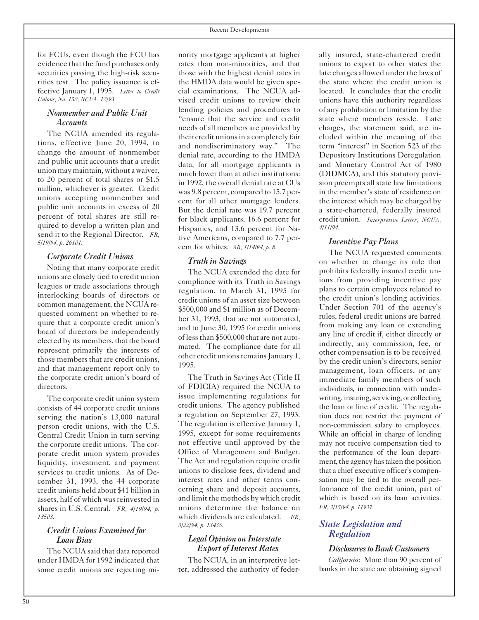for FCUs, even though the FCU has evidence that the fund purchases only securities passing the high-risk securities test. The policy issuance is effective January 1, 1995. *Letter to Credit Unions, No. 150, NCUA, 12/93.*

#### *Nonmember and Public Unit Accounts*

The NCUA amended its regulations, effective June 20, 1994, to change the amount of nonmember and public unit accounts that a credit union may maintain, without awaiver, to 20 percent of total shares or \$1.5 million, whichever is greater. Credit unions accepting nonmember and public unit accounts in excess of 20 percent of total shares are still required to develop a written plan and send it to the Regional Director. *FR, 5/19/94, p. 26101.*

#### *Corporate Credit Unions*

Noting that many corporate credit unions are closely tied to credit union leagues or trade associations through interlocking boards of directors or common management, the NCUA requested comment on whether to require that a corporate credit union's board of directors be independently elected by its members, that the board represent primarily the interests of those members that are credit unions, and that management report only to the corporate credit union's board of directors.

The corporate credit union system consists of 44 corporate credit unions serving the nation's 13,000 natural person credit unions, with the U.S. Central Credit Union in turn serving the corporate credit unions. The corporate credit union system provides liquidity, investment, and payment services to credit unions. As of December 31, 1993, the 44 corporate credit unions held about \$41 billion in assets, half of which was reinvested in shares in U.S. Central. *FR, 4/19/94, p. 18503.*

#### *Credit Unions Examined for Loan Bias*

The NCUA said that data reported under HMDA for 1992 indicated that some credit unions are rejecting minority mortgage applicants at higher rates than non-minorities, and that those with the highest denial rates in the HMDA data would be given special examinations. The NCUA advised credit unions to review their lending policies and procedures to "ensure that the service and credit needs of all members are provided by their credit unions in a completely fair and nondiscriminatory way." The denial rate, according to the HMDA data, for all mortgage applicants is much lower than at other institutions: in 1992, the overall denial rate at CUs was 9.8 percent, compared to 15.7 percent for all other mortgage lenders. But the denial rate was 19.7 percent for black applicants, 16.6 percent for Hispanics, and 13.6 percent for Native Americans, compared to 7.7 percent for whites. *AB, 1/14/94, p. 8.*

#### *Truth in Savings*

The NCUA extended the date for compliance with its Truth in Savings regulation, to March 31, 1995 for credit unions of an asset size between \$500,000 and \$1 million as of December 31, 1993, that are not automated, and to June 30, 1995 for credit unions of lessthan \$500,000 that are not automated. The compliance date for all other credit unions remains January 1, 1995.

The Truth in Savings Act (Title II of FDICIA) required the NCUA to issue implementing regulations for credit unions. The agency published a regulation on September 27, 1993. The regulation is effective January 1, 1995, except for some requirements not effective until approved by the Office of Management and Budget. The Act and regulation require credit unions to disclose fees, dividend and interest rates and other terms concerning share and deposit accounts, and limit the methods by which credit unions determine the balance on which dividends are calculated. *FR, 3/22/94, p. 13435.*

#### *Legal Opinion on Interstate Export of Interest Rates*

The NCUA, in an interpretive letter, addressed the authority of federally insured, state-chartered credit unions to export to other states the late charges allowed under the laws of the state where the credit union is located. It concludes that the credit unions have this authority regardless of any prohibition or limitation by the state where members reside. Late charges, the statement said, are included within the meaning of the term "interest" in Section 523 of the Depository Institutions Deregulation and Monetary Control Act of 1980 (DIDMCA), and this statutory provision preempts all state law limitations in the member's state of residence on the interest which may be charged by a state-chartered, federally insured credit union. *Interpretive Letter, NCUA, 4/11/94.*

#### *Incentive Pay Plans*

The NCUA requested comments on whether to change its rule that prohibits federally insured credit unions from providing incentive pay plans to certain employees related to the credit union's lending activities. Under Section 701 of the agency's rules, federal credit unions are barred from making any loan or extending any line of credit if, either directly or indirectly, any commission, fee, or other compensation is to be received by the credit union's directors, senior management, loan officers, or any immediate family members of such individuals, in connection with underwriting, insuring, servicing, or collecting the loan or line of credit. The regulation does not restrict the payment of non-commission salary to employees. While an official in charge of lending may not receive compensation tied to the performance of the loan department, the agency has taken the position that a chief executive officer's compensation may be tied to the overall performance of the credit union, part of which is based on its loan activities. *FR, 3/15/94, p. 11937.*

#### *State Legislation and Regulation*

#### *Disclosures to Bank Customers*

*California*: More than 90 percent of banks in the state are obtaining signed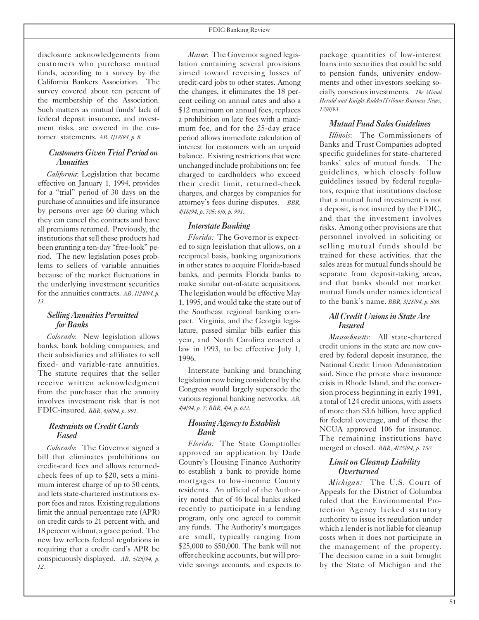disclosure acknowledgements from customers who purchase mutual funds, according to a survey by the California Bankers Association. The survey covered about ten percent of the membership of the Association. Such matters as mutual funds' lack of federal deposit insurance, and investment risks, are covered in the customer statements. *AB, 1/18/94, p. 8.*

#### *CustomersGivenTrialPeriod on Annuities*

*California*: Legislation that became effective on January 1, 1994, provides for a "trial" period of 30 days on the purchase of annuities and life insurance by persons over age 60 during which they can cancel the contracts and have all premiums returned. Previously, the institutions that sell these products had been granting a ten-day "free-look" period. The new legislation poses problems to sellers of variable annuities because of the market fluctuations in the underlying investment securities for the annuities contracts. *AB, 1/24/94, p. 13.*

#### *SellingAnnuitiesPermitted for Banks*

*Colorado*: New legislation allows banks, bank holding companies, and their subsidiaries and affiliates to sell fixed- and variable-rate annuities. The statute requires that the seller receive written acknowledgment from the purchaser that the annuity involves investment risk that is not FDIC-insured. *BBR, 6/6/94, p. 991.*

#### *Restraints onCreditCards Eased*

*Colorado*: The Governor signed a bill that eliminates prohibitions on credit-card fees and allows returnedcheck fees of up to \$20, sets a minimum interest charge of up to 50 cents, and lets state-chartered institutions export fees and rates. Existing regulations limit the annual percentage rate (APR) on credit cards to 21 percent with, and 18 percent without, a grace period. The new law reflects federal regulations in requiring that a credit card's APR be conspicuously displayed. *AB, 5/25/94, p. 12.*

*Maine*: The Governor signed legislation containing several provisions aimed toward reversing losses of credit-card jobs to other states. Among the changes, it eliminates the 18 percent ceiling on annual rates and also a \$12 maximum on annual fees, replaces a prohibition on late fees with a maximum fee, and for the 25-day grace period allows immediate calculation of interest for customers with an unpaid balance. Existing restrictions that were unchanged include prohibitions on: fee charged to cardholders who exceed their credit limit, returned-check charges, and charges by companies for attorney's fees during disputes. *BBR, 4/18/94, p. 705; 6/6, p. 991*.

#### *Interstate Banking*

*Florida:* The Governor is expected to sign legislation that allows, on a reciprocal basis, banking organizations in other states to acquire Florida-based banks, and permits Florida banks to make similar out-of-state acquisitions. The legislation would be effective May 1, 1995, and would take the state out of the Southeast regional banking compact. Virginia, and the Georgia legislature, passed similar bills earlier this year, and North Carolina enacted a law in 1993, to be effective July 1, 1996.

Interstate banking and branching legislation nowbeing considered by the Congress would largely supersede the various regional banking networks. *AB, 4/4/94, p. 7; BBR, 4/4, p. 622.*

#### *HousingAgency toEstablish Bank*

*Florida:* The State Comptroller approved an application by Dade County's Housing Finance Authority to establish a bank to provide home mortgages to low-income County residents. An official of the Authority noted that of 46 local banks asked recently to participate in a lending program, only one agreed to commit any funds. The Authority's mortgages are small, typically ranging from \$25,000 to \$50,000. The bank will not offerchecking accounts, but will provide savings accounts, and expects to package quantities of low-interest loans into securities that could be sold to pension funds, university endowments and other investors seeking socially conscious investments. *The Miami Herald and Knight-Ridder/Tribune Business News, 12/8/93.*

#### *MutualFundSalesGuidelines*

*Illinois*: The Commissioners of Banks and Trust Companies adopted specific guidelines for state-chartered banks' sales of mutual funds. The guidelines, which closely follow guidelines issued by federal regulators, require that institutions disclose that a mutual fund investment is not a deposit, is not insured by the FDIC, and that the investment involves risks. Among other provisions are that personnel involved in soliciting or selling mutual funds should be trained for these activities, that the sales areas for mutual funds should be separate from deposit-taking areas, and that banks should not market mutual funds under names identical to the bank's name. *BBR, 3/28/94, p. 586.*

#### *AllCreditUnionsinStateAre Insured*

*Massachusetts*: All state-chartered credit unions in the state are now covered by federal deposit insurance, the National Credit Union Administration said. Since the private share insurance crisis in Rhode Island, and the conversion process beginning in early 1991, a total of 124 credit unions, with assets of more than \$3.6 billion, have applied for federal coverage, and of these the NCUA approved 106 for insurance. The remaining institutions have merged or closed. *BBR, 4/25/94, p. 750.*

#### *Limit on Cleanup Liability Overturned*

*Michigan:* The U.S. Court of Appeals for the District of Columbia ruled that the Environmental Protection Agency lacked statutory authority to issue its regulation under which a lender is not liable for cleanup costs when it does not participate in the management of the property. The decision came in a suit brought by the State of Michigan and the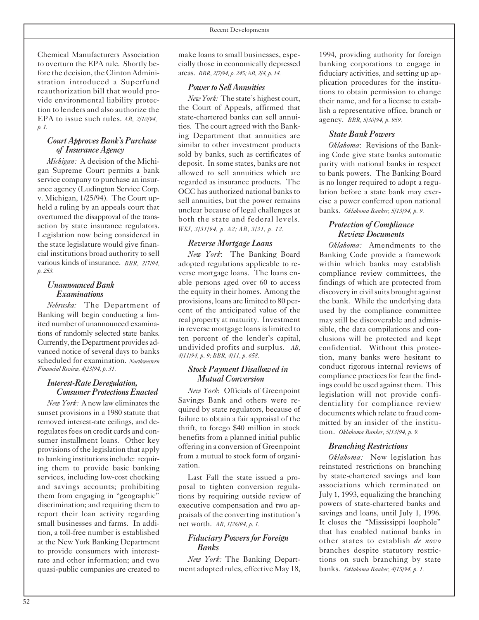Chemical Manufacturers Association to overturn the EPA rule. Shortly before the decision, the Clinton Administration introduced a Superfund reauthorization bill that would provide environmental liability protection to lenders and also authorize the EPA to issue such rules. *AB, 2/10/94, p. 1.*

#### *CourtApprovesBank'sPurchase of InsuranceAgency*

*Michigan:* A decision of the Michigan Supreme Court permits a bank service company to purchase an insurance agency (Ludington Service Corp. v. Michigan, 1/25/94). The Court upheld a ruling by an appeals court that overturned the disapproval of the transaction by state insurance regulators. Legislation now being considered in the state legislature would give financial institutions broad authority to sell various kinds of insurance. *BBR, 2/7/94, p. 253.*

#### *UnannouncedBank Examinations*

*Nebraska:* The Department of Banking will begin conducting a limited number of unannounced examinations of randomly selected state banks. Currently, the Department provides advanced notice of several days to banks scheduled for examination. *Northwestern Financial Review, 4/23/94, p. 31.*

#### *Interest-RateDeregulation, Consumer Protections Enacted*

*New York:* A new law eliminates the sunset provisions in a 1980 statute that removed interest-rate ceilings, and deregulates fees on credit cards and consumer installment loans. Other key provisions of the legislation that apply to banking institutions include: requiring them to provide basic banking services, including low-cost checking and savings accounts; prohibiting them from engaging in "geographic" discrimination; and requiring them to report their loan activity regarding small businesses and farms. In addition, a toll-free number is established at the New York Banking Department to provide consumers with interestrate and other information; and two quasi-public companies are created to

make loans to small businesses, especially those in economically depressed areas. *BBR, 2/7/94, p. 245; AB, 2/4, p. 14.*

#### *Power* to Sell Annuities

*NewYork:* The state's highest court, the Court of Appeals, affirmed that state-chartered banks can sell annuities. The court agreed with the Banking Department that annuities are similar to other investment products sold by banks, such as certificates of deposit. In some states, banks are not allowed to sell annuities which are regarded as insurance products. The OCC has authorized national banks to sell annuities, but the power remains unclear because of legal challenges at both the state and federal levels. *WSJ, 3/31/94, p. A2; AB, 3/31, p. 12.*

#### *Reverse Mortgage Loans*

*New York*: The Banking Board adopted regulations applicable to reverse mortgage loans. The loans enable persons aged over 60 to access the equity in their homes. Among the provisions, loans are limited to 80 percent of the anticipated value of the real property at maturity. Investment in reverse mortgage loans is limited to ten percent of the lender's capital, undivided profits and surplus. *AB, 4/11/94, p. 9; BBR, 4/11, p. 658.*

#### *Stock Payment Disallowed in Mutual Conversion*

*New York*: Officials of Greenpoint Savings Bank and others were required by state regulators, because of failure to obtain a fair appraisal of the thrift, to forego \$40 million in stock benefits from a planned initial public offering in a conversion of Greenpoint from a mutual to stock form of organization.

Last Fall the state issued a proposal to tighten conversion regulations by requiring outside review of executive compensation and two appraisals of the converting institution's net worth. *AB, 1/26/94, p. 1.*

#### *Fiduciary Powersfor Foreign Banks*

*New York:* The Banking Department adopted rules, effective May 18,

1994, providing authority for foreign banking corporations to engage in fiduciary activities, and setting up application procedures for the institutions to obtain permission to change their name, and for a license to establish a representative office, branch or agency. *BBR, 5/30/94, p. 959.*

#### *State Bank Powers*

*Oklahoma*: Revisions of the Banking Code give state banks automatic parity with national banks in respect to bank powers. The Banking Board is no longer required to adopt a regulation before a state bank may exercise a power conferred upon national banks. *Oklahoma Banker, 5/13/94, p. 9.*

#### *Protection of Compliance Review Documents*

*Oklahoma:* Amendments to the Banking Code provide a framework within which banks may establish compliance review committees, the findings of which are protected from discovery in civil suits brought against the bank. While the underlying data used by the compliance committee may still be discoverable and admissible, the data compilations and conclusions will be protected and kept confidential. Without this protection, many banks were hesitant to conduct rigorous internal reviews of compliance practices for fear the findings could be used against them. This legislation will not provide confidentiality for compliance review documents which relate to fraud committed by an insider of the institution. *Oklahoma Banker, 5/13/94, p. 9.*

#### *Branching Restrictions*

*Oklahoma:* New legislation has reinstated restrictions on branching by state-chartered savings and loan associations which terminated on July 1, 1993, equalizing the branching powers of state-chartered banks and savings and loans, until July 1, 1996. It closes the "Mississippi loophole" that has enabled national banks in other states to establish *de novo* branches despite statutory restrictions on such branching by state banks. *Oklahoma Banker, 4/15/94, p. 1.*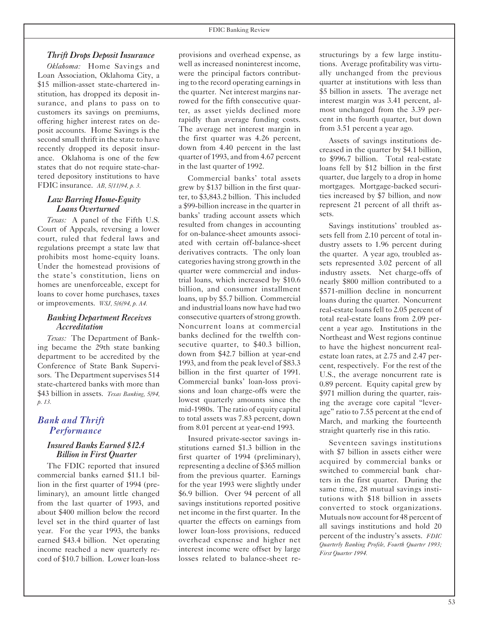#### *Thrift Drops Deposit Insurance*

*Oklahoma:* Home Savings and Loan Association, Oklahoma City, a \$15 million-asset state-chartered institution, has dropped its deposit insurance, and plans to pass on to customers its savings on premiums, offering higher interest rates on deposit accounts. Home Savings is the second small thrift in the state to have recently dropped its deposit insurance. Oklahoma is one of the few states that do not require state-chartered depository institutions to have FDIC insurance. *AB, 5/11/94, p. 3.*

#### *Law Barring Home-Equity Loans Overturned*

*Texas:* A panel of the Fifth U.S. Court of Appeals, reversing a lower court, ruled that federal laws and regulations preempt a state law that prohibits most home-equity loans. Under the homestead provisions of the state's constitution, liens on homes are unenforceable, except for loans to cover home purchases, taxes or improvements. *WSJ, 5/6/94, p. A4.*

#### *Banking Department Receives Accreditation*

*Texas:* The Department of Banking became the 29th state banking department to be accredited by the Conference of State Bank Supervisors. The Department supervises 514 state-chartered banks with more than \$43 billion in assets. *Texas Banking, 5/94, p. 13.*

#### *Bank and Thrift Performance*

#### *Insured Banks Earned \$12.4 Billion in First Quarter*

The FDIC reported that insured commercial banks earned \$11.1 billion in the first quarter of 1994 (preliminary), an amount little changed from the last quarter of 1993, and about \$400 million below the record level set in the third quarter of last year. For the year 1993, the banks earned \$43.4 billion. Net operating income reached a new quarterly record of \$10.7 billion. Lower loan-loss

provisions and overhead expense, as well as increased noninterest income, were the principal factors contributing to the record operating earnings in the quarter. Net interest margins narrowed for the fifth consecutive quarter, as asset yields declined more rapidly than average funding costs. The average net interest margin in the first quarter was 4.26 percent, down from 4.40 percent in the last quarter of 1993, and from 4.67 percent in the last quarter of 1992.

Commercial banks' total assets grew by \$137 billion in the first quarter, to \$3,843.2 billion. This included a \$99-billion increase in the quarter in banks' trading account assets which resulted from changes in accounting for on-balance-sheet amounts associated with certain off-balance-sheet derivatives contracts. The only loan categories having strong growth in the quarter were commercial and industrial loans, which increased by \$10.6 billion, and consumer installment loans, up by \$5.7 billion. Commercial and industrial loans now have had two consecutive quarters of strong growth. Noncurrent loans at commercial banks declined for the twelfth consecutive quarter, to \$40.3 billion, down from \$42.7 billion at year-end 1993, and from the peak level of \$83.3 billion in the first quarter of 1991. Commercial banks' loan-loss provisions and loan charge-offs were the lowest quarterly amounts since the mid-1980s. The ratio of equity capital to total assets was 7.83 percent, down from 8.01 percent at year-end 1993.

Insured private-sector savings institutions earned \$1.3 billion in the first quarter of 1994 (preliminary), representing a decline of \$365 million from the previous quarter. Earnings for the year 1993 were slightly under \$6.9 billion. Over 94 percent of all savings institutions reported positive net income in the first quarter. In the quarter the effects on earnings from lower loan-loss provisions, reduced overhead expense and higher net interest income were offset by large losses related to balance-sheet restructurings by a few large institutions. Average profitability was virtually unchanged from the previous quarter at institutions with less than \$5 billion in assets. The average net interest margin was 3.41 percent, almost unchanged from the 3.39 percent in the fourth quarter, but down from 3.51 percent a year ago.

Assets of savings institutions decreased in the quarter by \$4.1 billion, to \$996.7 billion. Total real-estate loans fell by \$12 billion in the first quarter, due largely to a drop in home mortgages. Mortgage-backed securities increased by \$7 billion, and now represent 21 percent of all thrift assets.

Savings institutions' troubled assets fell from 2.10 percent of total industry assets to 1.96 percent during the quarter. A year ago, troubled assets represented 3.02 percent of all industry assets. Net charge-offs of nearly \$800 million contributed to a \$571-million decline in noncurrent loans during the quarter. Noncurrent real-estate loansfell to 2.05 percent of total real-estate loans from 2.09 percent a year ago. Institutions in the Northeast and West regions continue to have the highest noncurrent realestate loan rates, at 2.75 and 2.47 percent, respectively. For the rest of the U.S., the average noncurrent rate is 0.89 percent. Equity capital grew by \$971 million during the quarter, raising the average core capital "leverage" ratio to 7.55 percent at the end of March, and marking the fourteenth straight quarterly rise in this ratio.

Seventeen savings institutions with \$7 billion in assets either were acquired by commercial banks or switched to commercial bank charters in the first quarter. During the same time, 28 mutual savings institutions with \$18 billion in assets converted to stock organizations. Mutuals now account for 48 percent of all savings institutions and hold 20 percent of the industry's assets. *FDIC Quarterly Banking Profile, Fourth Quarter 1993; First Quarter 1994.*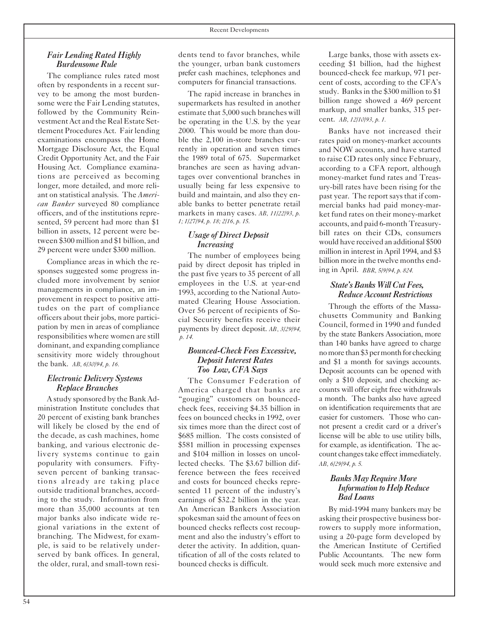#### *Fair Lending Rated Highly Burdensome Rule*

The compliance rules rated most often by respondents in a recent survey to be among the most burdensome were the Fair Lending statutes, followed by the Community Reinvestment Act and the Real Estate Settlement Procedures Act. Fair lending examinations encompass the Home Mortgage Disclosure Act, the Equal Credit Opportunity Act, and the Fair Housing Act. Compliance examinations are perceived as becoming longer, more detailed, and more reliant on statistical analysis. The *American Banker* surveyed 80 compliance officers, and of the institutions represented, 59 percent had more than \$1 billion in assets, 12 percent were between \$300 million and \$1 billion, and 29 percent were under \$300 million.

Compliance areas in which the responses suggested some progress included more involvement by senior managements in compliance, an improvement in respect to positive attitudes on the part of compliance officers about their jobs, more participation by men in areas of compliance responsibilities where women are still dominant, and expanding compliance sensitivity more widely throughout the bank. *AB, 6/30/94, p. 16.*

#### *Electronic Delivery Systems Replace Branches*

A study sponsored by the BankAdministration Institute concludes that 20 percent of existing bank branches will likely be closed by the end of the decade, as cash machines, home banking, and various electronic delivery systems continue to gain popularity with consumers. Fiftyseven percent of banking transactions already are taking place outside traditional branches, according to the study. Information from more than 35,000 accounts at ten major banks also indicate wide regional variations in the extent of branching. The Midwest, for example, is said to be relatively underserved by bank offices. In general, the older, rural, and small-town resi-

dents tend to favor branches, while the younger, urban bank customers prefer cash machines, telephones and computers for financial transactions.

The rapid increase in branches in supermarkets has resulted in another estimate that 5,000 such branches will be operating in the U.S. by the year 2000. This would be more than double the 2,100 in-store branches currently in operation and seven times the 1989 total of 675. Supermarket branches are seen as having advantages over conventional branches in usually being far less expensive to build and maintain, and also they enable banks to better penetrate retail markets in many cases. *AB, 11/22/93, p. 1; 1/27/94, p. 18; 2/16, p. 15.*

#### *Usage of Direct Deposit Increasing*

The number of employees being paid by direct deposit has tripled in the past five years to 35 percent of all employees in the U.S. at year-end 1993, according to the National Automated Clearing House Association. Over 56 percent of recipients of Social Security benefits receive their payments by direct deposit. *AB, 3/29/94, p. 14.*

#### *Bounced-CheckFees Excessive, Deposit Interest Rates Too Low, CFA Says*

The Consumer Federation of America charged that banks are "gouging" customers on bouncedcheck fees, receiving \$4.35 billion in fees on bounced checks in 1992, over six times more than the direct cost of \$685 million. The costs consisted of \$581 million in processing expenses and \$104 million in losses on uncollected checks. The \$3.67 billion difference between the fees received and costs for bounced checks represented 11 percent of the industry's earnings of \$32.2 billion in the year. An American Bankers Association spokesman said the amount of fees on bounced checks reflects cost recoupment and also the industry's effort to deter the activity. In addition, quantification of all of the costs related to bounced checks is difficult.

Large banks, those with assets exceeding \$1 billion, had the highest bounced-check fee markup, 971 percent of costs, according to the CFA's study. Banks in the \$300 million to \$1 billion range showed a 469 percent markup, and smaller banks, 315 percent. *AB, 12/10/93, p. 1.*

Banks have not increased their rates paid on money-market accounts and NOW accounts, and have started to raise CD rates only since February, according to a CFA report, although money-market fund rates and Treasury-bill rates have been rising for the past year. The report says that if commercial banks had paid money-market fund rates on their money-market accounts, and paid 6-month Treasurybill rates on their CDs, consumers would have received an additional \$500 million in interest in April 1994, and \$3 billion more in the twelve months ending in April. *BBR, 5/9/94, p. 824.*

#### *State'sBanksWillCutFees, ReduceAccountRestrictions*

Through the efforts of the Massachusetts Community and Banking Council, formed in 1990 and funded by the state Bankers Association, more than 140 banks have agreed to charge no more than \$3 per month for checking and \$1 a month for savings accounts. Deposit accounts can be opened with only a \$10 deposit, and checking accounts will offer eight free withdrawals a month. The banks also have agreed on identification requirements that are easier for customers. Those who cannot present a credit card or a driver's license will be able to use utility bills, for example, as identification. The account changes take effect immediately. *AB, 6/29/94, p. 5.*

#### *BanksMayRequireMore Information to Help Reduce BadLoans*

By mid-1994 many bankers may be asking their prospective business borrowers to supply more information, using a 20-page form developed by the American Institute of Certified Public Accountants. The new form would seek much more extensive and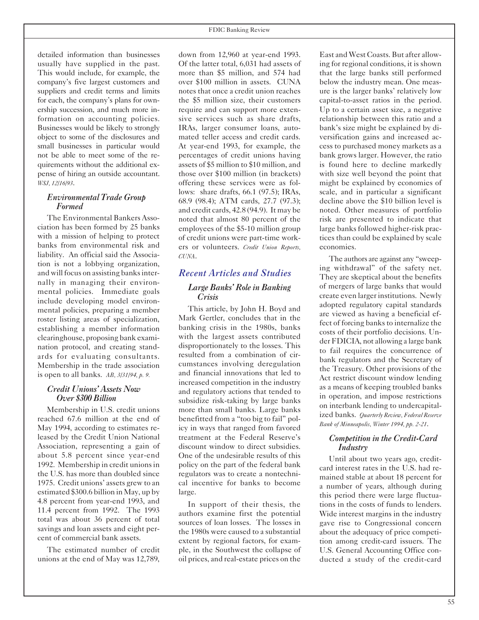detailed information than businesses usually have supplied in the past. This would include, for example, the company's five largest customers and suppliers and credit terms and limits for each, the company's plans for ownership succession, and much more information on accounting policies. Businesses would be likely to strongly object to some of the disclosures and small businesses in particular would not be able to meet some of the requirements without the additional expense of hiring an outside accountant. *WSJ, 12/16/93*.

#### *Environmental Trade Group Formed*

The Environmental Bankers Association has been formed by 25 banks with a mission of helping to protect banks from environmental risk and liability. An official said the Association is not a lobbying organization, and will focus on assisting banks internally in managing their environmental policies. Immediate goals include developing model environmental policies, preparing a member roster listing areas of specialization, establishing a member information clearinghouse, proposing bank examination protocol, and creating standards for evaluating consultants. Membership in the trade association is open to all banks. *AB, 3/31/94, p. 9.*

#### *Credit Unions' Assets Now Over \$300 Billion*

Membership in U.S. credit unions reached 67.6 million at the end of May 1994, according to estimates released by the Credit Union National Association, representing a gain of about 5.8 percent since year-end 1992. Membership in credit unionsin the U.S. has more than doubled since 1975. Credit unions' assets grew to an estimated \$300.6 billion in May, up by 4.8 percent from year-end 1993, and 11.4 percent from 1992. The 1993 total was about 36 percent of total savings and loan assets and eight percent of commercial bank assets.

The estimated number of credit unions at the end of May was 12,789,

down from 12,960 at year-end 1993. Of the latter total, 6,031 had assets of more than \$5 million, and 574 had over \$100 million in assets. CUNA notes that once a credit union reaches the \$5 million size, their customers require and can support more extensive services such as share drafts, IRAs, larger consumer loans, automated teller access and credit cards. At year-end 1993, for example, the percentages of credit unions having assets of \$5 million to \$10 million, and those over \$100 million (in brackets) offering these services were as follows: share drafts, 66.1 (97.5); IRAs, 68.9 (98.4); ATM cards, 27.7 (97.3); and credit cards, 42.8 (94.9). It may be noted that almost 80 percent of the employees of the \$5-10 million group of credit unions were part-time workers or volunteers. *Credit Union Reports, CUNA*.

#### *Recent Articles and Studies Large Banks' Role in Banking Crisis*

This article, by John H. Boyd and Mark Gertler, concludes that in the banking crisis in the 1980s, banks with the largest assets contributed disproportionately to the losses. This resulted from a combination of circumstances involving deregulation and financial innovations that led to increased competition in the industry and regulatory actions that tended to subsidize risk-taking by large banks more than small banks. Large banks benefitted from a "too big to fail" policy in ways that ranged from favored treatment at the Federal Reserve's discount window to direct subsidies. One of the undesirable results of this policy on the part of the federal bank regulators was to create a nontechnical incentive for banks to become large.

In support of their thesis, the authors examine first the potential sources of loan losses. The losses in the 1980s were caused to a substantial extent by regional factors, for example, in the Southwest the collapse of oil prices, and real-estate prices on the East and West Coasts. But after allowing for regional conditions, it is shown that the large banks still performed below the industry mean. One measure is the larger banks' relatively low capital-to-asset ratios in the period. Up to a certain asset size, a negative relationship between this ratio and a bank's size might be explained by diversification gains and increased access to purchased money markets as a bank grows larger. However, the ratio is found here to decline markedly with size well beyond the point that might be explained by economies of scale, and in particular a significant decline above the \$10 billion level is noted. Other measures of portfolio risk are presented to indicate that large banks followed higher-risk practices than could be explained by scale economies.

The authors are against any "sweeping withdrawal" of the safety net. They are skeptical about the benefits of mergers of large banks that would create even larger institutions. Newly adopted regulatory capital standards are viewed as having a beneficial effect of forcing banks to internalize the costs of their portfolio decisions. Under FDICIA, not allowing a large bank to fail requires the concurrence of bank regulators and the Secretary of the Treasury. Other provisions of the Act restrict discount window lending as a means of keeping troubled banks in operation, and impose restrictions on interbank lending to undercapitalized banks. *Quarterly Review, Federal Reserve Bank of Minneapolis, Winter 1994, pp. 2-21*.

#### *Competition in the Credit-Card Industry*

Until about two years ago, creditcard interest rates in the U.S. had remained stable at about 18 percent for a number of years, although during this period there were large fluctuations in the costs of funds to lenders. Wide interest margins in the industry gave rise to Congressional concern about the adequacy of price competition among credit-card issuers. The U.S. General Accounting Office conducted a study of the credit-card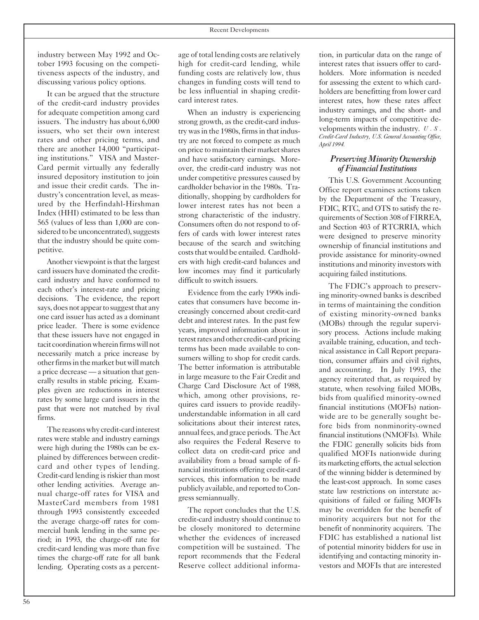industry between May 1992 and October 1993 focusing on the competitiveness aspects of the industry, and discussing various policy options.

It can be argued that the structure of the credit-card industry provides for adequate competition among card issuers. The industry has about 6,000 issuers, who set their own interest rates and other pricing terms, and there are another 14,000 "participating institutions." VISA and Master-Card permit virtually any federally insured depository institution to join and issue their credit cards. The industry's concentration level, as measured by the Herfindahl-Hirshman Index (HHI) estimated to be less than 565 (values of less than 1,000 are considered to be unconcentrated), suggests that the industry should be quite competitive.

Another viewpoint is that the largest card issuers have dominated the creditcard industry and have conformed to each other's interest-rate and pricing decisions. The evidence, the report says, does not appear to suggest that any one card issuer has acted as a dominant price leader. There is some evidence that these issuers have not engaged in tacit coordination wherein firms will not necessarily match a price increase by other firms in the market but will match a price decrease — a situation that generally results in stable pricing. Examples given are reductions in interest rates by some large card issuers in the past that were not matched by rival firms.

The reasonswhy credit-cardinterest rates were stable and industry earnings were high during the 1980s can be explained by differences between creditcard and other types of lending. Credit-card lending is riskier than most other lending activities. Average annual charge-off rates for VISA and MasterCard members from 1981 through 1993 consistently exceeded the average charge-off rates for commercial bank lending in the same period; in 1993, the charge-off rate for credit-card lending was more than five times the charge-off rate for all bank lending. Operating costs as a percent-

age of total lending costs are relatively high for credit-card lending, while funding costs are relatively low, thus changes in funding costs will tend to be less influential in shaping creditcard interest rates.

When an industry is experiencing strong growth, as the credit-card industry was in the 1980s, firms in that industry are not forced to compete as much on price to maintain their market shares and have satisfactory earnings. Moreover, the credit-card industry was not under competitive pressures caused by cardholder behavior in the 1980s. Traditionally, shopping by cardholders for lower interest rates has not been a strong characteristic of the industry. Consumers often do not respond to offers of cards with lower interest rates because of the search and switching costs that would be entailed. Cardholders with high credit-card balances and low incomes may find it particularly difficult to switch issuers.

Evidence from the early 1990s indicates that consumers have become increasingly concerned about credit-card debt and interest rates. In the past few years, improved information about interest rates and other credit-card pricing terms has been made available to consumers willing to shop for credit cards. The better information is attributable in large measure to the Fair Credit and Charge Card Disclosure Act of 1988, which, among other provisions, requires card issuers to provide readilyunderstandable information in all card solicitations about their interest rates, annual fees, and grace periods. The Act also requires the Federal Reserve to collect data on credit-card price and availability from a broad sample of financial institutions offering credit-card services, this information to be made publicly available, and reported to Congress semiannually.

The report concludes that the U.S. credit-card industry should continue to be closely monitored to determine whether the evidences of increased competition will be sustained. The report recommends that the Federal Reserve collect additional informa-

tion, in particular data on the range of interest rates that issuers offer to cardholders. More information is needed for assessing the extent to which cardholders are benefitting from lower card interest rates, how these rates affect industry earnings, and the short- and long-term impacts of competitive developments within the industry. *U.S. Credit-Card Industry, U.S. General Accounting Office, April 1994.*

#### *PreservingMinorityOwnership ofFinancial Institutions*

This U.S. Government Accounting Office report examines actions taken by the Department of the Treasury, FDIC, RTC, and OTS to satisfy the requirements of Section 308 of FIRREA, and Section 403 of RTCRRIA, which were designed to preserve minority ownership of financial institutions and provide assistance for minority-owned institutions and minority investors with acquiring failed institutions.

The FDIC's approach to preserving minority-owned banks is described in terms of maintaining the condition of existing minority-owned banks (MOBs) through the regular supervisory process. Actions include making available training, education, and technical assistance in Call Report preparation, consumer affairs and civil rights, and accounting. In July 1993, the agency reiterated that, as required by statute, when resolving failed MOBs, bids from qualified minority-owned financial institutions (MOFIs) nationwide are to be generally sought before bids from nonminority-owned financial institutions (NMOFIs). While the FDIC generally solicits bids from qualified MOFIs nationwide during its marketing efforts, the actual selection of the winning bidder is determined by the least-cost approach. In some cases state law restrictions on interstate acquisitions of failed or failing MOFIs may be overridden for the benefit of minority acquirers but not for the benefit of nonminority acquirers. The FDIC has established a national list of potential minority bidders for use in identifying and contacting minority investors and MOFIs that are interested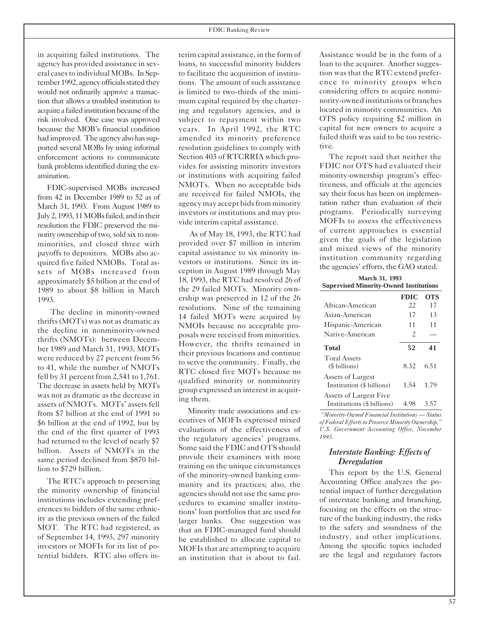in acquiring failed institutions. The agency has provided assistance in several casesto individualMOBs. In September 1992, agency officials stated they would not ordinarily approve a transaction that allows a troubled institution to acquire a failed institution because of the risk involved. One case was approved because the MOB's financial condition had improved. The agency also has supported several MOBs by using informal enforcement actions to communicate bank problems identified during the examination.

FDIC-supervised MOBs increased from 42 in December 1989 to 52 as of March 31, 1993. From August 1989 to July 2, 1993, 11 MOBs failed, and in their resolution the FDIC preserved the minority ownership of two, sold six to nonminorities, and closed three with payoffs to depositors. MOBs also acquired five failed NMOBs. Total assets of MOBs increased from approximately \$5 billion at the end of 1989 to about \$8 billion in March 1993.

The decline in minority-owned thrifts (MOTs) was not as dramatic as the decline in nonminority-owned thrifts (NMOTs): between December 1989 and March 31, 1993, MOTs were reduced by 27 percent from 56 to 41, while the number of NMOTs fell by 31 percent from 2,541 to 1,761. The decrease in assets held by MOTs was not as dramatic as the decrease in assets of NMOTs. MOTs' assets fell from \$7 billion at the end of 1991 to \$6 billion at the end of 1992, but by the end of the first quarter of 1993 had returned to the level of nearly \$7 billion. Assets of NMOTs in the same period declined from \$870 billion to \$729 billion.

The RTC's approach to preserving the minority ownership of financial institutions includes extending preferences to bidders of the same ethnicity as the previous owners of the failed MOT. The RTC had registered, as of September 14, 1993, 297 minority investors or MOFIs for its list of potential bidders. RTC also offers in-

terim capital assistance, in the form of loans, to successful minority bidders to facilitate the acquisition of institutions. The amount of such assistance is limited to two-thirds of the minimum capital required by the chartering and regulatory agencies, and is subject to repayment within two years. In April 1992, the RTC amended its minority preference resolution guidelines to comply with Section 403 of RTCRRIA which provides for assisting minority investors or institutions with acquiring failed NMOTs. When no acceptable bids are received for failed NMOIs, the agency may accept bidsfrom minority investors or institutions and may provide interim capital assistance.

As of May 18, 1993, the RTC had provided over \$7 million in interim capital assistance to six minority investors or institutions. Since its inception in August 1989 through May 18, 1993, the RTC had resolved 26 of the 29 failed MOTs. Minority ownership was preserved in 12 of the 26 resolutions. Nine of the remaining 14 failed MOTs were acquired by NMOIs because no acceptable proposals were received from minorities. However, the thrifts remained in their previous locations and continue to serve the community. Finally, the RTC closed five MOTs because no qualified minority or nonminority group expressed an interest in acquiring them.

Minority trade associations and executives of MOFIs expressed mixed evaluations of the effectiveness of the regulatory agencies' programs. Some said the FDIC and OTS should provide their examiners with more training on the unique circumstances of the minority-owned banking community and its practices; also, the agenciesshould not use the same procedures to examine smaller institutions' loan portfolios that are used for larger banks. One suggestion was that an FDIC-managed fund should be established to allocate capital to MOFIs that are attempting to acquire an institution that is about to fail.

Assistance would be in the form of a loan to the acquirer. Another suggestion was that the RTC extend preference to minority groups when considering offers to acquire nonminority-owned institutions or branches located in minority communities. An OTS policy requiring \$2 million in capital for new owners to acquire a failed thrift was said to be too restrictive.

The report said that neither the FDIC nor OTS had evaluated their minority-ownership program's effectiveness, and officials at the agencies say their focus has been on implementation rather than evaluation of their programs. Periodically surveying MOFIs to assess the effectiveness of current approaches is essential given the goals of the legislation and mixed views of the minority institution community regarding the agencies' efforts, the GAO stated.

| March 31, 1993<br><b>Supervised Minority-Owned Institutions</b> |             |            |  |
|-----------------------------------------------------------------|-------------|------------|--|
|                                                                 | <b>FDIC</b> | <b>OTS</b> |  |
| African-American                                                | 22          | 17         |  |
| Asian-American                                                  | 17          | 13         |  |
| Hispanic-American                                               | 11          | 11         |  |
| Native-American                                                 | 2           |            |  |
| <b>Total</b>                                                    | 52          | 41         |  |
| <b>Total Assets</b><br>(\$ billions)                            | 8.32        | 6.51       |  |
| Assets of Largest<br>Institution (\$ billions)                  | 1.54        | 1.79       |  |
| Assets of Largest Five<br>Institutions (\$ billions)            | 4.98        | 3.57       |  |

*"Minority-Owned Financial Institutions — Status of Federal Efforts to Preserve Minority Ownership," U.S. Government Accounting Office, November 1993.*

#### *Interstate Banking: Effects of Deregulation*

This report by the U.S. General Accounting Office analyzes the potential impact of further deregulation of interstate banking and branching, focusing on the effects on the structure of the banking industry, the risks to the safety and soundness of the industry, and other implications. Among the specific topics included are the legal and regulatory factors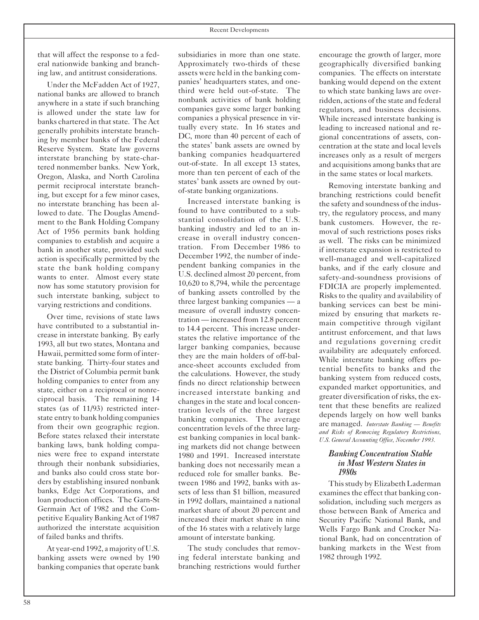that will affect the response to a federal nationwide banking and branching law, and antitrust considerations.

Under the McFadden Act of 1927, national banks are allowed to branch anywhere in a state if such branching is allowed under the state law for banks chartered in that state. The Act generally prohibits interstate branching by member banks of the Federal Reserve System. State law governs interstate branching by state-chartered nonmember banks. New York, Oregon, Alaska, and North Carolina permit reciprocal interstate branching, but except for a few minor cases, no interstate branching has been allowed to date. The Douglas Amendment to the Bank Holding Company Act of 1956 permits bank holding companies to establish and acquire a bank in another state, provided such action is specifically permitted by the state the bank holding company wants to enter. Almost every state now has some statutory provision for such interstate banking, subject to varying restrictions and conditions.

Over time, revisions of state laws have contributed to a substantial increase in interstate banking. By early 1993, all but two states, Montana and Hawaii, permitted some form of interstate banking. Thirty-four states and the District of Columbia permit bank holding companies to enter from any state, either on a reciprocal or nonreciprocal basis. The remaining 14 states (as of 11/93) restricted interstate entry to bank holding companies from their own geographic region. Before states relaxed their interstate banking laws, bank holding companies were free to expand interstate through their nonbank subsidiaries, and banks also could cross state borders by establishing insured nonbank banks, Edge Act Corporations, and loan production offices. The Garn-St Germain Act of 1982 and the Competitive Equality Banking Act of 1987 authorized the interstate acquisition of failed banks and thrifts.

At year-end 1992, a majority of U.S. banking assets were owned by 190 banking companies that operate bank

subsidiaries in more than one state. Approximately two-thirds of these assets were held in the banking companies' headquarters states, and onethird were held out-of-state. The nonbank activities of bank holding companies gave some larger banking companies a physical presence in virtually every state. In 16 states and DC, more than 40 percent of each of the states' bank assets are owned by banking companies headquartered out-of-state. In all except 13 states, more than ten percent of each of the states' bank assets are owned by outof-state banking organizations.

Increased interstate banking is found to have contributed to a substantial consolidation of the U.S. banking industry and led to an increase in overall industry concentration. From December 1986 to December 1992, the number of independent banking companies in the U.S. declined almost 20 percent, from 10,620 to 8,794, while the percentage of banking assets controlled by the three largest banking companies — a measure of overall industry concentration — increased from 12.8 percent to 14.4 percent. This increase understates the relative importance of the larger banking companies, because they are the main holders of off-balance-sheet accounts excluded from the calculations. However, the study finds no direct relationship between increased interstate banking and changes in the state and local concentration levels of the three largest banking companies. The average concentration levels of the three largest banking companies in local banking markets did not change between 1980 and 1991. Increased interstate banking does not necessarily mean a reduced role for smaller banks. Between 1986 and 1992, banks with assets of less than \$1 billion, measured in 1992 dollars, maintained a national market share of about 20 percent and increased their market share in nine of the 16 states with a relatively large amount of interstate banking.

The study concludes that removing federal interstate banking and branching restrictions would further

encourage the growth of larger, more geographically diversified banking companies. The effects on interstate banking would depend on the extent to which state banking laws are overridden, actions of the state and federal regulators, and business decisions. While increased interstate banking is leading to increased national and regional concentrations of assets, concentration at the state and local levels increases only as a result of mergers and acquisitions among banks that are in the same states or local markets.

Removing interstate banking and branching restrictions could benefit the safety and soundness of the industry, the regulatory process, and many bank customers. However, the removal of such restrictions poses risks as well. The risks can be minimized if interstate expansion is restricted to well-managed and well-capitalized banks, and if the early closure and safety-and-soundness provisions of FDICIA are properly implemented. Risks to the quality and availability of banking services can best be minimized by ensuring that markets remain competitive through vigilant antitrust enforcement, and that laws and regulations governing credit availability are adequately enforced. While interstate banking offers potential benefits to banks and the banking system from reduced costs, expanded market opportunities, and greater diversification of risks, the extent that these benefits are realized depends largely on how well banks are managed. *Interstate Banking — Benefits and Risks of Removing Regulatory Restrictions, U.S. General Accounting Office, November 1993.*

#### *Banking Concentration Stable in Most Western Statesin 1980s*

Thisstudy by Elizabeth Laderman examines the effect that banking consolidation, including such mergers as those between Bank of America and Security Pacific National Bank, and Wells Fargo Bank and Crocker National Bank, had on concentration of banking markets in the West from 1982 through 1992.